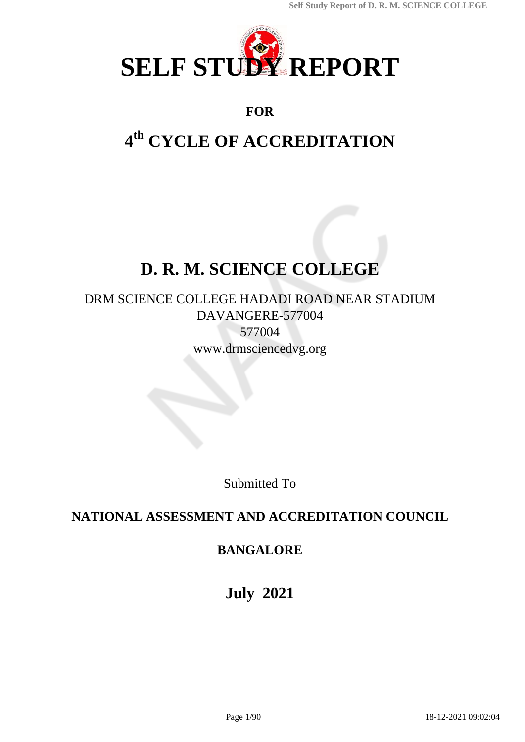

# **FOR**

# **4 th CYCLE OF ACCREDITATION**

# **D. R. M. SCIENCE COLLEGE**

# DRM SCIENCE COLLEGE HADADI ROAD NEAR STADIUM DAVANGERE-577004 577004 www.drmsciencedvg.org

Submitted To

# **NATIONAL ASSESSMENT AND ACCREDITATION COUNCIL**

# **BANGALORE**

**July 2021**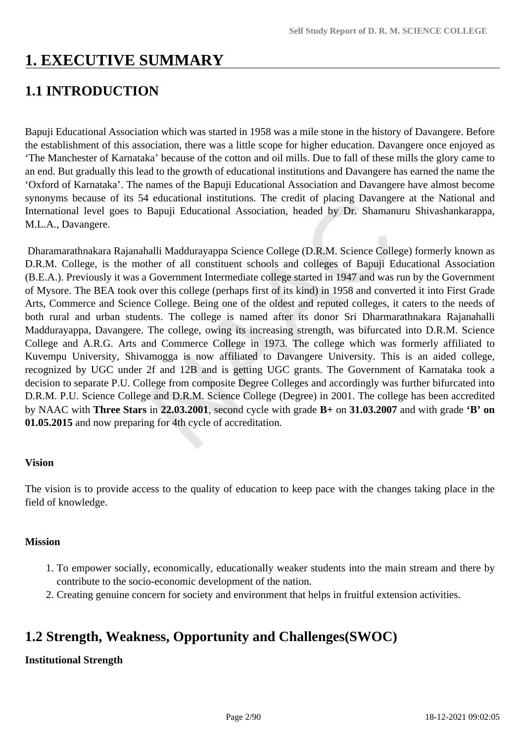# **1. EXECUTIVE SUMMARY**

# **1.1 INTRODUCTION**

Bapuji Educational Association which was started in 1958 was a mile stone in the history of Davangere. Before the establishment of this association, there was a little scope for higher education. Davangere once enjoyed as 'The Manchester of Karnataka' because of the cotton and oil mills. Due to fall of these mills the glory came to an end. But gradually this lead to the growth of educational institutions and Davangere has earned the name the 'Oxford of Karnataka'. The names of the Bapuji Educational Association and Davangere have almost become synonyms because of its 54 educational institutions. The credit of placing Davangere at the National and International level goes to Bapuji Educational Association, headed by Dr. Shamanuru Shivashankarappa, M.L.A., Davangere.

 Dharamarathnakara Rajanahalli Maddurayappa Science College (D.R.M. Science College) formerly known as D.R.M. College, is the mother of all constituent schools and colleges of Bapuji Educational Association (B.E.A.). Previously it was a Government Intermediate college started in 1947 and was run by the Government of Mysore. The BEA took over this college (perhaps first of its kind) in 1958 and converted it into First Grade Arts, Commerce and Science College. Being one of the oldest and reputed colleges, it caters to the needs of both rural and urban students. The college is named after its donor Sri Dharmarathnakara Rajanahalli Maddurayappa, Davangere. The college, owing its increasing strength, was bifurcated into D.R.M. Science College and A.R.G. Arts and Commerce College in 1973. The college which was formerly affiliated to Kuvempu University, Shivamogga is now affiliated to Davangere University. This is an aided college, recognized by UGC under 2f and 12B and is getting UGC grants. The Government of Karnataka took a decision to separate P.U. College from composite Degree Colleges and accordingly was further bifurcated into D.R.M. P.U. Science College and D.R.M. Science College (Degree) in 2001. The college has been accredited by NAAC with **Three Stars** in **22.03.2001**, second cycle with grade **B+** on **31.03.2007** and with grade **'B' on 01.05.2015** and now preparing for 4th cycle of accreditation.

### **Vision**

The vision is to provide access to the quality of education to keep pace with the changes taking place in the field of knowledge.

### **Mission**

- 1. To empower socially, economically, educationally weaker students into the main stream and there by contribute to the socio-economic development of the nation.
- 2. Creating genuine concern for society and environment that helps in fruitful extension activities.

# **1.2 Strength, Weakness, Opportunity and Challenges(SWOC)**

### **Institutional Strength**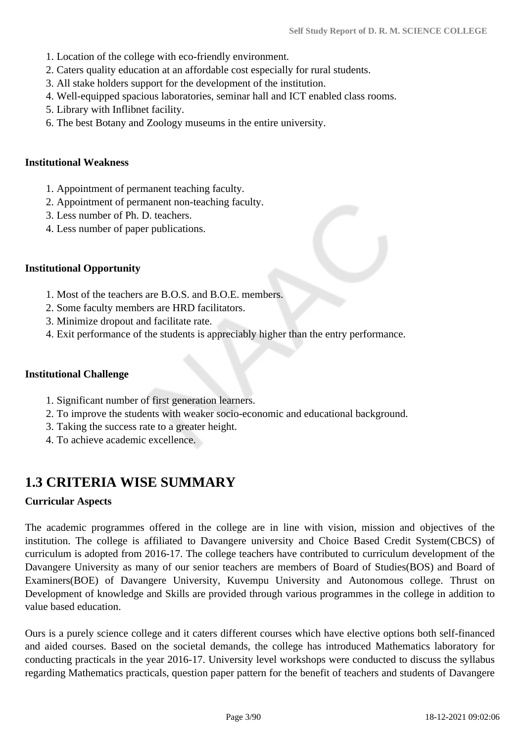- 1. Location of the college with eco-friendly environment.
- 2. Caters quality education at an affordable cost especially for rural students.
- 3. All stake holders support for the development of the institution.
- 4. Well-equipped spacious laboratories, seminar hall and ICT enabled class rooms.
- 5. Library with Inflibnet facility.
- 6. The best Botany and Zoology museums in the entire university.

#### **Institutional Weakness**

- 1. Appointment of permanent teaching faculty.
- 2. Appointment of permanent non-teaching faculty.
- 3. Less number of Ph. D. teachers.
- 4. Less number of paper publications.

#### **Institutional Opportunity**

- 1. Most of the teachers are B.O.S. and B.O.E. members.
- 2. Some faculty members are HRD facilitators.
- 3. Minimize dropout and facilitate rate.
- 4. Exit performance of the students is appreciably higher than the entry performance.

#### **Institutional Challenge**

- 1. Significant number of first generation learners.
- 2. To improve the students with weaker socio-economic and educational background.
- 3. Taking the success rate to a greater height.
- 4. To achieve academic excellence.

# **1.3 CRITERIA WISE SUMMARY**

#### **Curricular Aspects**

The academic programmes offered in the college are in line with vision, mission and objectives of the institution. The college is affiliated to Davangere university and Choice Based Credit System(CBCS) of curriculum is adopted from 2016-17. The college teachers have contributed to curriculum development of the Davangere University as many of our senior teachers are members of Board of Studies(BOS) and Board of Examiners(BOE) of Davangere University, Kuvempu University and Autonomous college. Thrust on Development of knowledge and Skills are provided through various programmes in the college in addition to value based education.

Ours is a purely science college and it caters different courses which have elective options both self-financed and aided courses. Based on the societal demands, the college has introduced Mathematics laboratory for conducting practicals in the year 2016-17. University level workshops were conducted to discuss the syllabus regarding Mathematics practicals, question paper pattern for the benefit of teachers and students of Davangere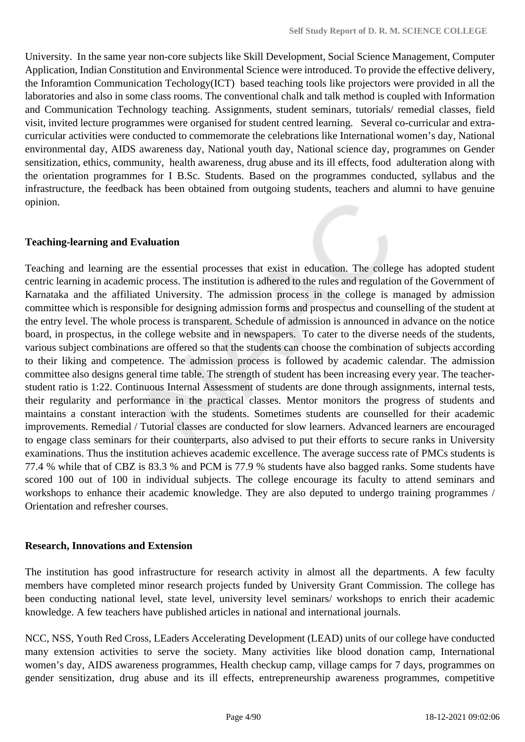University. In the same year non-core subjects like Skill Development, Social Science Management, Computer Application, Indian Constitution and Environmental Science were introduced. To provide the effective delivery, the Inforamtion Communication Techology(ICT) based teaching tools like projectors were provided in all the laboratories and also in some class rooms. The conventional chalk and talk method is coupled with Information and Communication Technology teaching. Assignments, student seminars, tutorials/ remedial classes, field visit, invited lecture programmes were organised for student centred learning. Several co-curricular and extracurricular activities were conducted to commemorate the celebrations like International women's day, National environmental day, AIDS awareness day, National youth day, National science day, programmes on Gender sensitization, ethics, community, health awareness, drug abuse and its ill effects, food adulteration along with the orientation programmes for I B.Sc. Students. Based on the programmes conducted, syllabus and the infrastructure, the feedback has been obtained from outgoing students, teachers and alumni to have genuine opinion.

### **Teaching-learning and Evaluation**

Teaching and learning are the essential processes that exist in education. The college has adopted student centric learning in academic process. The institution is adhered to the rules and regulation of the Government of Karnataka and the affiliated University. The admission process in the college is managed by admission committee which is responsible for designing admission forms and prospectus and counselling of the student at the entry level. The whole process is transparent. Schedule of admission is announced in advance on the notice board, in prospectus, in the college website and in newspapers. To cater to the diverse needs of the students, various subject combinations are offered so that the students can choose the combination of subjects according to their liking and competence. The admission process is followed by academic calendar. The admission committee also designs general time table. The strength of student has been increasing every year. The teacherstudent ratio is 1:22. Continuous Internal Assessment of students are done through assignments, internal tests, their regularity and performance in the practical classes. Mentor monitors the progress of students and maintains a constant interaction with the students. Sometimes students are counselled for their academic improvements. Remedial / Tutorial classes are conducted for slow learners. Advanced learners are encouraged to engage class seminars for their counterparts, also advised to put their efforts to secure ranks in University examinations. Thus the institution achieves academic excellence. The average success rate of PMCs students is 77.4 % while that of CBZ is 83.3 % and PCM is 77.9 % students have also bagged ranks. Some students have scored 100 out of 100 in individual subjects. The college encourage its faculty to attend seminars and workshops to enhance their academic knowledge. They are also deputed to undergo training programmes / Orientation and refresher courses.

#### **Research, Innovations and Extension**

The institution has good infrastructure for research activity in almost all the departments. A few faculty members have completed minor research projects funded by University Grant Commission. The college has been conducting national level, state level, university level seminars/ workshops to enrich their academic knowledge. A few teachers have published articles in national and international journals.

NCC, NSS, Youth Red Cross, LEaders Accelerating Development (LEAD) units of our college have conducted many extension activities to serve the society. Many activities like blood donation camp, International women's day, AIDS awareness programmes, Health checkup camp, village camps for 7 days, programmes on gender sensitization, drug abuse and its ill effects, entrepreneurship awareness programmes, competitive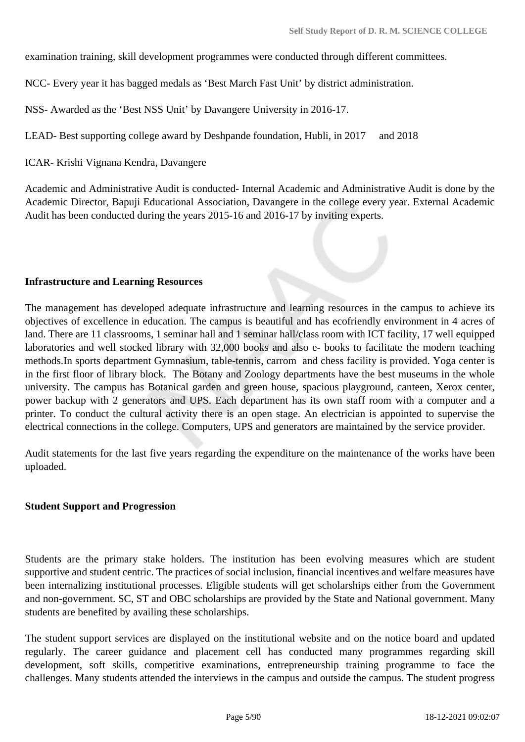examination training, skill development programmes were conducted through different committees.

NCC- Every year it has bagged medals as 'Best March Fast Unit' by district administration.

NSS- Awarded as the 'Best NSS Unit' by Davangere University in 2016-17.

LEAD- Best supporting college award by Deshpande foundation, Hubli, in 2017 and 2018

### ICAR- Krishi Vignana Kendra, Davangere

Academic and Administrative Audit is conducted- Internal Academic and Administrative Audit is done by the Academic Director, Bapuji Educational Association, Davangere in the college every year. External Academic Audit has been conducted during the years 2015-16 and 2016-17 by inviting experts.

#### **Infrastructure and Learning Resources**

The management has developed adequate infrastructure and learning resources in the campus to achieve its objectives of excellence in education. The campus is beautiful and has ecofriendly environment in 4 acres of land. There are 11 classrooms, 1 seminar hall and 1 seminar hall/class room with ICT facility, 17 well equipped laboratories and well stocked library with 32,000 books and also e- books to facilitate the modern teaching methods.In sports department Gymnasium, table-tennis, carrom and chess facility is provided. Yoga center is in the first floor of library block. The Botany and Zoology departments have the best museums in the whole university. The campus has Botanical garden and green house, spacious playground, canteen, Xerox center, power backup with 2 generators and UPS. Each department has its own staff room with a computer and a printer. To conduct the cultural activity there is an open stage. An electrician is appointed to supervise the electrical connections in the college. Computers, UPS and generators are maintained by the service provider.

Audit statements for the last five years regarding the expenditure on the maintenance of the works have been uploaded.

#### **Student Support and Progression**

Students are the primary stake holders. The institution has been evolving measures which are student supportive and student centric. The practices of social inclusion, financial incentives and welfare measures have been internalizing institutional processes. Eligible students will get scholarships either from the Government and non-government. SC, ST and OBC scholarships are provided by the State and National government. Many students are benefited by availing these scholarships.

The student support services are displayed on the institutional website and on the notice board and updated regularly. The career guidance and placement cell has conducted many programmes regarding skill development, soft skills, competitive examinations, entrepreneurship training programme to face the challenges. Many students attended the interviews in the campus and outside the campus. The student progress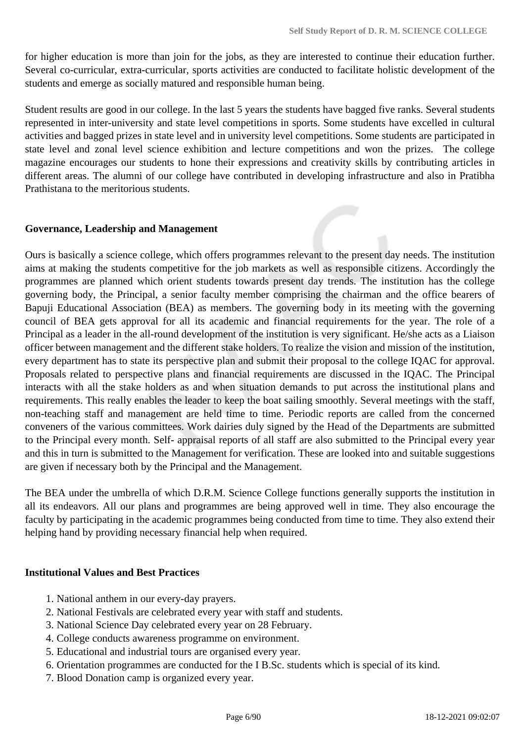for higher education is more than join for the jobs, as they are interested to continue their education further. Several co-curricular, extra-curricular, sports activities are conducted to facilitate holistic development of the students and emerge as socially matured and responsible human being.

Student results are good in our college. In the last 5 years the students have bagged five ranks. Several students represented in inter-university and state level competitions in sports. Some students have excelled in cultural activities and bagged prizes in state level and in university level competitions. Some students are participated in state level and zonal level science exhibition and lecture competitions and won the prizes. The college magazine encourages our students to hone their expressions and creativity skills by contributing articles in different areas. The alumni of our college have contributed in developing infrastructure and also in Pratibha Prathistana to the meritorious students.

### **Governance, Leadership and Management**

Ours is basically a science college, which offers programmes relevant to the present day needs. The institution aims at making the students competitive for the job markets as well as responsible citizens. Accordingly the programmes are planned which orient students towards present day trends. The institution has the college governing body, the Principal, a senior faculty member comprising the chairman and the office bearers of Bapuji Educational Association (BEA) as members. The governing body in its meeting with the governing council of BEA gets approval for all its academic and financial requirements for the year. The role of a Principal as a leader in the all-round development of the institution is very significant. He/she acts as a Liaison officer between management and the different stake holders. To realize the vision and mission of the institution, every department has to state its perspective plan and submit their proposal to the college IQAC for approval. Proposals related to perspective plans and financial requirements are discussed in the IQAC. The Principal interacts with all the stake holders as and when situation demands to put across the institutional plans and requirements. This really enables the leader to keep the boat sailing smoothly. Several meetings with the staff, non-teaching staff and management are held time to time. Periodic reports are called from the concerned conveners of the various committees. Work dairies duly signed by the Head of the Departments are submitted to the Principal every month. Self- appraisal reports of all staff are also submitted to the Principal every year and this in turn is submitted to the Management for verification. These are looked into and suitable suggestions are given if necessary both by the Principal and the Management.

The BEA under the umbrella of which D.R.M. Science College functions generally supports the institution in all its endeavors. All our plans and programmes are being approved well in time. They also encourage the faculty by participating in the academic programmes being conducted from time to time. They also extend their helping hand by providing necessary financial help when required.

### **Institutional Values and Best Practices**

- 1. National anthem in our every-day prayers.
- 2. National Festivals are celebrated every year with staff and students.
- 3. National Science Day celebrated every year on 28 February.
- 4. College conducts awareness programme on environment.
- 5. Educational and industrial tours are organised every year.
- 6. Orientation programmes are conducted for the I B.Sc. students which is special of its kind.
- 7. Blood Donation camp is organized every year.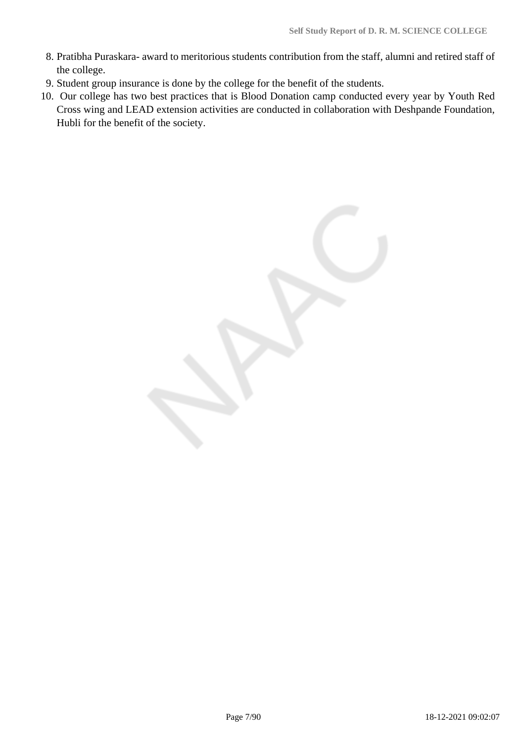- 8. Pratibha Puraskara- award to meritorious students contribution from the staff, alumni and retired staff of the college.
- 9. Student group insurance is done by the college for the benefit of the students.
- 10. Our college has two best practices that is Blood Donation camp conducted every year by Youth Red Cross wing and LEAD extension activities are conducted in collaboration with Deshpande Foundation, Hubli for the benefit of the society.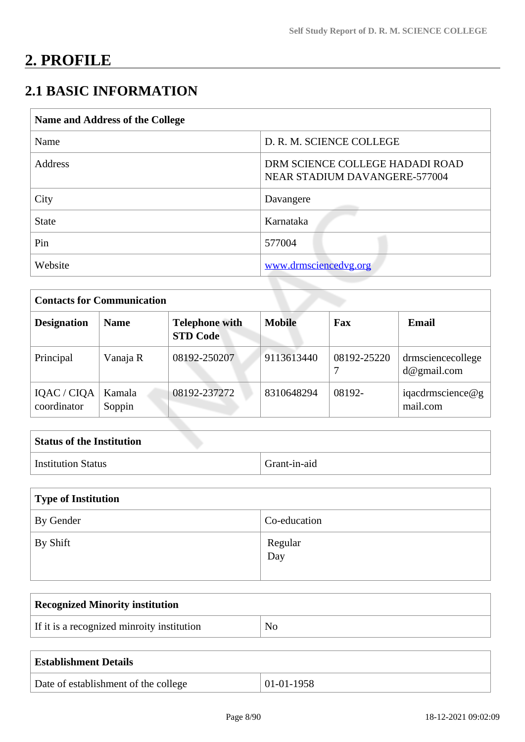# **2. PROFILE**

# **2.1 BASIC INFORMATION**

| Name and Address of the College |                                                                  |  |  |
|---------------------------------|------------------------------------------------------------------|--|--|
| Name                            | D. R. M. SCIENCE COLLEGE                                         |  |  |
| Address                         | DRM SCIENCE COLLEGE HADADI ROAD<br>NEAR STADIUM DAVANGERE-577004 |  |  |
| City                            | Davangere                                                        |  |  |
| <b>State</b>                    | Karnataka                                                        |  |  |
| Pin                             | 577004                                                           |  |  |
| Website                         | www.drmsciencedvg.org                                            |  |  |

| <b>Contacts for Communication</b> |                  |                                          |               |             |                                     |
|-----------------------------------|------------------|------------------------------------------|---------------|-------------|-------------------------------------|
| <b>Designation</b>                | <b>Name</b>      | <b>Telephone with</b><br><b>STD Code</b> | <b>Mobile</b> | Fax         | <b>Email</b>                        |
| Principal                         | Vanaja R         | 08192-250207                             | 9113613440    | 08192-25220 | drmsciencecollege<br>$d$ @gmail.com |
| IQAC / CIQA<br>coordinator        | Kamala<br>Soppin | 08192-237272                             | 8310648294    | 08192-      | iqacdrmscience@g<br>mail.com        |

| <b>Status of the Institution</b> |              |
|----------------------------------|--------------|
| Institution Status               | Grant-in-aid |

| Type of Institution |                |
|---------------------|----------------|
| By Gender           | Co-education   |
| By Shift            | Regular<br>Day |

| <b>Recognized Minority institution</b>     |     |
|--------------------------------------------|-----|
| If it is a recognized minroity institution | No. |
|                                            |     |

| <b>Establishment Details</b>         |              |
|--------------------------------------|--------------|
| Date of establishment of the college | $01-01-1958$ |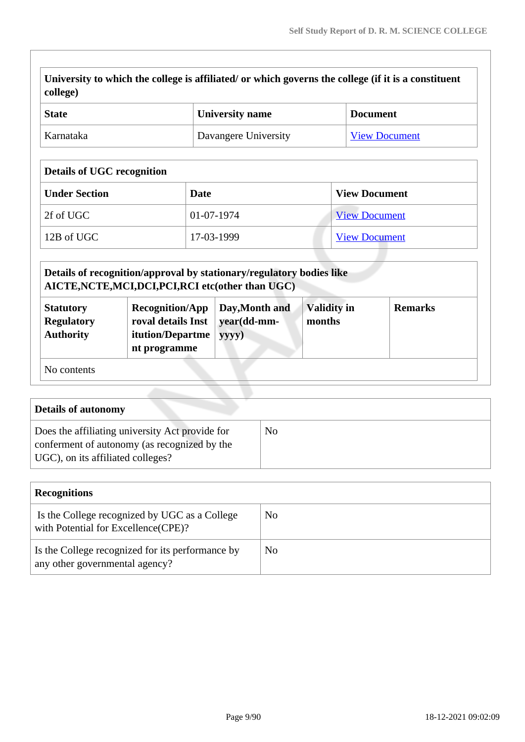**University to which the college is affiliated/ or which governs the college (if it is a constituent college)**

| <b>State</b> | University name      | <b>Document</b>      |
|--------------|----------------------|----------------------|
| Karnataka    | Davangere University | <b>View Document</b> |

# **Details of UGC recognition**

| <b>Under Section</b> | Date       | <b>View Document</b> |
|----------------------|------------|----------------------|
| 2f of UGC            | 01-07-1974 | <b>View Document</b> |
| 12B of UGC           | 17-03-1999 | <b>View Document</b> |

|                                                           | Details of recognition/approval by stationary/regulatory bodies like<br>AICTE, NCTE, MCI, DCI, PCI, RCI etc (other than UGC) |                                        |                              |                |
|-----------------------------------------------------------|------------------------------------------------------------------------------------------------------------------------------|----------------------------------------|------------------------------|----------------|
| <b>Statutory</b><br><b>Regulatory</b><br><b>Authority</b> | <b>Recognition/App</b><br>roval details Inst<br>itution/Departme<br>nt programme                                             | Day, Month and<br>year(dd-mm-<br>yyyy) | <b>Validity in</b><br>months | <b>Remarks</b> |
| No contents                                               |                                                                                                                              |                                        |                              |                |

| <b>Details of autonomy</b>                                                                                                           |    |
|--------------------------------------------------------------------------------------------------------------------------------------|----|
| Does the affiliating university Act provide for<br>conferment of autonomy (as recognized by the<br>UGC), on its affiliated colleges? | No |

| <b>Recognitions</b>                                                                  |    |
|--------------------------------------------------------------------------------------|----|
| Is the College recognized by UGC as a College<br>with Potential for Excellence(CPE)? | No |
| Is the College recognized for its performance by<br>any other governmental agency?   | No |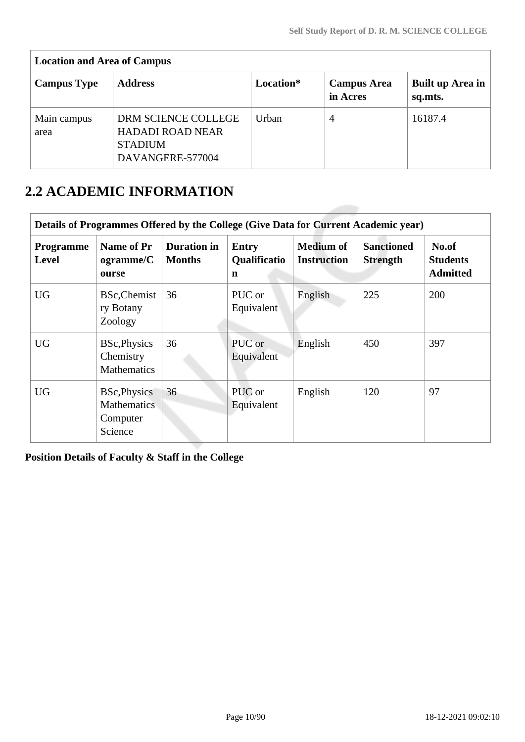| <b>Location and Area of Campus</b> |                                                                                      |           |                                |                             |  |
|------------------------------------|--------------------------------------------------------------------------------------|-----------|--------------------------------|-----------------------------|--|
| <b>Campus Type</b>                 | <b>Address</b>                                                                       | Location* | <b>Campus Area</b><br>in Acres | Built up Area in<br>sq.mts. |  |
| Main campus<br>area                | DRM SCIENCE COLLEGE<br><b>HADADI ROAD NEAR</b><br><b>STADIUM</b><br>DAVANGERE-577004 | Urban     | 4                              | 16187.4                     |  |

# **2.2 ACADEMIC INFORMATION**

|                                  | Details of Programmes Offered by the College (Give Data for Current Academic year) |                                     |                                   |                                        |                                      |                                             |  |  |  |  |
|----------------------------------|------------------------------------------------------------------------------------|-------------------------------------|-----------------------------------|----------------------------------------|--------------------------------------|---------------------------------------------|--|--|--|--|
| <b>Programme</b><br><b>Level</b> | Name of Pr<br>ogramme/C<br>ourse                                                   | <b>Duration</b> in<br><b>Months</b> | <b>Entry</b><br>Qualificatio<br>n | <b>Medium of</b><br><b>Instruction</b> | <b>Sanctioned</b><br><b>Strength</b> | No.of<br><b>Students</b><br><b>Admitted</b> |  |  |  |  |
| <b>UG</b>                        | BSc, Chemist<br>ry Botany<br>Zoology                                               | 36                                  | PUC or<br>Equivalent              | English                                | 225                                  | 200                                         |  |  |  |  |
| <b>UG</b>                        | <b>BSc, Physics</b><br>Chemistry<br><b>Mathematics</b>                             | 36                                  | PUC or<br>Equivalent              | English                                | 450                                  | 397                                         |  |  |  |  |
| <b>UG</b>                        | <b>BSc, Physics</b><br><b>Mathematics</b><br>Computer<br>Science                   | 36                                  | PUC or<br>Equivalent              | English                                | 120                                  | 97                                          |  |  |  |  |

**Position Details of Faculty & Staff in the College**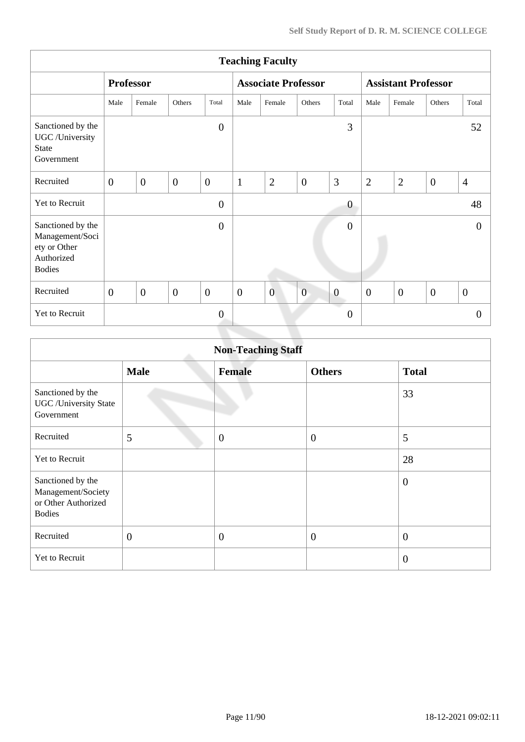| <b>Teaching Faculty</b>                                                             |                  |                  |                |                  |                  |                            |                  |                  |                            |                |                |                |
|-------------------------------------------------------------------------------------|------------------|------------------|----------------|------------------|------------------|----------------------------|------------------|------------------|----------------------------|----------------|----------------|----------------|
|                                                                                     |                  | <b>Professor</b> |                |                  |                  | <b>Associate Professor</b> |                  |                  | <b>Assistant Professor</b> |                |                |                |
|                                                                                     | Male             | Female           | Others         | Total            | Male             | Female                     | Others           | Total            | Male                       | Female         | Others         | Total          |
| Sanctioned by the<br>UGC /University<br>State<br>Government                         |                  |                  |                | $\overline{0}$   |                  |                            |                  | 3                |                            |                |                | 52             |
| Recruited                                                                           | $\overline{0}$   | $\overline{0}$   | $\overline{0}$ | $\overline{0}$   | $\mathbf{1}$     | $\overline{2}$             | $\boldsymbol{0}$ | 3                | $\overline{2}$             | $\overline{2}$ | $\overline{0}$ | $\overline{4}$ |
| Yet to Recruit                                                                      |                  |                  |                | $\overline{0}$   |                  |                            |                  | $\overline{0}$   |                            |                |                | 48             |
| Sanctioned by the<br>Management/Soci<br>ety or Other<br>Authorized<br><b>Bodies</b> |                  |                  |                | $\mathbf{0}$     |                  |                            |                  | $\overline{0}$   |                            |                |                | $\mathbf{0}$   |
| Recruited                                                                           | $\boldsymbol{0}$ | $\overline{0}$   | $\overline{0}$ | $\overline{0}$   | $\boldsymbol{0}$ | $\overline{0}$             | $\overline{0}$   | $\boldsymbol{0}$ | $\overline{0}$             | $\overline{0}$ | $\overline{0}$ | $\overline{0}$ |
| Yet to Recruit                                                                      |                  |                  |                | $\boldsymbol{0}$ |                  |                            |                  | a.<br>$\theta$   |                            |                |                | $\overline{0}$ |
|                                                                                     |                  |                  |                |                  |                  |                            |                  |                  |                            |                |                |                |

| <b>Non-Teaching Staff</b>                                                       |                |                |                  |                |  |  |  |  |
|---------------------------------------------------------------------------------|----------------|----------------|------------------|----------------|--|--|--|--|
|                                                                                 | <b>Male</b>    | <b>Female</b>  | <b>Others</b>    | <b>Total</b>   |  |  |  |  |
| Sanctioned by the<br><b>UGC</b> / University State<br>Government                |                |                |                  | 33             |  |  |  |  |
| Recruited                                                                       | 5              | $\overline{0}$ | $\boldsymbol{0}$ | 5              |  |  |  |  |
| Yet to Recruit                                                                  |                |                |                  | 28             |  |  |  |  |
| Sanctioned by the<br>Management/Society<br>or Other Authorized<br><b>Bodies</b> |                |                |                  | $\overline{0}$ |  |  |  |  |
| Recruited                                                                       | $\overline{0}$ | $\mathbf{0}$   | $\boldsymbol{0}$ | $\overline{0}$ |  |  |  |  |
| Yet to Recruit                                                                  |                |                |                  | $\overline{0}$ |  |  |  |  |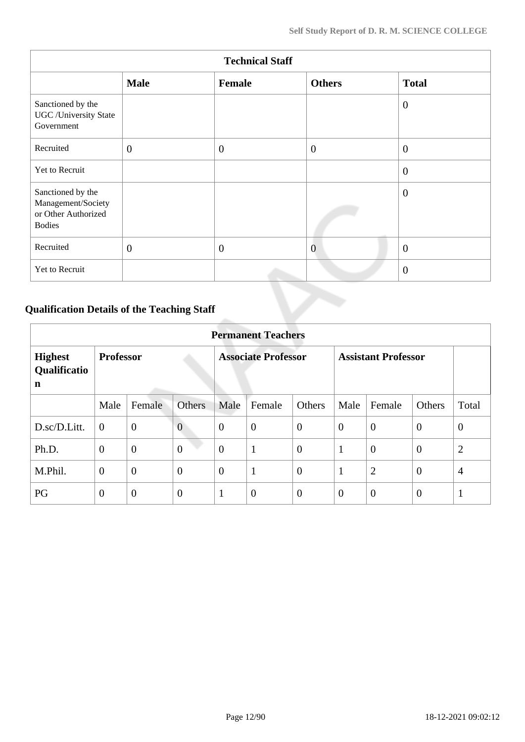| <b>Technical Staff</b>                                                          |              |              |                |                  |  |  |  |  |  |
|---------------------------------------------------------------------------------|--------------|--------------|----------------|------------------|--|--|--|--|--|
|                                                                                 | <b>Male</b>  | Female       | <b>Others</b>  | <b>Total</b>     |  |  |  |  |  |
| Sanctioned by the<br><b>UGC</b> /University State<br>Government                 |              |              |                | $\boldsymbol{0}$ |  |  |  |  |  |
| Recruited                                                                       | $\mathbf{0}$ | $\mathbf{0}$ | $\overline{0}$ | $\overline{0}$   |  |  |  |  |  |
| Yet to Recruit                                                                  |              |              |                | $\overline{0}$   |  |  |  |  |  |
| Sanctioned by the<br>Management/Society<br>or Other Authorized<br><b>Bodies</b> |              |              |                | $\overline{0}$   |  |  |  |  |  |
| Recruited                                                                       | $\mathbf{0}$ | $\mathbf{0}$ | $\overline{0}$ | $\theta$         |  |  |  |  |  |
| Yet to Recruit                                                                  |              |              |                | $\overline{0}$   |  |  |  |  |  |

# **Qualification Details of the Teaching Staff**

|                                     | <b>Permanent Teachers</b> |                |                |                            |                  |                |                            |                |                |                |  |  |
|-------------------------------------|---------------------------|----------------|----------------|----------------------------|------------------|----------------|----------------------------|----------------|----------------|----------------|--|--|
| <b>Highest</b><br>Qualificatio<br>n | <b>Professor</b>          |                |                | <b>Associate Professor</b> |                  |                | <b>Assistant Professor</b> |                |                |                |  |  |
|                                     | Male                      | Female         | <b>Others</b>  | Male                       | Female           | Others         | Male                       | Female         | Others         | Total          |  |  |
| D.sc/D.Litt.                        | $\mathbf{0}$              | $\mathbf{0}$   | $\overline{0}$ | $\overline{0}$             | $\boldsymbol{0}$ | $\mathbf{0}$   | $\overline{0}$             | $\mathbf{0}$   | $\mathbf{0}$   | $\mathbf{0}$   |  |  |
| Ph.D.                               | $\overline{0}$            | $\overline{0}$ | $\overline{0}$ | $\theta$                   | $\mathbf{1}$     | $\overline{0}$ | -1                         | $\theta$       | $\theta$       | $\overline{2}$ |  |  |
| M.Phil.                             | $\theta$                  | $\mathbf{0}$   | $\overline{0}$ | $\overline{0}$             | $\mathbf{1}$     | $\overline{0}$ | $\mathbf{1}$               | $\overline{2}$ | $\theta$       | $\overline{4}$ |  |  |
| PG                                  | $\overline{0}$            | $\theta$       | $\overline{0}$ | 1                          | $\overline{0}$   | $\overline{0}$ | $\theta$                   | $\overline{0}$ | $\overline{0}$ | $\mathbf{1}$   |  |  |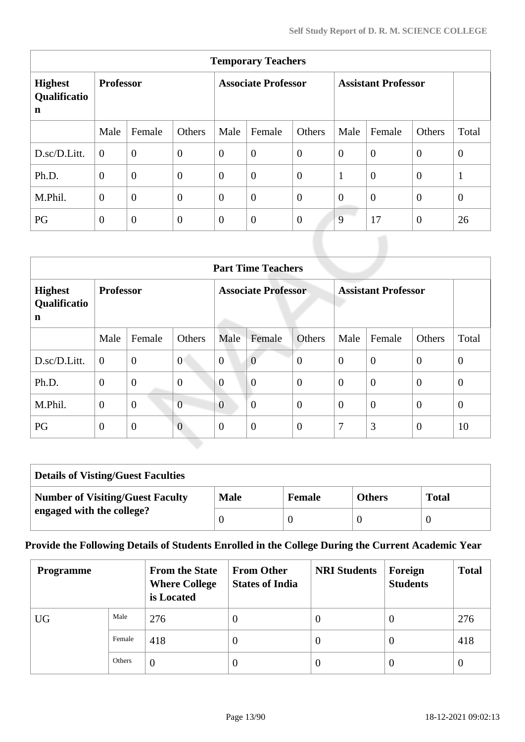| <b>Temporary Teachers</b>           |                  |                  |                  |                            |                  |                |                            |                |                |                |  |
|-------------------------------------|------------------|------------------|------------------|----------------------------|------------------|----------------|----------------------------|----------------|----------------|----------------|--|
| <b>Highest</b><br>Qualificatio<br>n | <b>Professor</b> |                  |                  | <b>Associate Professor</b> |                  |                | <b>Assistant Professor</b> |                |                |                |  |
|                                     | Male             | Female           | Others           | Male                       | Female           | Others         | Male                       | Female         | Others         | Total          |  |
| D.sc/D.Litt.                        | $\theta$         | $\overline{0}$   | $\boldsymbol{0}$ | $\overline{0}$             | $\overline{0}$   | $\overline{0}$ | $\overline{0}$             | $\overline{0}$ | $\overline{0}$ | $\overline{0}$ |  |
| Ph.D.                               | $\overline{0}$   | $\boldsymbol{0}$ | $\boldsymbol{0}$ | $\overline{0}$             | $\overline{0}$   | $\overline{0}$ | $\mathbf{1}$               | $\overline{0}$ | $\theta$       | $\mathbf{1}$   |  |
| M.Phil.                             | $\theta$         | $\overline{0}$   | $\overline{0}$   | $\overline{0}$             | $\overline{0}$   | $\overline{0}$ | $\overline{0}$             | $\overline{0}$ | $\theta$       | $\overline{0}$ |  |
| PG                                  | $\overline{0}$   | $\boldsymbol{0}$ | $\mathbf{0}$     | $\overline{0}$             | $\boldsymbol{0}$ | $\overline{0}$ | 9                          | 17             | $\overline{0}$ | 26             |  |

|                                                         | <b>Part Time Teachers</b> |                |                |                            |                |                |                            |                |                  |                |  |  |
|---------------------------------------------------------|---------------------------|----------------|----------------|----------------------------|----------------|----------------|----------------------------|----------------|------------------|----------------|--|--|
| <b>Professor</b><br><b>Highest</b><br>Qualificatio<br>n |                           |                |                | <b>Associate Professor</b> |                |                | <b>Assistant Professor</b> |                |                  |                |  |  |
|                                                         | Male                      | Female         | Others         | Male                       | Female         | <b>Others</b>  | Male                       | Female         | Others           | Total          |  |  |
| D.sc/D.Litt.                                            | $\boldsymbol{0}$          | $\mathbf{0}$   | $\overline{0}$ | $\overline{0}$             | $\overline{0}$ | $\overline{0}$ | $\theta$                   | $\overline{0}$ | $\boldsymbol{0}$ | $\overline{0}$ |  |  |
| Ph.D.                                                   | $\overline{0}$            | $\overline{0}$ | $\overline{0}$ | $\overline{0}$             | $\overline{0}$ | $\overline{0}$ | $\Omega$                   | $\theta$       | $\overline{0}$   | $\theta$       |  |  |
| M.Phil.                                                 | $\theta$                  | $\overline{0}$ | $\overline{0}$ | $\overline{0}$             | $\theta$       | $\overline{0}$ | $\theta$                   | $\overline{0}$ | $\overline{0}$   | $\overline{0}$ |  |  |
| PG                                                      | $\overline{0}$            | $\overline{0}$ | $\overline{0}$ | $\theta$                   | $\overline{0}$ | $\overline{0}$ | 7                          | 3              | $\overline{0}$   | 10             |  |  |

| <b>Details of Visting/Guest Faculties</b> |             |               |               |              |  |  |  |  |
|-------------------------------------------|-------------|---------------|---------------|--------------|--|--|--|--|
| <b>Number of Visiting/Guest Faculty</b>   | <b>Male</b> | <b>Female</b> | <b>Others</b> | <b>Total</b> |  |  |  |  |
| engaged with the college?                 |             |               |               |              |  |  |  |  |

# **Provide the Following Details of Students Enrolled in the College During the Current Academic Year**

| <b>Programme</b> |        | <b>From the State</b><br><b>Where College</b><br>is Located | <b>From Other</b><br><b>States of India</b> | <b>NRI Students</b> | Foreign<br><b>Students</b> | <b>Total</b> |
|------------------|--------|-------------------------------------------------------------|---------------------------------------------|---------------------|----------------------------|--------------|
| <b>UG</b>        | Male   | 276                                                         | $\theta$                                    | v                   | $\theta$                   | 276          |
|                  | Female | 418                                                         | $\theta$                                    | $\theta$            | $\Omega$                   | 418          |
|                  | Others | $\overline{0}$                                              | 0                                           | $\theta$            | $\theta$                   | $\theta$     |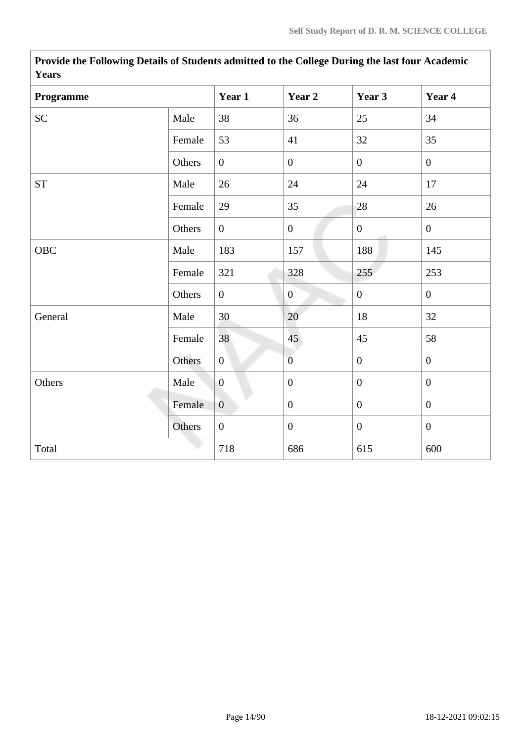| <b>Years</b>       |        |                  |                  |                  |                  |
|--------------------|--------|------------------|------------------|------------------|------------------|
| Programme          |        | Year 1           | Year 2           | Year 3           | Year 4           |
| <b>SC</b>          | Male   | 38               | 36               | 25               | 34               |
|                    | Female | 53               | 41               | 32               | 35               |
|                    | Others | $\overline{0}$   | $\boldsymbol{0}$ | $\overline{0}$   | $\overline{0}$   |
| ${\cal S}{\cal T}$ | Male   | 26               | 24               | 24               | 17               |
|                    | Female | 29               | 35               | 28               | 26               |
|                    | Others | $\overline{0}$   | $\overline{0}$   | $\mathbf{0}$     | $\overline{0}$   |
| OBC                | Male   | 183              | 157              | 188              | 145              |
|                    | Female | 321              | 328              | 255              | 253              |
|                    | Others | $\boldsymbol{0}$ | $\boldsymbol{0}$ | $\boldsymbol{0}$ | $\overline{0}$   |
| General            | Male   | 30               | 20               | 18               | 32               |
|                    | Female | 38               | 45               | 45               | 58               |
|                    | Others | $\mathbf{0}$     | $\overline{0}$   | $\boldsymbol{0}$ | $\boldsymbol{0}$ |
| Others             | Male   | $\overline{0}$   | $\overline{0}$   | $\overline{0}$   | $\overline{0}$   |
|                    | Female | $\mathbf{0}$     | $\boldsymbol{0}$ | $\boldsymbol{0}$ | $\overline{0}$   |
|                    | Others | $\overline{0}$   | $\boldsymbol{0}$ | $\overline{0}$   | $\overline{0}$   |
| Total              |        | 718              | 686              | 615              | 600              |

 **Provide the Following Details of Students admitted to the College During the last four Academic Years**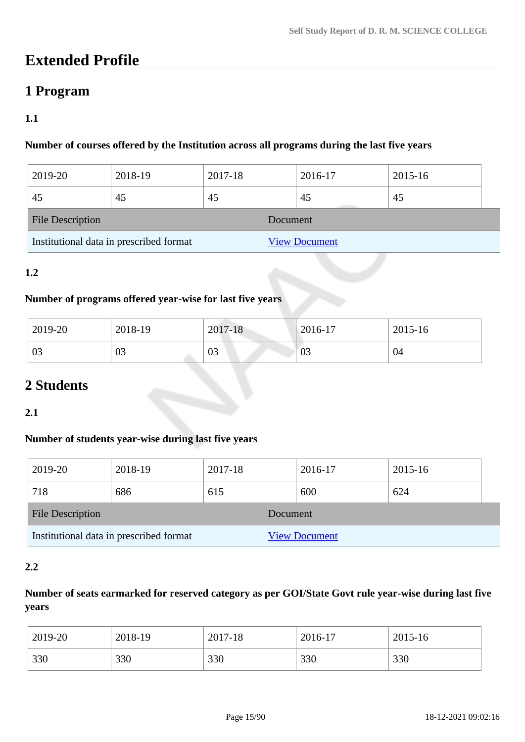# **Extended Profile**

# **1 Program**

# **1.1**

# **Number of courses offered by the Institution across all programs during the last five years**

| 2019-20                                 | 2018-19 | 2017-18 |          | 2016-17              | 2015-16 |  |  |
|-----------------------------------------|---------|---------|----------|----------------------|---------|--|--|
| 45                                      | 45      | 45      |          | 45                   | 45      |  |  |
| <b>File Description</b>                 |         |         | Document |                      |         |  |  |
| Institutional data in prescribed format |         |         |          | <b>View Document</b> |         |  |  |

# **1.2**

### **Number of programs offered year-wise for last five years**

| 2019-20 | 2018-19 | 2017-18 | $2016-17$ | 2015-16 |
|---------|---------|---------|-----------|---------|
| 03      | 03      | 03      | 03        | 04      |

# **2 Students**

### **2.1**

### **Number of students year-wise during last five years**

| 2019-20                 | 2018-19                                 | 2017-18 |          | 2016-17              | 2015-16 |  |
|-------------------------|-----------------------------------------|---------|----------|----------------------|---------|--|
| 718                     | 686                                     | 615     |          | 600                  | 624     |  |
| <b>File Description</b> |                                         |         | Document |                      |         |  |
|                         | Institutional data in prescribed format |         |          | <b>View Document</b> |         |  |

### **2.2**

# **Number of seats earmarked for reserved category as per GOI/State Govt rule year-wise during last five years**

| 2019-20 | 2018-19 | 2017-18 | 2016-17 | 2015-16 |
|---------|---------|---------|---------|---------|
| 330     | 330     | 330     | 330     | 330     |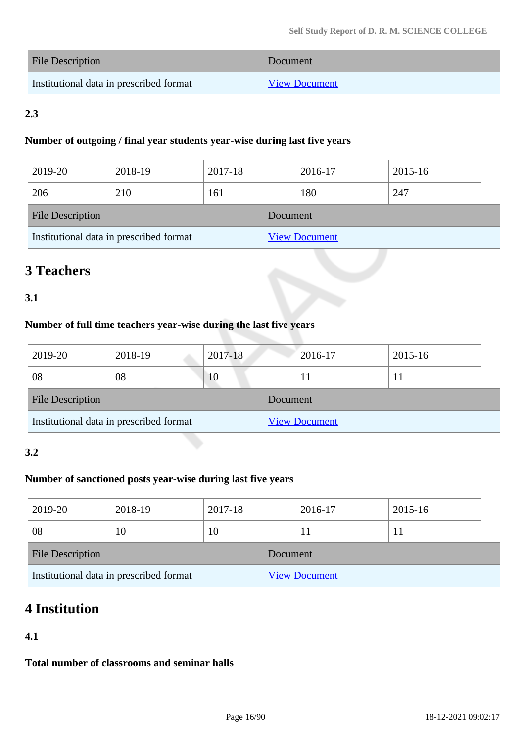| <b>File Description</b>                 | Document             |
|-----------------------------------------|----------------------|
| Institutional data in prescribed format | <b>View Document</b> |

# **2.3**

### **Number of outgoing / final year students year-wise during last five years**

| 2019-20                 | 2018-19                                 | 2017-18 |          | 2016-17              | 2015-16 |  |
|-------------------------|-----------------------------------------|---------|----------|----------------------|---------|--|
| 206                     | 210                                     | 161     |          | 180                  | 247     |  |
| <b>File Description</b> |                                         |         | Document |                      |         |  |
|                         | Institutional data in prescribed format |         |          | <b>View Document</b> |         |  |

# **3 Teachers**

# **3.1**

# **Number of full time teachers year-wise during the last five years**

| 2019-20                 | 2018-19                                 | 2017-18 |          | 2016-17              | 2015-16 |  |
|-------------------------|-----------------------------------------|---------|----------|----------------------|---------|--|
| 08                      | 08                                      | 10      |          | 11                   |         |  |
| <b>File Description</b> |                                         |         | Document |                      |         |  |
|                         | Institutional data in prescribed format |         |          | <b>View Document</b> |         |  |

# **3.2**

# **Number of sanctioned posts year-wise during last five years**

| 2019-20                 | 2018-19                                 | 2017-18 |          | 2016-17              | 2015-16 |  |
|-------------------------|-----------------------------------------|---------|----------|----------------------|---------|--|
| 08                      | 10                                      | 10      |          |                      |         |  |
| <b>File Description</b> |                                         |         | Document |                      |         |  |
|                         | Institutional data in prescribed format |         |          | <b>View Document</b> |         |  |

# **4 Institution**

# **4.1**

**Total number of classrooms and seminar halls**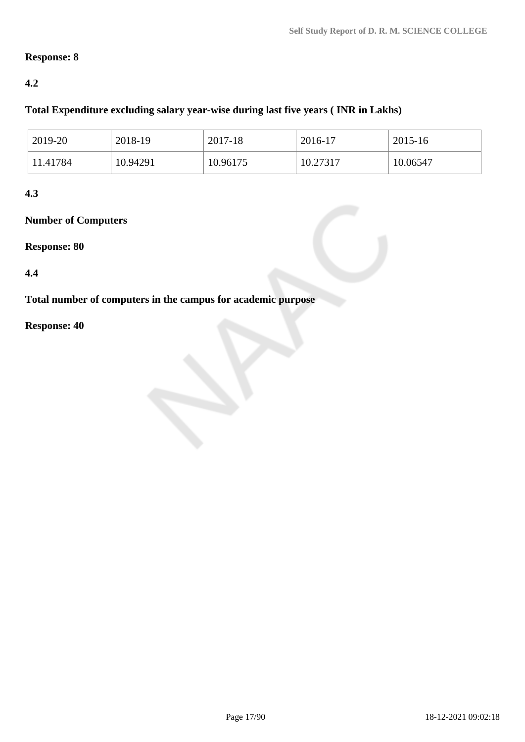# **Response: 8**

### **4.2**

### **Total Expenditure excluding salary year-wise during last five years ( INR in Lakhs)**

| $2019-20$ | 2018-19  | 2017-18  | 2016-17  | 2015-16  |
|-----------|----------|----------|----------|----------|
| 11.41784  | 10.94291 | 10.96175 | 10.27317 | 10.06547 |

### **4.3**

# **Number of Computers**

### **Response: 80**

### **4.4**

**Total number of computers in the campus for academic purpose**

# **Response: 40**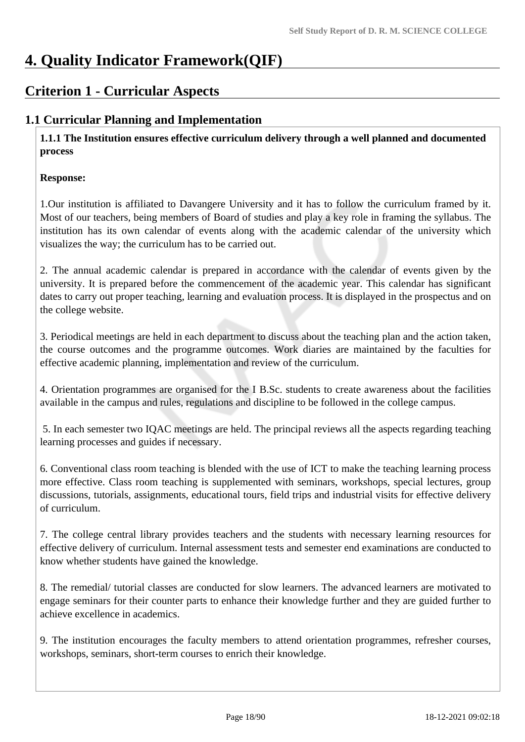# **4. Quality Indicator Framework(QIF)**

# **Criterion 1 - Curricular Aspects**

# **1.1 Curricular Planning and Implementation**

 **1.1.1 The Institution ensures effective curriculum delivery through a well planned and documented process**

### **Response:**

1.Our institution is affiliated to Davangere University and it has to follow the curriculum framed by it. Most of our teachers, being members of Board of studies and play a key role in framing the syllabus. The institution has its own calendar of events along with the academic calendar of the university which visualizes the way; the curriculum has to be carried out.

2. The annual academic calendar is prepared in accordance with the calendar of events given by the university. It is prepared before the commencement of the academic year. This calendar has significant dates to carry out proper teaching, learning and evaluation process. It is displayed in the prospectus and on the college website.

3. Periodical meetings are held in each department to discuss about the teaching plan and the action taken, the course outcomes and the programme outcomes. Work diaries are maintained by the faculties for effective academic planning, implementation and review of the curriculum.

4. Orientation programmes are organised for the I B.Sc. students to create awareness about the facilities available in the campus and rules, regulations and discipline to be followed in the college campus.

 5. In each semester two IQAC meetings are held. The principal reviews all the aspects regarding teaching learning processes and guides if necessary.

6. Conventional class room teaching is blended with the use of ICT to make the teaching learning process more effective. Class room teaching is supplemented with seminars, workshops, special lectures, group discussions, tutorials, assignments, educational tours, field trips and industrial visits for effective delivery of curriculum.

7. The college central library provides teachers and the students with necessary learning resources for effective delivery of curriculum. Internal assessment tests and semester end examinations are conducted to know whether students have gained the knowledge.

8. The remedial/ tutorial classes are conducted for slow learners. The advanced learners are motivated to engage seminars for their counter parts to enhance their knowledge further and they are guided further to achieve excellence in academics.

9. The institution encourages the faculty members to attend orientation programmes, refresher courses, workshops, seminars, short-term courses to enrich their knowledge.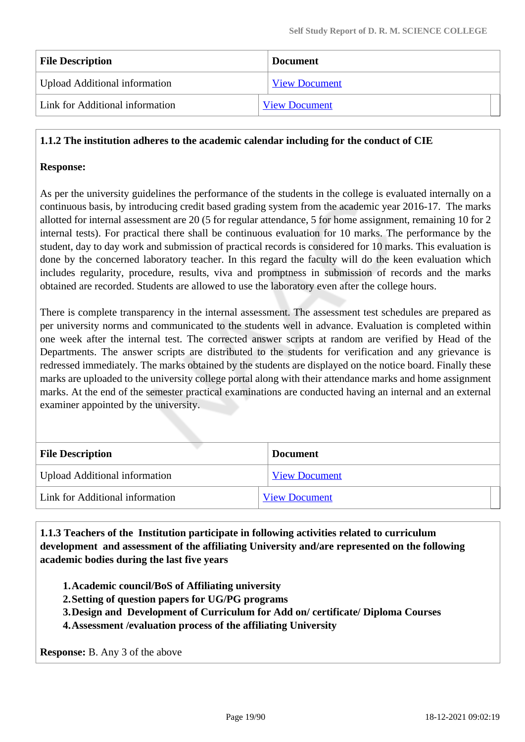| <b>File Description</b>              | <b>Document</b>      |
|--------------------------------------|----------------------|
| <b>Upload Additional information</b> | <b>View Document</b> |
| Link for Additional information      | <b>View Document</b> |

### **1.1.2 The institution adheres to the academic calendar including for the conduct of CIE**

### **Response:**

As per the university guidelines the performance of the students in the college is evaluated internally on a continuous basis, by introducing credit based grading system from the academic year 2016-17. The marks allotted for internal assessment are 20 (5 for regular attendance, 5 for home assignment, remaining 10 for 2 internal tests). For practical there shall be continuous evaluation for 10 marks. The performance by the student, day to day work and submission of practical records is considered for 10 marks. This evaluation is done by the concerned laboratory teacher. In this regard the faculty will do the keen evaluation which includes regularity, procedure, results, viva and promptness in submission of records and the marks obtained are recorded. Students are allowed to use the laboratory even after the college hours.

There is complete transparency in the internal assessment. The assessment test schedules are prepared as per university norms and communicated to the students well in advance. Evaluation is completed within one week after the internal test. The corrected answer scripts at random are verified by Head of the Departments. The answer scripts are distributed to the students for verification and any grievance is redressed immediately. The marks obtained by the students are displayed on the notice board. Finally these marks are uploaded to the university college portal along with their attendance marks and home assignment marks. At the end of the semester practical examinations are conducted having an internal and an external examiner appointed by the university.

| <b>File Description</b>              | <b>Document</b>      |
|--------------------------------------|----------------------|
| <b>Upload Additional information</b> | <b>View Document</b> |
| Link for Additional information      | <b>View Document</b> |

 **1.1.3 Teachers of the Institution participate in following activities related to curriculum development and assessment of the affiliating University and/are represented on the following academic bodies during the last five years** 

- **1.Academic council/BoS of Affiliating university**
- **2.Setting of question papers for UG/PG programs**
- **3.Design and Development of Curriculum for Add on/ certificate/ Diploma Courses**
- **4.Assessment /evaluation process of the affiliating University**

**Response:** B. Any 3 of the above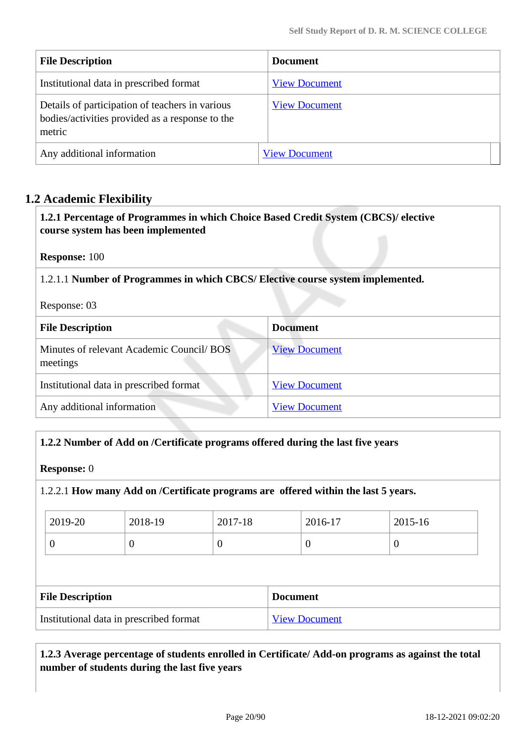| <b>File Description</b>                                                                                      | <b>Document</b>      |
|--------------------------------------------------------------------------------------------------------------|----------------------|
| Institutional data in prescribed format                                                                      | <b>View Document</b> |
| Details of participation of teachers in various<br>bodies/activities provided as a response to the<br>metric | <b>View Document</b> |
| Any additional information                                                                                   | <b>View Document</b> |

# **1.2 Academic Flexibility**

| 1.2.1 Percentage of Programmes in which Choice Based Credit System (CBCS)/ elective<br>course system has been implemented |                      |
|---------------------------------------------------------------------------------------------------------------------------|----------------------|
| <b>Response: 100</b>                                                                                                      |                      |
| 1.2.1.1 Number of Programmes in which CBCS/ Elective course system implemented.                                           |                      |
| Response: 03                                                                                                              |                      |
| <b>File Description</b>                                                                                                   | <b>Document</b>      |
| Minutes of relevant Academic Council/ BOS<br>meetings                                                                     | <b>View Document</b> |
| Institutional data in prescribed format                                                                                   | <b>View Document</b> |
| Any additional information                                                                                                | <b>View Document</b> |

# **1.2.2 Number of Add on /Certificate programs offered during the last five years**

#### **Response:** 0

### 1.2.2.1 **How many Add on /Certificate programs are offered within the last 5 years.**

| 2019-20 | 2018-19 | 2017-18 | 2016-17 | $2015 - 16$ |
|---------|---------|---------|---------|-------------|
|         |         |         |         |             |

| <b>File Description</b>                 | <b>Document</b>      |
|-----------------------------------------|----------------------|
| Institutional data in prescribed format | <b>View Document</b> |

# **1.2.3 Average percentage of students enrolled in Certificate/ Add-on programs as against the total number of students during the last five years**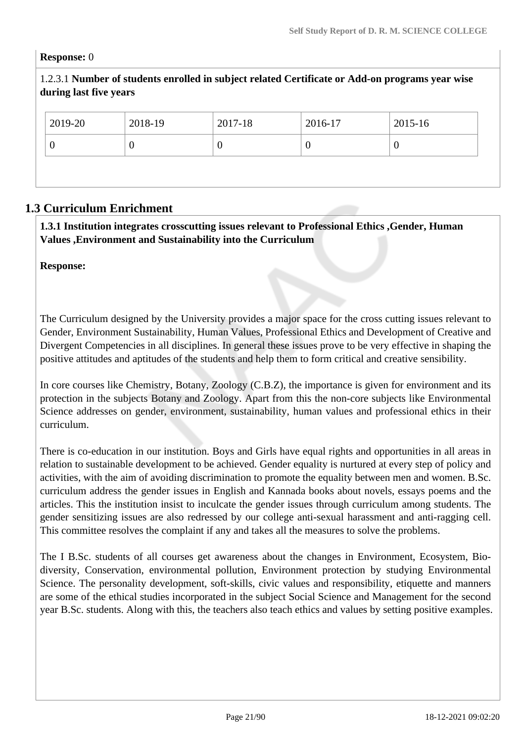#### **Response:** 0

1.2.3.1 **Number of students enrolled in subject related Certificate or Add-on programs year wise during last five years**

| 2019-20 | 2018-19 | 2017-18 | 2016-17 | 2015-16 |
|---------|---------|---------|---------|---------|
| v       |         |         | U       | U       |

# **1.3 Curriculum Enrichment**

 **1.3.1 Institution integrates crosscutting issues relevant to Professional Ethics ,Gender, Human Values ,Environment and Sustainability into the Curriculum**

**Response:** 

The Curriculum designed by the University provides a major space for the cross cutting issues relevant to Gender, Environment Sustainability, Human Values, Professional Ethics and Development of Creative and Divergent Competencies in all disciplines. In general these issues prove to be very effective in shaping the positive attitudes and aptitudes of the students and help them to form critical and creative sensibility.

In core courses like Chemistry, Botany, Zoology (C.B.Z), the importance is given for environment and its protection in the subjects Botany and Zoology. Apart from this the non-core subjects like Environmental Science addresses on gender, environment, sustainability, human values and professional ethics in their curriculum.

There is co-education in our institution. Boys and Girls have equal rights and opportunities in all areas in relation to sustainable development to be achieved. Gender equality is nurtured at every step of policy and activities, with the aim of avoiding discrimination to promote the equality between men and women. B.Sc. curriculum address the gender issues in English and Kannada books about novels, essays poems and the articles. This the institution insist to inculcate the gender issues through curriculum among students. The gender sensitizing issues are also redressed by our college anti-sexual harassment and anti-ragging cell. This committee resolves the complaint if any and takes all the measures to solve the problems.

The I B.Sc. students of all courses get awareness about the changes in Environment, Ecosystem, Biodiversity, Conservation, environmental pollution, Environment protection by studying Environmental Science. The personality development, soft-skills, civic values and responsibility, etiquette and manners are some of the ethical studies incorporated in the subject Social Science and Management for the second year B.Sc. students. Along with this, the teachers also teach ethics and values by setting positive examples.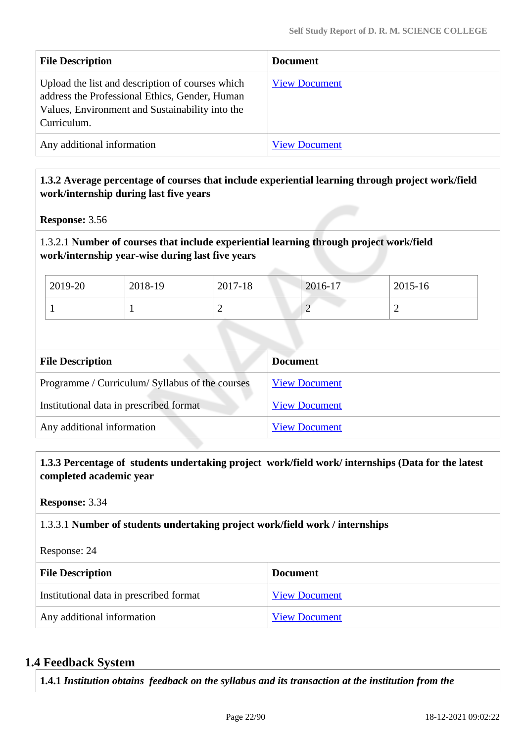| <b>File Description</b>                                                                                                                                              | <b>Document</b>      |
|----------------------------------------------------------------------------------------------------------------------------------------------------------------------|----------------------|
| Upload the list and description of courses which<br>address the Professional Ethics, Gender, Human<br>Values, Environment and Sustainability into the<br>Curriculum. | <b>View Document</b> |
| Any additional information                                                                                                                                           | <b>View Document</b> |

# **1.3.2 Average percentage of courses that include experiential learning through project work/field work/internship during last five years**

**Response:** 3.56

### 1.3.2.1 **Number of courses that include experiential learning through project work/field work/internship year-wise during last five years**

| 2019-20 | 2018-19 | 2017-18 | 2016-17                  | 2015-16 |
|---------|---------|---------|--------------------------|---------|
|         |         | ∼       | $\overline{\phantom{0}}$ | ∽       |

| <b>File Description</b>                         | <b>Document</b>      |
|-------------------------------------------------|----------------------|
| Programme / Curriculum/ Syllabus of the courses | <b>View Document</b> |
| Institutional data in prescribed format         | <b>View Document</b> |
| Any additional information                      | <b>View Document</b> |

 **1.3.3 Percentage of students undertaking project work/field work/ internships (Data for the latest completed academic year**

**Response:** 3.34

1.3.3.1 **Number of students undertaking project work/field work / internships**

Response: 24

| <b>File Description</b>                 | <b>Document</b>      |
|-----------------------------------------|----------------------|
| Institutional data in prescribed format | <b>View Document</b> |
| Any additional information              | <b>View Document</b> |

# **1.4 Feedback System**

**1.4.1** *Institution obtains feedback on the syllabus and its transaction at the institution from the*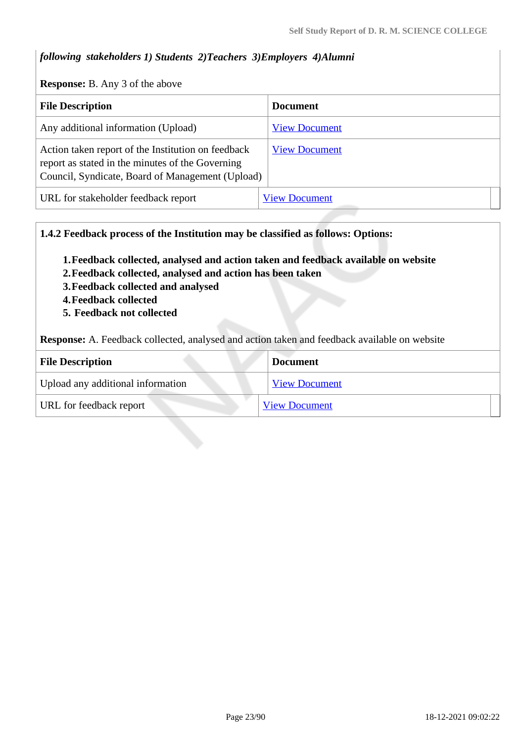### *following stakeholders 1) Students 2)Teachers 3)Employers 4)Alumni*

**Response:** B. Any 3 of the above

| <b>File Description</b>                                                                                                                                    | <b>Document</b>      |
|------------------------------------------------------------------------------------------------------------------------------------------------------------|----------------------|
| Any additional information (Upload)                                                                                                                        | <b>View Document</b> |
| Action taken report of the Institution on feedback<br>report as stated in the minutes of the Governing<br>Council, Syndicate, Board of Management (Upload) | <b>View Document</b> |
| URL for stakeholder feedback report                                                                                                                        | <b>View Document</b> |

**1.4.2 Feedback process of the Institution may be classified as follows: Options:**

- **1.Feedback collected, analysed and action taken and feedback available on website**
- **2.Feedback collected, analysed and action has been taken**
- **3.Feedback collected and analysed**
- **4.Feedback collected**
- **5. Feedback not collected**

**Response:** A. Feedback collected, analysed and action taken and feedback available on website

| <b>File Description</b>           | <b>Document</b>      |
|-----------------------------------|----------------------|
| Upload any additional information | <b>View Document</b> |
| URL for feedback report           | <b>View Document</b> |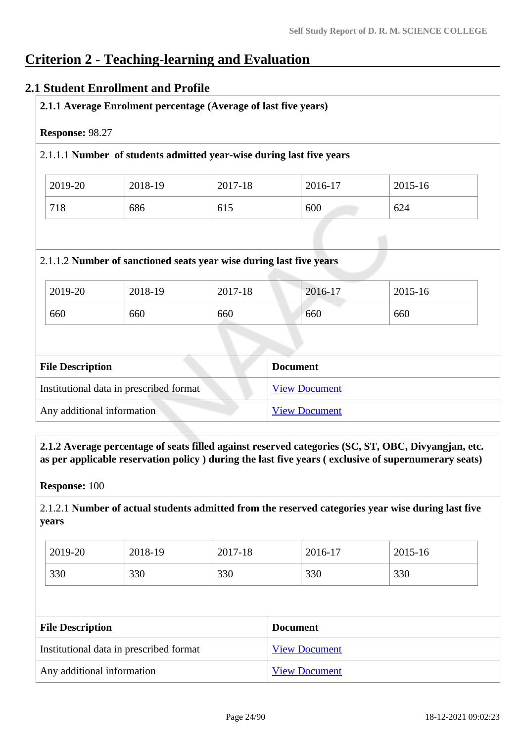# **Criterion 2 - Teaching-learning and Evaluation**

### **2.1 Student Enrollment and Profile**

|                         |                                         | 2.1.1.1 Number of students admitted year-wise during last five years |                      |         |
|-------------------------|-----------------------------------------|----------------------------------------------------------------------|----------------------|---------|
| 2019-20                 | 2018-19                                 | 2017-18                                                              | 2016-17              | 2015-16 |
| 718                     | 686                                     | 615                                                                  | 600                  | 624     |
|                         |                                         | 2.1.1.2 Number of sanctioned seats year wise during last five years  |                      |         |
| 2019-20                 | 2018-19                                 | 2017-18                                                              | 2016-17              | 2015-16 |
| 660                     | 660                                     | 660                                                                  | 660                  | 660     |
|                         |                                         |                                                                      |                      |         |
|                         |                                         |                                                                      | <b>Document</b>      |         |
| <b>File Description</b> | Institutional data in prescribed format |                                                                      | <b>View Document</b> |         |

 **2.1.2 Average percentage of seats filled against reserved categories (SC, ST, OBC, Divyangjan, etc. as per applicable reservation policy ) during the last five years ( exclusive of supernumerary seats)**

**Response:** 100

2.1.2.1 **Number of actual students admitted from the reserved categories year wise during last five years**

| 2019-20 | 2018-19 | 2017-18 | 2016-17 | 2015-16 |
|---------|---------|---------|---------|---------|
| 330     | 330     | 330     | 330     | 330     |

| <b>File Description</b>                 | <b>Document</b>      |
|-----------------------------------------|----------------------|
| Institutional data in prescribed format | <b>View Document</b> |
| Any additional information              | <b>View Document</b> |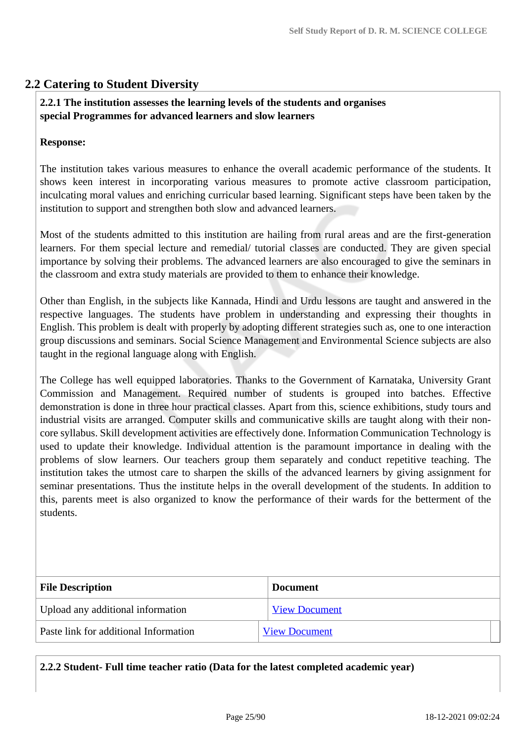# **2.2 Catering to Student Diversity**

### **2.2.1 The institution assesses the learning levels of the students and organises special Programmes for advanced learners and slow learners**

### **Response:**

The institution takes various measures to enhance the overall academic performance of the students. It shows keen interest in incorporating various measures to promote active classroom participation, inculcating moral values and enriching curricular based learning. Significant steps have been taken by the institution to support and strengthen both slow and advanced learners.

Most of the students admitted to this institution are hailing from rural areas and are the first-generation learners. For them special lecture and remedial/ tutorial classes are conducted. They are given special importance by solving their problems. The advanced learners are also encouraged to give the seminars in the classroom and extra study materials are provided to them to enhance their knowledge.

Other than English, in the subjects like Kannada, Hindi and Urdu lessons are taught and answered in the respective languages. The students have problem in understanding and expressing their thoughts in English. This problem is dealt with properly by adopting different strategies such as, one to one interaction group discussions and seminars. Social Science Management and Environmental Science subjects are also taught in the regional language along with English.

The College has well equipped laboratories. Thanks to the Government of Karnataka, University Grant Commission and Management. Required number of students is grouped into batches. Effective demonstration is done in three hour practical classes. Apart from this, science exhibitions, study tours and industrial visits are arranged. Computer skills and communicative skills are taught along with their noncore syllabus. Skill development activities are effectively done. Information Communication Technology is used to update their knowledge. Individual attention is the paramount importance in dealing with the problems of slow learners. Our teachers group them separately and conduct repetitive teaching. The institution takes the utmost care to sharpen the skills of the advanced learners by giving assignment for seminar presentations. Thus the institute helps in the overall development of the students. In addition to this, parents meet is also organized to know the performance of their wards for the betterment of the students.

| <b>File Description</b>               | <b>Document</b>      |
|---------------------------------------|----------------------|
| Upload any additional information     | <b>View Document</b> |
| Paste link for additional Information | <b>View Document</b> |

**2.2.2 Student- Full time teacher ratio (Data for the latest completed academic year)**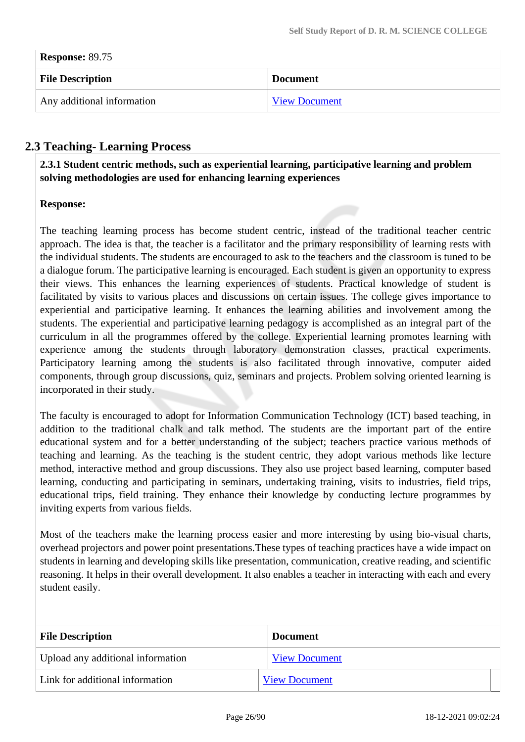| Response: 89.75            |                      |
|----------------------------|----------------------|
| <b>File Description</b>    | <b>Document</b>      |
| Any additional information | <b>View Document</b> |

# **2.3 Teaching- Learning Process**

 **2.3.1 Student centric methods, such as experiential learning, participative learning and problem solving methodologies are used for enhancing learning experiences**

### **Response:**

The teaching learning process has become student centric, instead of the traditional teacher centric approach. The idea is that, the teacher is a facilitator and the primary responsibility of learning rests with the individual students. The students are encouraged to ask to the teachers and the classroom is tuned to be a dialogue forum. The participative learning is encouraged. Each student is given an opportunity to express their views. This enhances the learning experiences of students. Practical knowledge of student is facilitated by visits to various places and discussions on certain issues. The college gives importance to experiential and participative learning. It enhances the learning abilities and involvement among the students. The experiential and participative learning pedagogy is accomplished as an integral part of the curriculum in all the programmes offered by the college. Experiential learning promotes learning with experience among the students through laboratory demonstration classes, practical experiments. Participatory learning among the students is also facilitated through innovative, computer aided components, through group discussions, quiz, seminars and projects. Problem solving oriented learning is incorporated in their study.

The faculty is encouraged to adopt for Information Communication Technology (ICT) based teaching, in addition to the traditional chalk and talk method. The students are the important part of the entire educational system and for a better understanding of the subject; teachers practice various methods of teaching and learning. As the teaching is the student centric, they adopt various methods like lecture method, interactive method and group discussions. They also use project based learning, computer based learning, conducting and participating in seminars, undertaking training, visits to industries, field trips, educational trips, field training. They enhance their knowledge by conducting lecture programmes by inviting experts from various fields.

Most of the teachers make the learning process easier and more interesting by using bio-visual charts, overhead projectors and power point presentations.These types of teaching practices have a wide impact on students in learning and developing skills like presentation, communication, creative reading, and scientific reasoning. It helps in their overall development. It also enables a teacher in interacting with each and every student easily.

| <b>File Description</b>           | <b>Document</b>      |  |
|-----------------------------------|----------------------|--|
| Upload any additional information | <b>View Document</b> |  |
| Link for additional information   | <b>View Document</b> |  |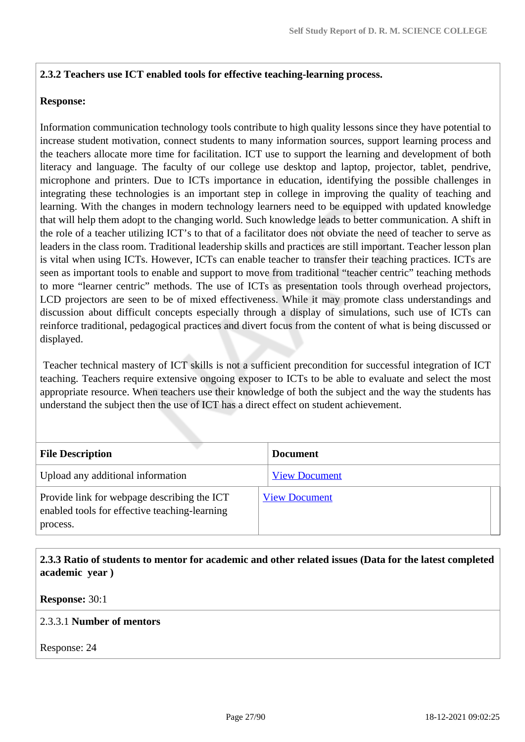### **2.3.2 Teachers use ICT enabled tools for effective teaching-learning process.**

#### **Response:**

Information communication technology tools contribute to high quality lessons since they have potential to increase student motivation, connect students to many information sources, support learning process and the teachers allocate more time for facilitation. ICT use to support the learning and development of both literacy and language. The faculty of our college use desktop and laptop, projector, tablet, pendrive, microphone and printers. Due to ICTs importance in education, identifying the possible challenges in integrating these technologies is an important step in college in improving the quality of teaching and learning. With the changes in modern technology learners need to be equipped with updated knowledge that will help them adopt to the changing world. Such knowledge leads to better communication. A shift in the role of a teacher utilizing ICT's to that of a facilitator does not obviate the need of teacher to serve as leaders in the class room. Traditional leadership skills and practices are still important. Teacher lesson plan is vital when using ICTs. However, ICTs can enable teacher to transfer their teaching practices. ICTs are seen as important tools to enable and support to move from traditional "teacher centric" teaching methods to more "learner centric" methods. The use of ICTs as presentation tools through overhead projectors, LCD projectors are seen to be of mixed effectiveness. While it may promote class understandings and discussion about difficult concepts especially through a display of simulations, such use of ICTs can reinforce traditional, pedagogical practices and divert focus from the content of what is being discussed or displayed.

 Teacher technical mastery of ICT skills is not a sufficient precondition for successful integration of ICT teaching. Teachers require extensive ongoing exposer to ICTs to be able to evaluate and select the most appropriate resource. When teachers use their knowledge of both the subject and the way the students has understand the subject then the use of ICT has a direct effect on student achievement.

| <b>File Description</b>                                                                                  | <b>Document</b>      |  |
|----------------------------------------------------------------------------------------------------------|----------------------|--|
| Upload any additional information                                                                        | <b>View Document</b> |  |
| Provide link for webpage describing the ICT<br>enabled tools for effective teaching-learning<br>process. | <b>View Document</b> |  |

 **2.3.3 Ratio of students to mentor for academic and other related issues (Data for the latest completed academic year )**

**Response:** 30:1

#### 2.3.3.1 **Number of mentors**

Response: 24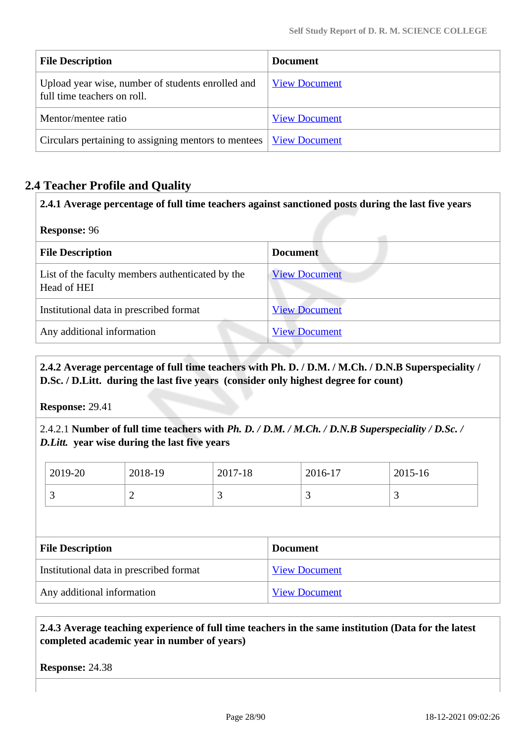| <b>File Description</b>                                                          | <b>Document</b>      |
|----------------------------------------------------------------------------------|----------------------|
| Upload year wise, number of students enrolled and<br>full time teachers on roll. | <b>View Document</b> |
| Mentor/mentee ratio                                                              | <b>View Document</b> |
| Circulars pertaining to assigning mentors to mentees   View Document             |                      |

# **2.4 Teacher Profile and Quality**

| 2.4.1 Average percentage of full time teachers against sanctioned posts during the last five years<br><b>Response: 96</b> |                      |
|---------------------------------------------------------------------------------------------------------------------------|----------------------|
|                                                                                                                           |                      |
| List of the faculty members authenticated by the<br>Head of HEI                                                           | <b>View Document</b> |
| Institutional data in prescribed format                                                                                   | <b>View Document</b> |
| Any additional information                                                                                                | <b>View Document</b> |

# **2.4.2 Average percentage of full time teachers with Ph. D. / D.M. / M.Ch. / D.N.B Superspeciality / D.Sc. / D.Litt. during the last five years (consider only highest degree for count)**

**Response:** 29.41

2.4.2.1 **Number of full time teachers with** *Ph. D. / D.M. / M.Ch. / D.N.B Superspeciality / D.Sc. / D.Litt.* **year wise during the last five years**

| 2019-20 | 2018-19 | 2017-18 | 2016-17 | 2015-16  |
|---------|---------|---------|---------|----------|
| . .     | ∽       |         |         | <u>ب</u> |

| <b>File Description</b>                 | <b>Document</b>      |  |
|-----------------------------------------|----------------------|--|
| Institutional data in prescribed format | <b>View Document</b> |  |
| Any additional information              | <b>View Document</b> |  |

# **2.4.3 Average teaching experience of full time teachers in the same institution (Data for the latest completed academic year in number of years)**

**Response:** 24.38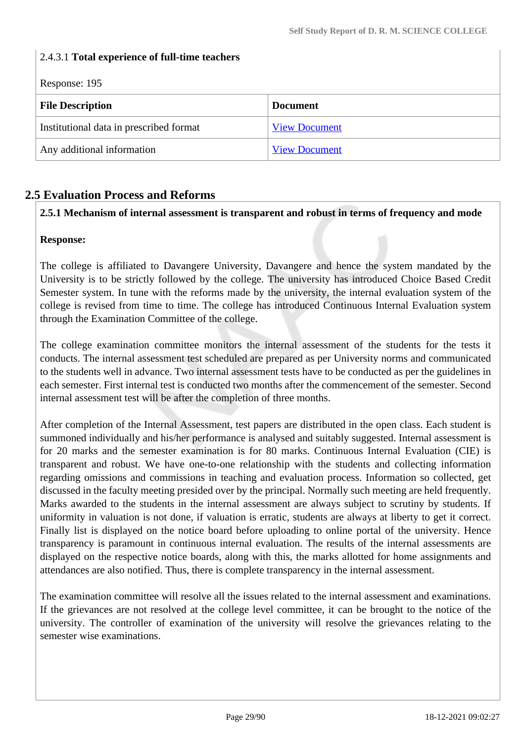### 2.4.3.1 **Total experience of full-time teachers**

Response: 195

| <b>File Description</b>                 | <b>Document</b>      |  |
|-----------------------------------------|----------------------|--|
| Institutional data in prescribed format | <b>View Document</b> |  |
| Any additional information              | <b>View Document</b> |  |

# **2.5 Evaluation Process and Reforms**

### **2.5.1 Mechanism of internal assessment is transparent and robust in terms of frequency and mode**

### **Response:**

The college is affiliated to Davangere University, Davangere and hence the system mandated by the University is to be strictly followed by the college. The university has introduced Choice Based Credit Semester system. In tune with the reforms made by the university, the internal evaluation system of the college is revised from time to time. The college has introduced Continuous Internal Evaluation system through the Examination Committee of the college.

The college examination committee monitors the internal assessment of the students for the tests it conducts. The internal assessment test scheduled are prepared as per University norms and communicated to the students well in advance. Two internal assessment tests have to be conducted as per the guidelines in each semester. First internal test is conducted two months after the commencement of the semester. Second internal assessment test will be after the completion of three months.

After completion of the Internal Assessment, test papers are distributed in the open class. Each student is summoned individually and his/her performance is analysed and suitably suggested. Internal assessment is for 20 marks and the semester examination is for 80 marks. Continuous Internal Evaluation (CIE) is transparent and robust. We have one-to-one relationship with the students and collecting information regarding omissions and commissions in teaching and evaluation process. Information so collected, get discussed in the faculty meeting presided over by the principal. Normally such meeting are held frequently. Marks awarded to the students in the internal assessment are always subject to scrutiny by students. If uniformity in valuation is not done, if valuation is erratic, students are always at liberty to get it correct. Finally list is displayed on the notice board before uploading to online portal of the university. Hence transparency is paramount in continuous internal evaluation. The results of the internal assessments are displayed on the respective notice boards, along with this, the marks allotted for home assignments and attendances are also notified. Thus, there is complete transparency in the internal assessment.

The examination committee will resolve all the issues related to the internal assessment and examinations. If the grievances are not resolved at the college level committee, it can be brought to the notice of the university. The controller of examination of the university will resolve the grievances relating to the semester wise examinations.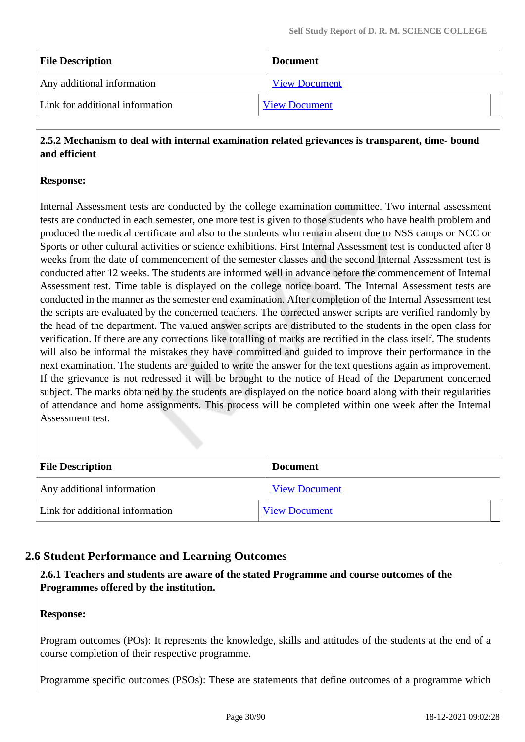| <b>File Description</b>         | <b>Document</b>      |
|---------------------------------|----------------------|
| Any additional information      | <b>View Document</b> |
| Link for additional information | <b>View Document</b> |

### **2.5.2 Mechanism to deal with internal examination related grievances is transparent, time- bound and efficient**

### **Response:**

Internal Assessment tests are conducted by the college examination committee. Two internal assessment tests are conducted in each semester, one more test is given to those students who have health problem and produced the medical certificate and also to the students who remain absent due to NSS camps or NCC or Sports or other cultural activities or science exhibitions. First Internal Assessment test is conducted after 8 weeks from the date of commencement of the semester classes and the second Internal Assessment test is conducted after 12 weeks. The students are informed well in advance before the commencement of Internal Assessment test. Time table is displayed on the college notice board. The Internal Assessment tests are conducted in the manner as the semester end examination. After completion of the Internal Assessment test the scripts are evaluated by the concerned teachers. The corrected answer scripts are verified randomly by the head of the department. The valued answer scripts are distributed to the students in the open class for verification. If there are any corrections like totalling of marks are rectified in the class itself. The students will also be informal the mistakes they have committed and guided to improve their performance in the next examination. The students are guided to write the answer for the text questions again as improvement. If the grievance is not redressed it will be brought to the notice of Head of the Department concerned subject. The marks obtained by the students are displayed on the notice board along with their regularities of attendance and home assignments. This process will be completed within one week after the Internal Assessment test.

| <b>File Description</b>         | <b>Document</b>      |
|---------------------------------|----------------------|
| Any additional information      | <b>View Document</b> |
| Link for additional information | <b>View Document</b> |

# **2.6 Student Performance and Learning Outcomes**

 **2.6.1 Teachers and students are aware of the stated Programme and course outcomes of the Programmes offered by the institution.**

### **Response:**

Program outcomes (POs): It represents the knowledge, skills and attitudes of the students at the end of a course completion of their respective programme.

Programme specific outcomes (PSOs): These are statements that define outcomes of a programme which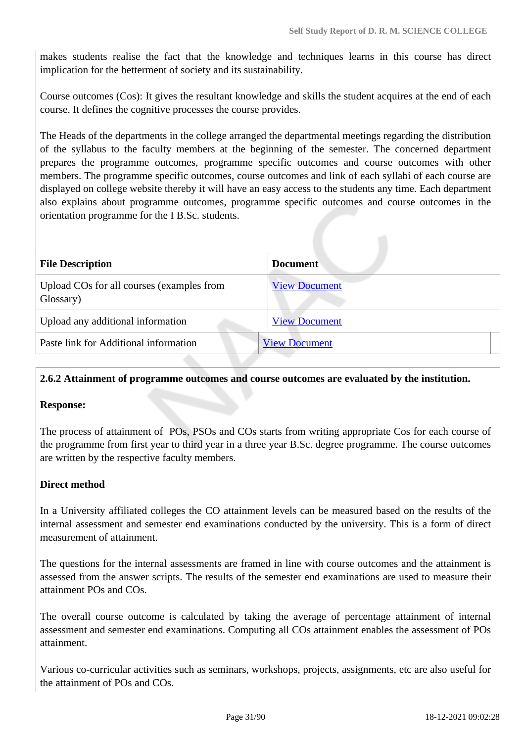makes students realise the fact that the knowledge and techniques learns in this course has direct implication for the betterment of society and its sustainability.

Course outcomes (Cos): It gives the resultant knowledge and skills the student acquires at the end of each course. It defines the cognitive processes the course provides.

The Heads of the departments in the college arranged the departmental meetings regarding the distribution of the syllabus to the faculty members at the beginning of the semester. The concerned department prepares the programme outcomes, programme specific outcomes and course outcomes with other members. The programme specific outcomes, course outcomes and link of each syllabi of each course are displayed on college website thereby it will have an easy access to the students any time. Each department also explains about programme outcomes, programme specific outcomes and course outcomes in the orientation programme for the I B.Sc. students.

| <b>File Description</b>                                | <b>Document</b>      |
|--------------------------------------------------------|----------------------|
| Upload COs for all courses (examples from<br>Glossary) | <b>View Document</b> |
| Upload any additional information                      | <b>View Document</b> |
| Paste link for Additional information                  | <b>View Document</b> |

#### **2.6.2 Attainment of programme outcomes and course outcomes are evaluated by the institution.**

#### **Response:**

The process of attainment of POs, PSOs and COs starts from writing appropriate Cos for each course of the programme from first year to third year in a three year B.Sc. degree programme. The course outcomes are written by the respective faculty members.

#### **Direct method**

In a University affiliated colleges the CO attainment levels can be measured based on the results of the internal assessment and semester end examinations conducted by the university. This is a form of direct measurement of attainment.

The questions for the internal assessments are framed in line with course outcomes and the attainment is assessed from the answer scripts. The results of the semester end examinations are used to measure their attainment POs and COs.

The overall course outcome is calculated by taking the average of percentage attainment of internal assessment and semester end examinations. Computing all COs attainment enables the assessment of POs attainment.

Various co-curricular activities such as seminars, workshops, projects, assignments, etc are also useful for the attainment of POs and COs.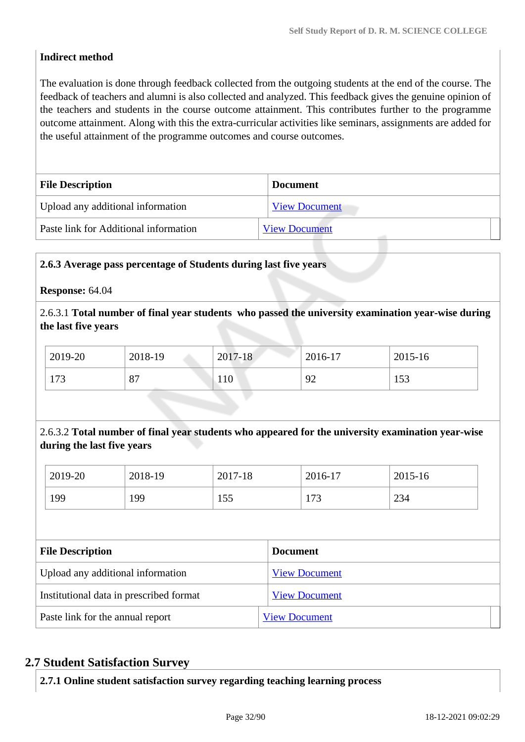### **Indirect method**

The evaluation is done through feedback collected from the outgoing students at the end of the course. The feedback of teachers and alumni is also collected and analyzed. This feedback gives the genuine opinion of the teachers and students in the course outcome attainment. This contributes further to the programme outcome attainment. Along with this the extra-curricular activities like seminars, assignments are added for the useful attainment of the programme outcomes and course outcomes.

| <b>File Description</b>               | <b>Document</b>      |  |
|---------------------------------------|----------------------|--|
| Upload any additional information     | <b>View Document</b> |  |
| Paste link for Additional information | <b>View Document</b> |  |

#### **2.6.3 Average pass percentage of Students during last five years**

#### **Response:** 64.04

2.6.3.1 **Total number of final year students who passed the university examination year-wise during the last five years**

| 2019-20 | 2018-19 | 2017-18 | 2016-17 | 2015-16 |
|---------|---------|---------|---------|---------|
| 173     | 87      | 110     | 92      | 153     |

### 2.6.3.2 **Total number of final year students who appeared for the university examination year-wise during the last five years**

| 2019-20 | 2018-19 | 2017-18 | 2016-17      | 2015-16 |
|---------|---------|---------|--------------|---------|
| 199     | 199     | 155     | 172<br>1 I J | 234     |

| <b>File Description</b>                 | <b>Document</b>      |
|-----------------------------------------|----------------------|
| Upload any additional information       | <b>View Document</b> |
| Institutional data in prescribed format | <b>View Document</b> |
| Paste link for the annual report        | <b>View Document</b> |

# **2.7 Student Satisfaction Survey**

**2.7.1 Online student satisfaction survey regarding teaching learning process**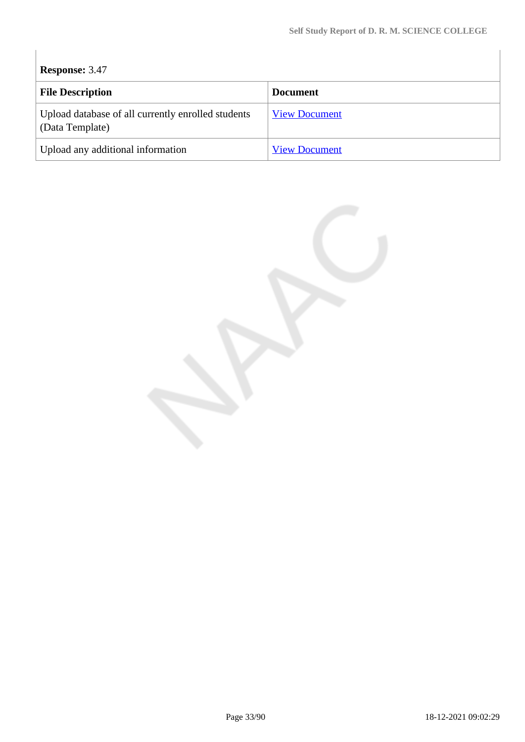# **Response:** 3.47

| <b>File Description</b>                                               | <b>Document</b>      |
|-----------------------------------------------------------------------|----------------------|
| Upload database of all currently enrolled students<br>(Data Template) | <b>View Document</b> |
| Upload any additional information                                     | <b>View Document</b> |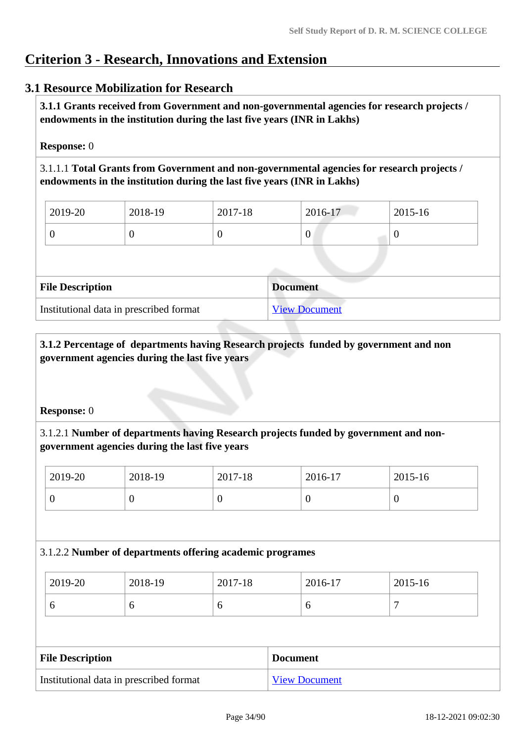# **Criterion 3 - Research, Innovations and Extension**

# **3.1 Resource Mobilization for Research**

 **3.1.1 Grants received from Government and non-governmental agencies for research projects / endowments in the institution during the last five years (INR in Lakhs)** 

### **Response:** 0

3.1.1.1 **Total Grants from Government and non-governmental agencies for research projects / endowments in the institution during the last five years (INR in Lakhs)**

| $\frac{1}{2019}$ -20 | 2018-19 | 2017-18 | 2016-17 | $2015 - 16$ |
|----------------------|---------|---------|---------|-------------|
|                      | ν       |         | U       |             |

| <b>File Description</b>                 | Document             |
|-----------------------------------------|----------------------|
| Institutional data in prescribed format | <b>View Document</b> |

### **3.1.2 Percentage of departments having Research projects funded by government and non government agencies during the last five years**

### **Response:** 0

# 3.1.2.1 **Number of departments having Research projects funded by government and nongovernment agencies during the last five years**

| 2019-20 | 2018-19 | 2017-18 | 2016-17 | 2015-16 |
|---------|---------|---------|---------|---------|
|         | ν       | ິ       |         | ν       |

### 3.1.2.2 **Number of departments offering academic programes**

| 2019-20 | 2018-19 | 2017-18 | 2016-17 | 2015-16 |
|---------|---------|---------|---------|---------|
|         | ◡       | ີ       | O       |         |

| <b>File Description</b>                 | <b>Document</b>      |
|-----------------------------------------|----------------------|
| Institutional data in prescribed format | <b>View Document</b> |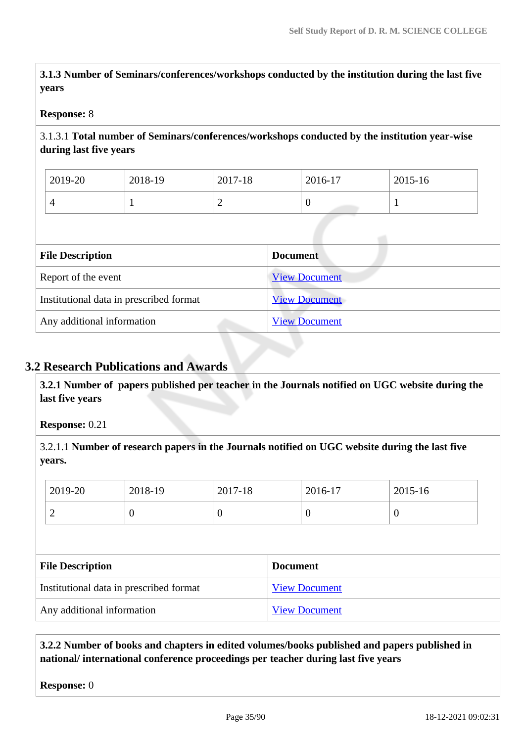**3.1.3 Number of Seminars/conferences/workshops conducted by the institution during the last five years**

#### **Response:** 8

### 3.1.3.1 **Total number of Seminars/conferences/workshops conducted by the institution year-wise during last five years**

| 2019-20 | 2018-19 | 2017-18 | 2016-17 | 2015-16 |
|---------|---------|---------|---------|---------|
| Δ       |         | ∼       | v       | -       |

| <b>File Description</b>                 | <b>Document</b>      |
|-----------------------------------------|----------------------|
| Report of the event                     | <b>View Document</b> |
| Institutional data in prescribed format | <b>View Document</b> |
| Any additional information              | <b>View Document</b> |

# **3.2 Research Publications and Awards**

 **3.2.1 Number of papers published per teacher in the Journals notified on UGC website during the last five years** 

**Response:** 0.21

3.2.1.1 **Number of research papers in the Journals notified on UGC website during the last five years.**

| 2019-20                                 | 2018-19 | 2017-18              |                 | 2016-17        | 2015-16  |  |
|-----------------------------------------|---------|----------------------|-----------------|----------------|----------|--|
| 2                                       | 0       | $\overline{0}$       |                 | $\overline{0}$ | $\theta$ |  |
|                                         |         |                      |                 |                |          |  |
| <b>File Description</b>                 |         |                      | <b>Document</b> |                |          |  |
|                                         |         |                      |                 |                |          |  |
| Institutional data in prescribed format |         | <b>View Document</b> |                 |                |          |  |
| Any additional information              |         | <b>View Document</b> |                 |                |          |  |

### **3.2.2 Number of books and chapters in edited volumes/books published and papers published in national/ international conference proceedings per teacher during last five years**

**Response:** 0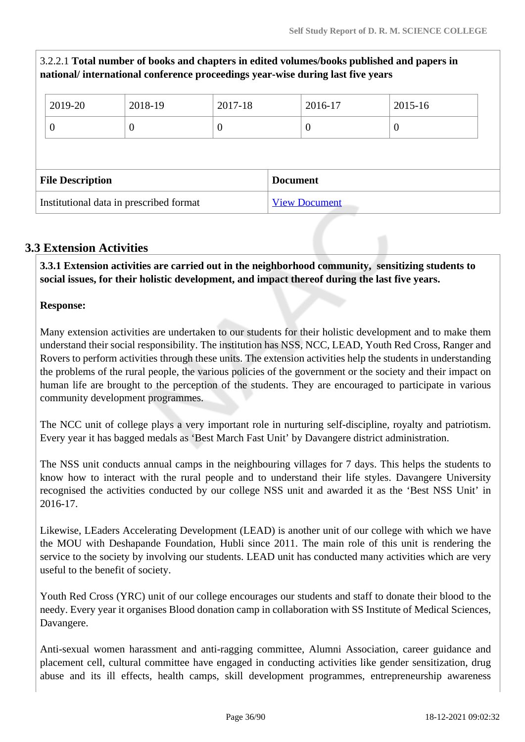| national/international conference proceedings year-wise during last five years |                |          |          |                      |          |                  |  |
|--------------------------------------------------------------------------------|----------------|----------|----------|----------------------|----------|------------------|--|
|                                                                                | 2019-20        | 2018-19  | 2017-18  |                      | 2016-17  | 2015-16          |  |
|                                                                                | $\overline{0}$ | $\theta$ | $\theta$ |                      | $\theta$ | $\boldsymbol{0}$ |  |
|                                                                                |                |          |          |                      |          |                  |  |
| <b>File Description</b>                                                        |                |          |          | <b>Document</b>      |          |                  |  |
| Institutional data in prescribed format                                        |                |          |          | <b>View Document</b> |          |                  |  |

3.2.2.1 **Total number of books and chapters in edited volumes/books published and papers in**

# **3.3 Extension Activities**

 **3.3.1 Extension activities are carried out in the neighborhood community, sensitizing students to social issues, for their holistic development, and impact thereof during the last five years.**

### **Response:**

Many extension activities are undertaken to our students for their holistic development and to make them understand their social responsibility. The institution has NSS, NCC, LEAD, Youth Red Cross, Ranger and Rovers to perform activities through these units. The extension activities help the students in understanding the problems of the rural people, the various policies of the government or the society and their impact on human life are brought to the perception of the students. They are encouraged to participate in various community development programmes.

The NCC unit of college plays a very important role in nurturing self-discipline, royalty and patriotism. Every year it has bagged medals as 'Best March Fast Unit' by Davangere district administration.

The NSS unit conducts annual camps in the neighbouring villages for 7 days. This helps the students to know how to interact with the rural people and to understand their life styles. Davangere University recognised the activities conducted by our college NSS unit and awarded it as the 'Best NSS Unit' in 2016-17.

Likewise, LEaders Accelerating Development (LEAD) is another unit of our college with which we have the MOU with Deshapande Foundation, Hubli since 2011. The main role of this unit is rendering the service to the society by involving our students. LEAD unit has conducted many activities which are very useful to the benefit of society.

Youth Red Cross (YRC) unit of our college encourages our students and staff to donate their blood to the needy. Every year it organises Blood donation camp in collaboration with SS Institute of Medical Sciences, Davangere.

Anti-sexual women harassment and anti-ragging committee, Alumni Association, career guidance and placement cell, cultural committee have engaged in conducting activities like gender sensitization, drug abuse and its ill effects, health camps, skill development programmes, entrepreneurship awareness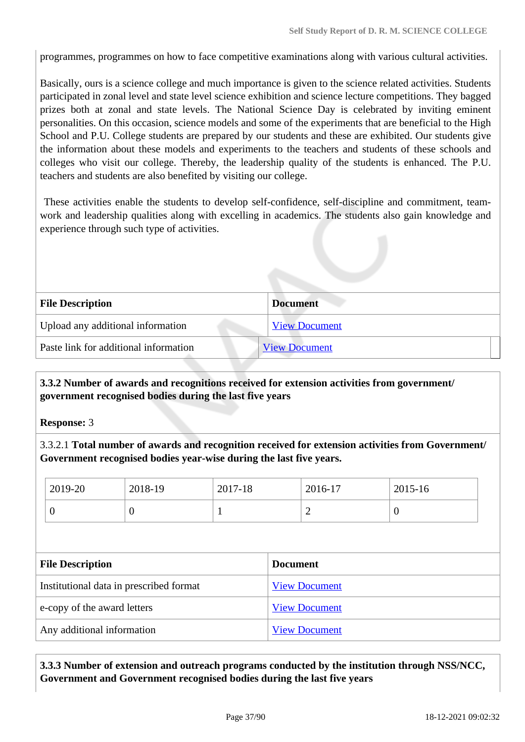programmes, programmes on how to face competitive examinations along with various cultural activities.

Basically, ours is a science college and much importance is given to the science related activities. Students participated in zonal level and state level science exhibition and science lecture competitions. They bagged prizes both at zonal and state levels. The National Science Day is celebrated by inviting eminent personalities. On this occasion, science models and some of the experiments that are beneficial to the High School and P.U. College students are prepared by our students and these are exhibited. Our students give the information about these models and experiments to the teachers and students of these schools and colleges who visit our college. Thereby, the leadership quality of the students is enhanced. The P.U. teachers and students are also benefited by visiting our college.

 These activities enable the students to develop self-confidence, self-discipline and commitment, teamwork and leadership qualities along with excelling in academics. The students also gain knowledge and experience through such type of activities.

| <b>File Description</b>               | <b>Document</b>      |
|---------------------------------------|----------------------|
| Upload any additional information     | <b>View Document</b> |
| Paste link for additional information | <b>View Document</b> |

#### **3.3.2 Number of awards and recognitions received for extension activities from government/ government recognised bodies during the last five years**

**Response:** 3

3.3.2.1 **Total number of awards and recognition received for extension activities from Government/ Government recognised bodies year-wise during the last five years.**

|                             | 2019-20                                 | 2018-19          | 2017-18              |                      | 2016-17              | 2015-16        |
|-----------------------------|-----------------------------------------|------------------|----------------------|----------------------|----------------------|----------------|
|                             | $\overline{0}$                          | $\boldsymbol{0}$ |                      |                      | $\overline{2}$       | $\overline{0}$ |
|                             |                                         |                  |                      |                      |                      |                |
|                             | <b>File Description</b>                 |                  |                      | <b>Document</b>      |                      |                |
|                             | Institutional data in prescribed format |                  |                      | <b>View Document</b> |                      |                |
| e-copy of the award letters |                                         |                  | <b>View Document</b> |                      |                      |                |
|                             | Any additional information              |                  |                      |                      | <b>View Document</b> |                |

 **3.3.3 Number of extension and outreach programs conducted by the institution through NSS/NCC, Government and Government recognised bodies during the last five years**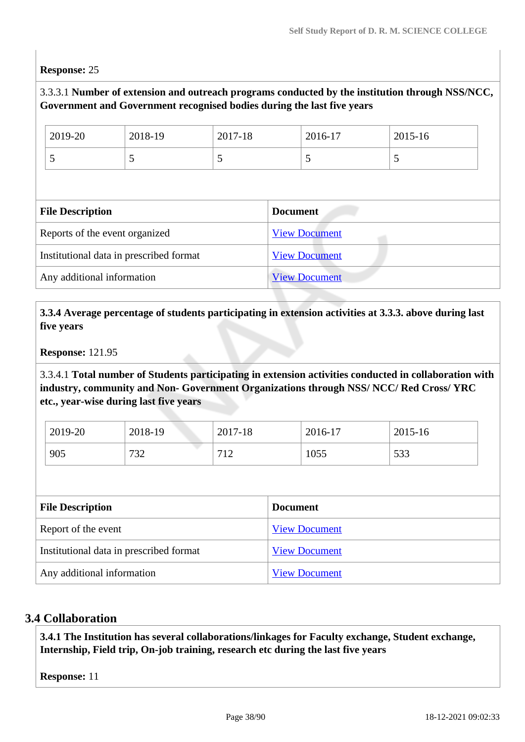#### **Response:** 25

## 3.3.3.1 **Number of extension and outreach programs conducted by the institution through NSS/NCC, Government and Government recognised bodies during the last five years**

|                                         | 2019-20                    | 2018-19 | 2017-18              |                 | 2016-17              | 2015-16 |
|-----------------------------------------|----------------------------|---------|----------------------|-----------------|----------------------|---------|
|                                         | 5                          | C       | 5                    |                 | 5                    | 5       |
|                                         |                            |         |                      |                 |                      |         |
| <b>File Description</b>                 |                            |         |                      | <b>Document</b> |                      |         |
| Reports of the event organized          |                            |         | <b>View Document</b> |                 |                      |         |
| Institutional data in prescribed format |                            |         | <b>View Document</b> |                 |                      |         |
|                                         | Any additional information |         |                      |                 | <b>View Document</b> |         |

 **3.3.4 Average percentage of students participating in extension activities at 3.3.3. above during last five years**

**Response:** 121.95

3.3.4.1 **Total number of Students participating in extension activities conducted in collaboration with industry, community and Non- Government Organizations through NSS/ NCC/ Red Cross/ YRC etc., year-wise during last five years**

| 2019-20 | 2018-19 | 2017-18          | 2016-17 | 2015-16 |
|---------|---------|------------------|---------|---------|
| 905     | 732     | 710<br>$1 \pm 2$ | 1055    | 533     |

| <b>File Description</b>                 | <b>Document</b>      |
|-----------------------------------------|----------------------|
| Report of the event                     | <b>View Document</b> |
| Institutional data in prescribed format | <b>View Document</b> |
| Any additional information              | <b>View Document</b> |

## **3.4 Collaboration**

 **3.4.1 The Institution has several collaborations/linkages for Faculty exchange, Student exchange, Internship, Field trip, On-job training, research etc during the last five years** 

**Response:** 11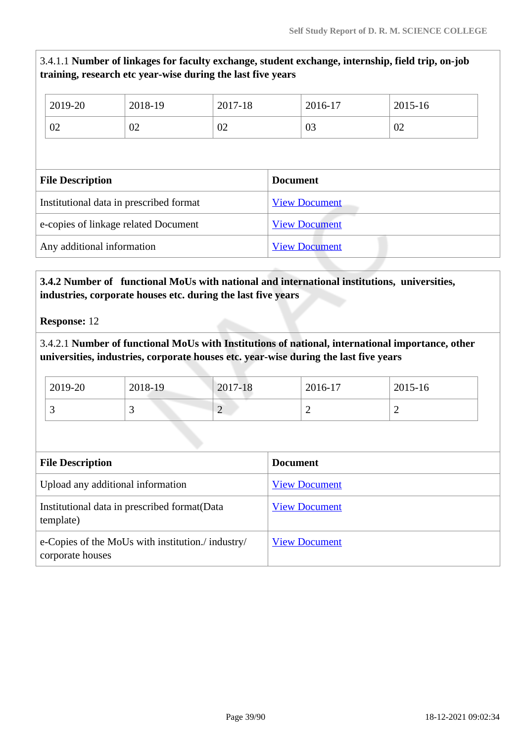## 3.4.1.1 **Number of linkages for faculty exchange, student exchange, internship, field trip, on-job training, research etc year-wise during the last five years**

| 2019-20                                 | 2018-19 | 2017-18 |                      | 2016-17              | 2015-16 |
|-----------------------------------------|---------|---------|----------------------|----------------------|---------|
| 02                                      | 02      | 02      |                      | 03                   | 02      |
|                                         |         |         |                      |                      |         |
| <b>File Description</b>                 |         |         | <b>Document</b>      |                      |         |
| Institutional data in prescribed format |         |         | <b>View Document</b> |                      |         |
| e-copies of linkage related Document    |         |         | <b>View Document</b> |                      |         |
| Any additional information              |         |         |                      | <b>View Document</b> |         |

### **3.4.2 Number of functional MoUs with national and international institutions, universities, industries, corporate houses etc. during the last five years**

**Response:** 12

3.4.2.1 **Number of functional MoUs with Institutions of national, international importance, other universities, industries, corporate houses etc. year-wise during the last five years**

| 2019-20 | 2018-19 | 2017-18 | 2016-17 | 2015-16 |
|---------|---------|---------|---------|---------|
|         |         | ∼       |         | ∽       |

| <b>File Description</b>                                               | <b>Document</b>      |
|-----------------------------------------------------------------------|----------------------|
| Upload any additional information                                     | <b>View Document</b> |
| Institutional data in prescribed format (Data<br>template)            | <b>View Document</b> |
| e-Copies of the MoUs with institution./ industry/<br>corporate houses | <b>View Document</b> |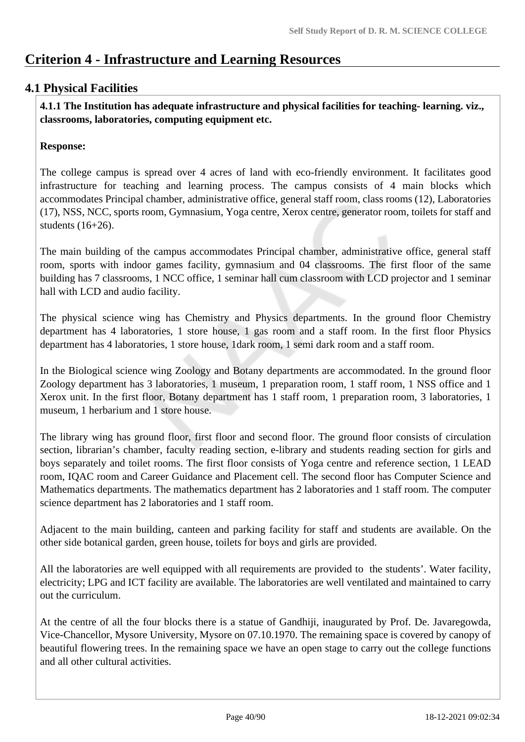# **Criterion 4 - Infrastructure and Learning Resources**

## **4.1 Physical Facilities**

 **4.1.1 The Institution has adequate infrastructure and physical facilities for teaching- learning. viz., classrooms, laboratories, computing equipment etc.** 

#### **Response:**

The college campus is spread over 4 acres of land with eco-friendly environment. It facilitates good infrastructure for teaching and learning process. The campus consists of 4 main blocks which accommodates Principal chamber, administrative office, general staff room, class rooms (12), Laboratories (17), NSS, NCC, sports room, Gymnasium, Yoga centre, Xerox centre, generator room, toilets for staff and students (16+26).

The main building of the campus accommodates Principal chamber, administrative office, general staff room, sports with indoor games facility, gymnasium and 04 classrooms. The first floor of the same building has 7 classrooms, 1 NCC office, 1 seminar hall cum classroom with LCD projector and 1 seminar hall with LCD and audio facility.

The physical science wing has Chemistry and Physics departments. In the ground floor Chemistry department has 4 laboratories, 1 store house, 1 gas room and a staff room. In the first floor Physics department has 4 laboratories, 1 store house, 1dark room, 1 semi dark room and a staff room.

In the Biological science wing Zoology and Botany departments are accommodated. In the ground floor Zoology department has 3 laboratories, 1 museum, 1 preparation room, 1 staff room, 1 NSS office and 1 Xerox unit. In the first floor, Botany department has 1 staff room, 1 preparation room, 3 laboratories, 1 museum, 1 herbarium and 1 store house.

The library wing has ground floor, first floor and second floor. The ground floor consists of circulation section, librarian's chamber, faculty reading section, e-library and students reading section for girls and boys separately and toilet rooms. The first floor consists of Yoga centre and reference section, 1 LEAD room, IQAC room and Career Guidance and Placement cell. The second floor has Computer Science and Mathematics departments. The mathematics department has 2 laboratories and 1 staff room. The computer science department has 2 laboratories and 1 staff room.

Adjacent to the main building, canteen and parking facility for staff and students are available. On the other side botanical garden, green house, toilets for boys and girls are provided.

All the laboratories are well equipped with all requirements are provided to the students'. Water facility, electricity; LPG and ICT facility are available. The laboratories are well ventilated and maintained to carry out the curriculum.

At the centre of all the four blocks there is a statue of Gandhiji, inaugurated by Prof. De. Javaregowda, Vice-Chancellor, Mysore University, Mysore on 07.10.1970. The remaining space is covered by canopy of beautiful flowering trees. In the remaining space we have an open stage to carry out the college functions and all other cultural activities.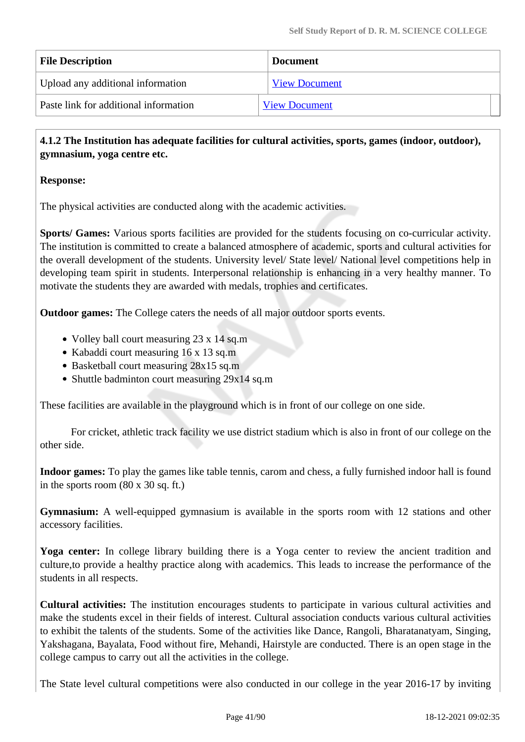| <b>File Description</b>               | <b>Document</b>      |  |
|---------------------------------------|----------------------|--|
| Upload any additional information     | <b>View Document</b> |  |
| Paste link for additional information | <b>View Document</b> |  |

 **4.1.2 The Institution has adequate facilities for cultural activities, sports, games (indoor, outdoor), gymnasium, yoga centre etc.** 

#### **Response:**

The physical activities are conducted along with the academic activities.

**Sports/ Games:** Various sports facilities are provided for the students focusing on co-curricular activity. The institution is committed to create a balanced atmosphere of academic, sports and cultural activities for the overall development of the students. University level/ State level/ National level competitions help in developing team spirit in students. Interpersonal relationship is enhancing in a very healthy manner. To motivate the students they are awarded with medals, trophies and certificates.

**Outdoor games:** The College caters the needs of all major outdoor sports events.

- Volley ball court measuring 23 x 14 sq.m
- Kabaddi court measuring 16 x 13 sq.m
- Basketball court measuring 28x15 sq.m
- Shuttle badminton court measuring 29x14 sq.m

These facilities are available in the playground which is in front of our college on one side.

 For cricket, athletic track facility we use district stadium which is also in front of our college on the other side.

**Indoor games:** To play the games like table tennis, carom and chess, a fully furnished indoor hall is found in the sports room (80 x 30 sq. ft.)

**Gymnasium:** A well-equipped gymnasium is available in the sports room with 12 stations and other accessory facilities.

**Yoga center:** In college library building there is a Yoga center to review the ancient tradition and culture,to provide a healthy practice along with academics. This leads to increase the performance of the students in all respects.

**Cultural activities:** The institution encourages students to participate in various cultural activities and make the students excel in their fields of interest. Cultural association conducts various cultural activities to exhibit the talents of the students. Some of the activities like Dance, Rangoli, Bharatanatyam, Singing, Yakshagana, Bayalata, Food without fire, Mehandi, Hairstyle are conducted. There is an open stage in the college campus to carry out all the activities in the college.

The State level cultural competitions were also conducted in our college in the year 2016-17 by inviting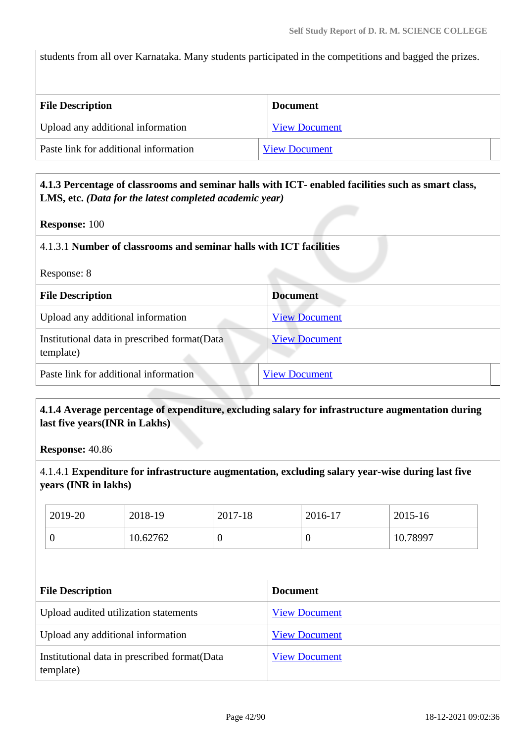students from all over Karnataka. Many students participated in the competitions and bagged the prizes.

| <b>File Description</b>               | <b>Document</b>      |  |
|---------------------------------------|----------------------|--|
| Upload any additional information     | <b>View Document</b> |  |
| Paste link for additional information | <b>View Document</b> |  |

 **4.1.3 Percentage of classrooms and seminar halls with ICT- enabled facilities such as smart class, LMS, etc.** *(Data for the latest completed academic year)*

**Response:** 100

#### 4.1.3.1 **Number of classrooms and seminar halls with ICT facilities**

Response: 8

| <b>File Description</b>                                    | <b>Document</b>      |
|------------------------------------------------------------|----------------------|
| Upload any additional information                          | <b>View Document</b> |
| Institutional data in prescribed format (Data<br>template) | <b>View Document</b> |
| Paste link for additional information                      | <b>View Document</b> |
|                                                            |                      |

#### **4.1.4 Average percentage of expenditure, excluding salary for infrastructure augmentation during last five years(INR in Lakhs)**

**Response:** 40.86

4.1.4.1 **Expenditure for infrastructure augmentation, excluding salary year-wise during last five years (INR in lakhs)**

| 2019-20 | 2018-19  | 2017-18 | 2016-17 | 2015-16  |
|---------|----------|---------|---------|----------|
|         | 10.62762 | 0       |         | 10.78997 |

| <b>File Description</b>                                    | <b>Document</b>      |
|------------------------------------------------------------|----------------------|
| Upload audited utilization statements                      | <b>View Document</b> |
| Upload any additional information                          | <b>View Document</b> |
| Institutional data in prescribed format (Data<br>template) | <b>View Document</b> |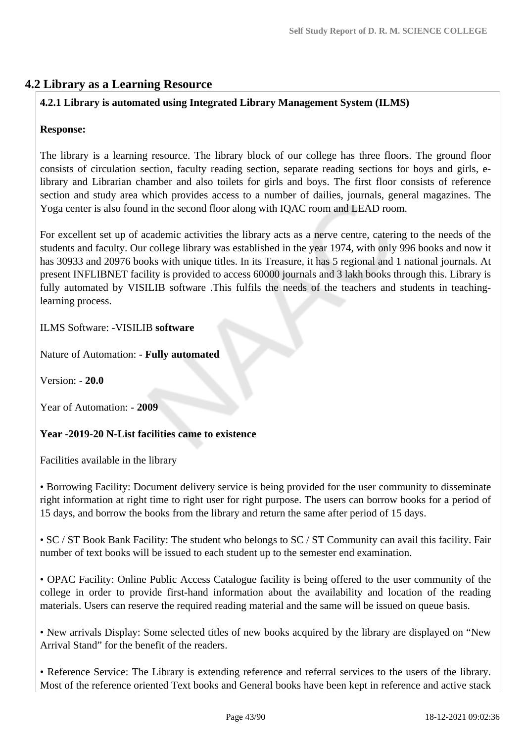## **4.2 Library as a Learning Resource**

## **4.2.1 Library is automated using Integrated Library Management System (ILMS)**

#### **Response:**

The library is a learning resource. The library block of our college has three floors. The ground floor consists of circulation section, faculty reading section, separate reading sections for boys and girls, elibrary and Librarian chamber and also toilets for girls and boys. The first floor consists of reference section and study area which provides access to a number of dailies, journals, general magazines. The Yoga center is also found in the second floor along with IQAC room and LEAD room.

For excellent set up of academic activities the library acts as a nerve centre, catering to the needs of the students and faculty. Our college library was established in the year 1974, with only 996 books and now it has 30933 and 20976 books with unique titles. In its Treasure, it has 5 regional and 1 national journals. At present INFLIBNET facility is provided to access 60000 journals and 3 lakh books through this. Library is fully automated by VISILIB software .This fulfils the needs of the teachers and students in teachinglearning process.

ILMS Software: -VISILIB **software**

Nature of Automation: - **Fully automated**

Version: - **20.0**

Year of Automation: - **2009**

#### **Year -2019-20 N-List facilities came to existence**

Facilities available in the library

• Borrowing Facility: Document delivery service is being provided for the user community to disseminate right information at right time to right user for right purpose. The users can borrow books for a period of 15 days, and borrow the books from the library and return the same after period of 15 days.

• SC / ST Book Bank Facility: The student who belongs to SC / ST Community can avail this facility. Fair number of text books will be issued to each student up to the semester end examination.

• OPAC Facility: Online Public Access Catalogue facility is being offered to the user community of the college in order to provide first-hand information about the availability and location of the reading materials. Users can reserve the required reading material and the same will be issued on queue basis.

• New arrivals Display: Some selected titles of new books acquired by the library are displayed on "New Arrival Stand" for the benefit of the readers.

• Reference Service: The Library is extending reference and referral services to the users of the library. Most of the reference oriented Text books and General books have been kept in reference and active stack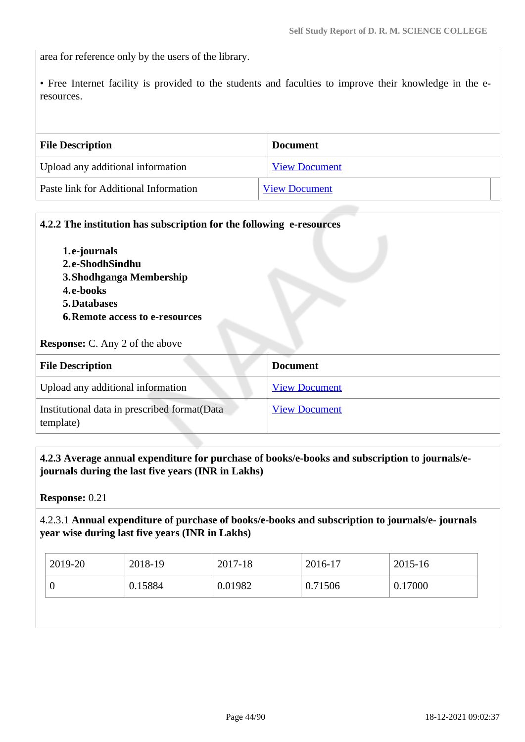area for reference only by the users of the library.

• Free Internet facility is provided to the students and faculties to improve their knowledge in the eresources.

| <b>File Description</b>               | <b>Document</b>      |
|---------------------------------------|----------------------|
| Upload any additional information     | <b>View Document</b> |
| Paste link for Additional Information | <b>View Document</b> |

| 4.2.2 The institution has subscription for the following e-resources |                      |
|----------------------------------------------------------------------|----------------------|
| 1.e-journals                                                         |                      |
| 2.e-ShodhSindhu                                                      |                      |
| 3. Shodhganga Membership                                             |                      |
| 4.e-books                                                            |                      |
| <b>5.Databases</b>                                                   |                      |
| <b>6. Remote access to e-resources</b>                               |                      |
| <b>Response:</b> C. Any 2 of the above                               |                      |
| <b>File Description</b>                                              | <b>Document</b>      |
| Upload any additional information                                    | <b>View Document</b> |
|                                                                      |                      |

## **4.2.3 Average annual expenditure for purchase of books/e-books and subscription to journals/ejournals during the last five years (INR in Lakhs)**

**Response:** 0.21

#### 4.2.3.1 **Annual expenditure of purchase of books/e-books and subscription to journals/e- journals year wise during last five years (INR in Lakhs)**

| 2019-20 | 2018-19 | 2017-18 | 2016-17 | 2015-16 |
|---------|---------|---------|---------|---------|
|         | 0.15884 | 0.01982 | 0.71506 | 0.17000 |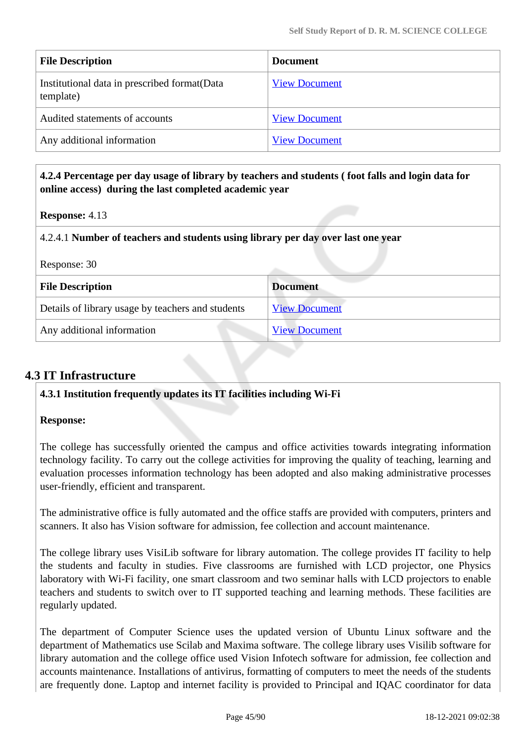| <b>File Description</b>                                    | <b>Document</b>      |
|------------------------------------------------------------|----------------------|
| Institutional data in prescribed format (Data<br>template) | <b>View Document</b> |
| Audited statements of accounts                             | <b>View Document</b> |
| Any additional information                                 | <b>View Document</b> |

#### **4.2.4 Percentage per day usage of library by teachers and students ( foot falls and login data for online access) during the last completed academic year**

#### **Response:** 4.13

4.2.4.1 **Number of teachers and students using library per day over last one year**

| Response: 30                                      |                      |
|---------------------------------------------------|----------------------|
| <b>File Description</b>                           | <b>Document</b>      |
| Details of library usage by teachers and students | <b>View Document</b> |
| Any additional information                        | <b>View Document</b> |

## **4.3 IT Infrastructure**

#### **4.3.1 Institution frequently updates its IT facilities including Wi-Fi**

#### **Response:**

The college has successfully oriented the campus and office activities towards integrating information technology facility. To carry out the college activities for improving the quality of teaching, learning and evaluation processes information technology has been adopted and also making administrative processes user-friendly, efficient and transparent.

The administrative office is fully automated and the office staffs are provided with computers, printers and scanners. It also has Vision software for admission, fee collection and account maintenance.

The college library uses VisiLib software for library automation. The college provides IT facility to help the students and faculty in studies. Five classrooms are furnished with LCD projector, one Physics laboratory with Wi-Fi facility, one smart classroom and two seminar halls with LCD projectors to enable teachers and students to switch over to IT supported teaching and learning methods. These facilities are regularly updated.

The department of Computer Science uses the updated version of Ubuntu Linux software and the department of Mathematics use Scilab and Maxima software. The college library uses Visilib software for library automation and the college office used Vision Infotech software for admission, fee collection and accounts maintenance. Installations of antivirus, formatting of computers to meet the needs of the students are frequently done. Laptop and internet facility is provided to Principal and IQAC coordinator for data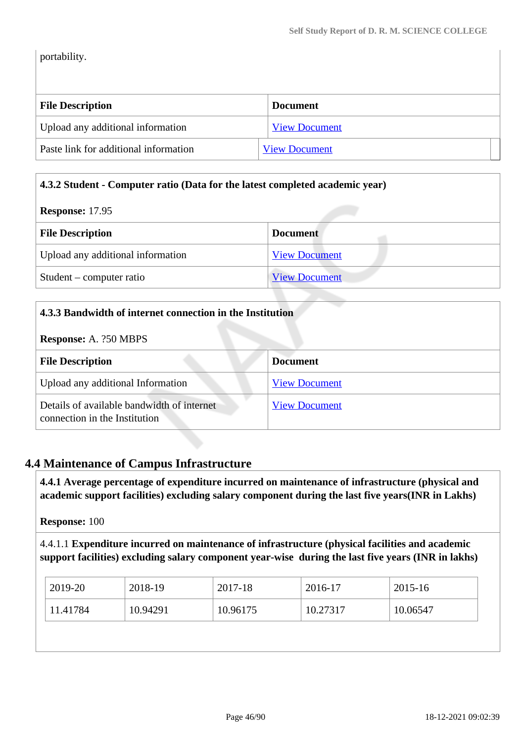portability.

| <b>Document</b>      |
|----------------------|
| <b>View Document</b> |
| <b>View Document</b> |
|                      |

## **4.3.2 Student - Computer ratio (Data for the latest completed academic year)**

#### **Response:** 17.95

| <b>File Description</b>           | <b>Document</b>      |  |
|-----------------------------------|----------------------|--|
| Upload any additional information | <b>View Document</b> |  |
| Student – computer ratio          | <b>View Document</b> |  |

| 4.3.3 Bandwidth of internet connection in the Institution                   |                      |  |
|-----------------------------------------------------------------------------|----------------------|--|
| <b>Response: A. ?50 MBPS</b>                                                |                      |  |
| <b>File Description</b>                                                     | <b>Document</b>      |  |
| Upload any additional Information                                           | <b>View Document</b> |  |
| Details of available bandwidth of internet<br>connection in the Institution | <b>View Document</b> |  |

#### **4.4 Maintenance of Campus Infrastructure**

 **4.4.1 Average percentage of expenditure incurred on maintenance of infrastructure (physical and academic support facilities) excluding salary component during the last five years(INR in Lakhs)**

**Response:** 100

4.4.1.1 **Expenditure incurred on maintenance of infrastructure (physical facilities and academic support facilities) excluding salary component year-wise during the last five years (INR in lakhs)**

| 2019-20  | 2018-19  | 2017-18  | 2016-17  | 2015-16  |
|----------|----------|----------|----------|----------|
| 11.41784 | 10.94291 | 10.96175 | 10.27317 | 10.06547 |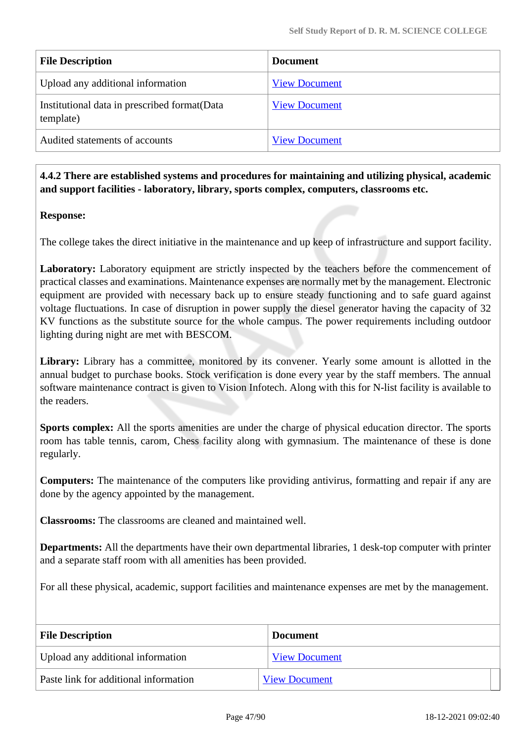| <b>File Description</b>                                    | <b>Document</b>      |
|------------------------------------------------------------|----------------------|
| Upload any additional information                          | <b>View Document</b> |
| Institutional data in prescribed format (Data<br>template) | <b>View Document</b> |
| Audited statements of accounts                             | <b>View Document</b> |

 **4.4.2 There are established systems and procedures for maintaining and utilizing physical, academic and support facilities - laboratory, library, sports complex, computers, classrooms etc.**

#### **Response:**

The college takes the direct initiative in the maintenance and up keep of infrastructure and support facility.

Laboratory: Laboratory equipment are strictly inspected by the teachers before the commencement of practical classes and examinations. Maintenance expenses are normally met by the management. Electronic equipment are provided with necessary back up to ensure steady functioning and to safe guard against voltage fluctuations. In case of disruption in power supply the diesel generator having the capacity of 32 KV functions as the substitute source for the whole campus. The power requirements including outdoor lighting during night are met with BESCOM.

Library: Library has a committee, monitored by its convener. Yearly some amount is allotted in the annual budget to purchase books. Stock verification is done every year by the staff members. The annual software maintenance contract is given to Vision Infotech. Along with this for N-list facility is available to the readers.

**Sports complex:** All the sports amenities are under the charge of physical education director. The sports room has table tennis, carom, Chess facility along with gymnasium. The maintenance of these is done regularly.

**Computers:** The maintenance of the computers like providing antivirus, formatting and repair if any are done by the agency appointed by the management.

**Classrooms:** The classrooms are cleaned and maintained well.

**Departments:** All the departments have their own departmental libraries, 1 desk-top computer with printer and a separate staff room with all amenities has been provided.

For all these physical, academic, support facilities and maintenance expenses are met by the management.

| <b>File Description</b>               | Document             |
|---------------------------------------|----------------------|
| Upload any additional information     | <b>View Document</b> |
| Paste link for additional information | <b>View Document</b> |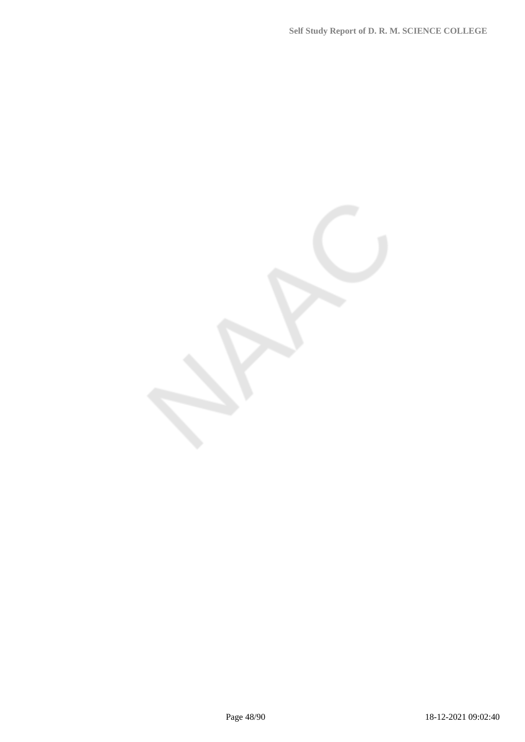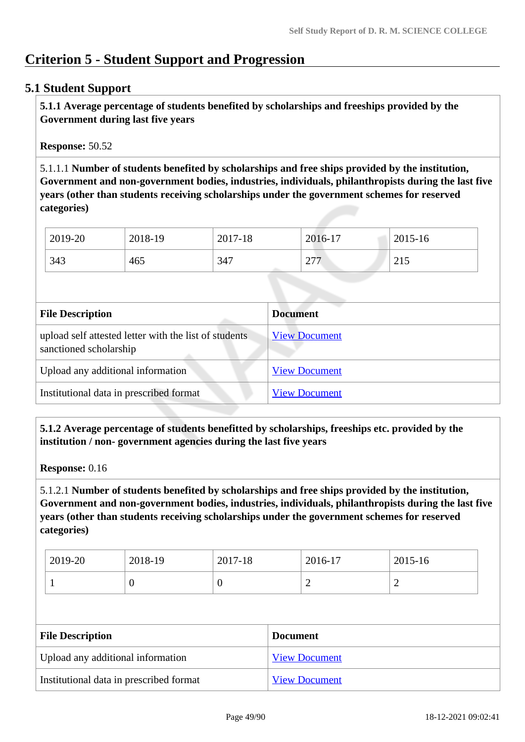# **Criterion 5 - Student Support and Progression**

### **5.1 Student Support**

 **5.1.1 Average percentage of students benefited by scholarships and freeships provided by the Government during last five years** 

**Response:** 50.52

5.1.1.1 **Number of students benefited by scholarships and free ships provided by the institution, Government and non-government bodies, industries, individuals, philanthropists during the last five years (other than students receiving scholarships under the government schemes for reserved categories)** 

| 2019-20 | 2018-19 | 2017-18 | 2016-17                            | 2015-16 |
|---------|---------|---------|------------------------------------|---------|
| 343     | 465     | 347     | $\cap$<br>$\sim$ $\prime$ $\prime$ | ل 1 ک   |

| <b>File Description</b>                                                         | <b>Document</b>      |
|---------------------------------------------------------------------------------|----------------------|
| upload self attested letter with the list of students<br>sanctioned scholarship | <b>View Document</b> |
| Upload any additional information                                               | <b>View Document</b> |
| Institutional data in prescribed format                                         | <b>View Document</b> |

 **5.1.2 Average percentage of students benefitted by scholarships, freeships etc. provided by the institution / non- government agencies during the last five years**

**Response:** 0.16

5.1.2.1 **Number of students benefited by scholarships and free ships provided by the institution, Government and non-government bodies, industries, individuals, philanthropists during the last five years (other than students receiving scholarships under the government schemes for reserved categories)** 

| 2019-20 | 2018-19 | 2017-18 | 2016-17  | 2015-16 |
|---------|---------|---------|----------|---------|
|         |         | ν       | <u>_</u> | -       |

| <b>File Description</b>                 | <b>Document</b>      |
|-----------------------------------------|----------------------|
| Upload any additional information       | <b>View Document</b> |
| Institutional data in prescribed format | <b>View Document</b> |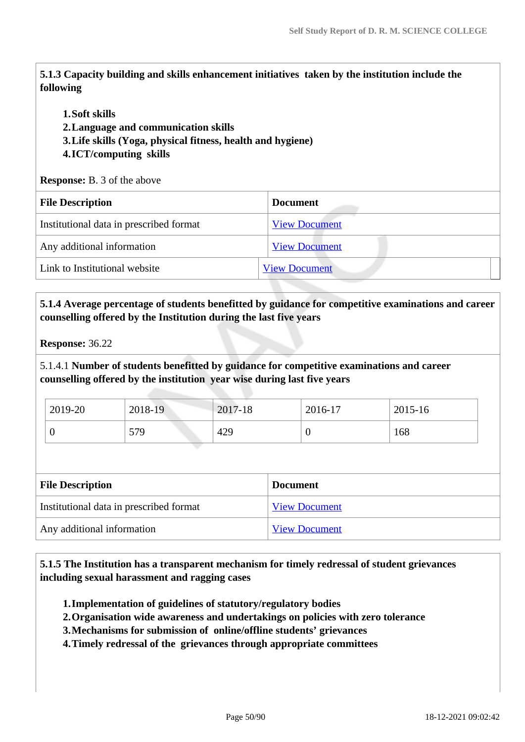**5.1.3 Capacity building and skills enhancement initiatives taken by the institution include the following**

#### **1.Soft skills**

- **2.Language and communication skills**
- **3.Life skills (Yoga, physical fitness, health and hygiene)**

### **4.ICT/computing skills**

**Response:** B. 3 of the above

| <b>File Description</b>                 | <b>Document</b>      |
|-----------------------------------------|----------------------|
| Institutional data in prescribed format | <b>View Document</b> |
| Any additional information              | <b>View Document</b> |
| Link to Institutional website           | <b>View Document</b> |
|                                         |                      |

## **5.1.4 Average percentage of students benefitted by guidance for competitive examinations and career counselling offered by the Institution during the last five years**

**Response:** 36.22

5.1.4.1 **Number of students benefitted by guidance for competitive examinations and career counselling offered by the institution year wise during last five years**

| 2019-20 | 2018-19 | 2017-18 | 2016-17 | 2015-16 |
|---------|---------|---------|---------|---------|
|         | 579     | 429     |         | 168     |

| <b>File Description</b>                 | <b>Document</b>      |  |
|-----------------------------------------|----------------------|--|
| Institutional data in prescribed format | <b>View Document</b> |  |
| Any additional information              | <b>View Document</b> |  |

 **5.1.5 The Institution has a transparent mechanism for timely redressal of student grievances including sexual harassment and ragging cases**

**1.Implementation of guidelines of statutory/regulatory bodies**

- **2.Organisation wide awareness and undertakings on policies with zero tolerance**
- **3.Mechanisms for submission of online/offline students' grievances**
- **4.Timely redressal of the grievances through appropriate committees**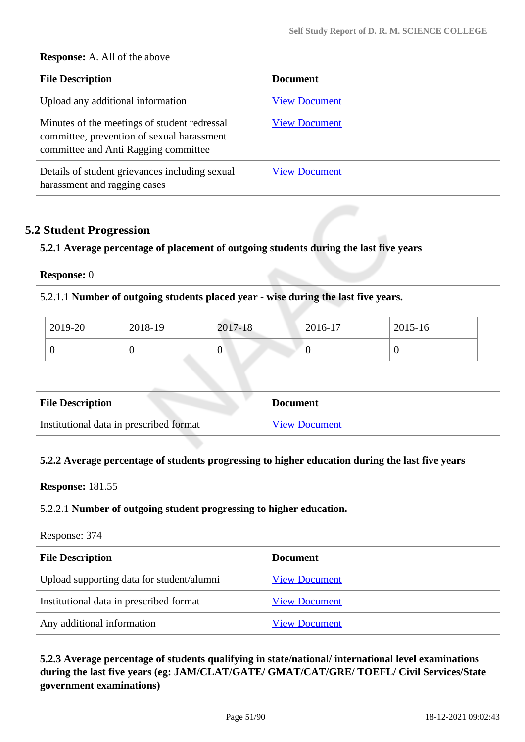## **Response:** A. All of the above **File Description Document** Upload any additional information [View Document](https://assessmentonline.naac.gov.in/storage/app/hei/SSR/108179/5.1.5_1626614734_6525.pdf) Minutes of the meetings of student redressal committee, prevention of sexual harassment committee and Anti Ragging committee [View Document](https://assessmentonline.naac.gov.in/storage/app/hei/SSR/108179/5.1.5_1626614456_6525.pdf) Details of student grievances including sexual harassment and ragging cases [View Document](https://assessmentonline.naac.gov.in/storage/app/hei/SSR/108179/5.1.5_1626614635_6525.pdf)

## **5.2 Student Progression**

## **5.2.1 Average percentage of placement of outgoing students during the last five years**

#### **Response:** 0

#### 5.2.1.1 **Number of outgoing students placed year - wise during the last five years.**

| 2019-20 | 2018-19 | 2017-18 | 2016-17 | 2015-16 |
|---------|---------|---------|---------|---------|
|         |         | ν       |         |         |

| <b>File Description</b>                 | <b>Document</b>      |
|-----------------------------------------|----------------------|
| Institutional data in prescribed format | <b>View Document</b> |

#### **5.2.2 Average percentage of students progressing to higher education during the last five years**

**Response:** 181.55

#### 5.2.2.1 **Number of outgoing student progressing to higher education.**

Response: 374

| <b>File Description</b>                   | <b>Document</b>      |
|-------------------------------------------|----------------------|
| Upload supporting data for student/alumni | <b>View Document</b> |
| Institutional data in prescribed format   | <b>View Document</b> |
| Any additional information                | <b>View Document</b> |

 **5.2.3 Average percentage of students qualifying in state/national/ international level examinations during the last five years (eg: JAM/CLAT/GATE/ GMAT/CAT/GRE/ TOEFL/ Civil Services/State government examinations)**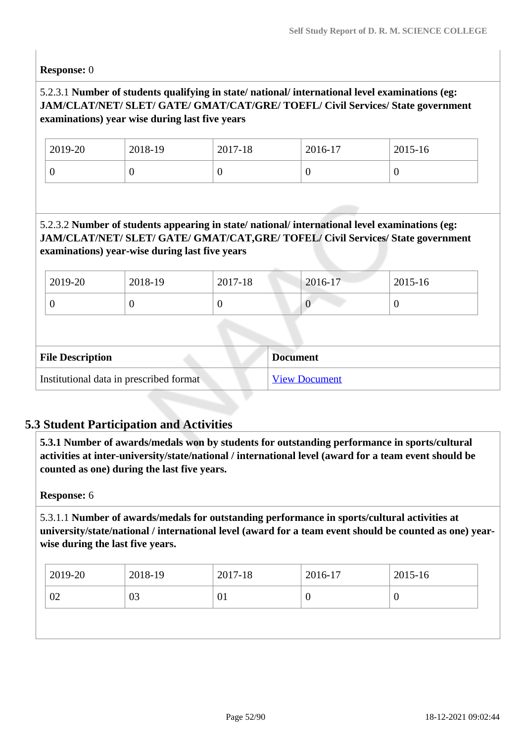**Response:** 0

### 5.2.3.1 **Number of students qualifying in state/ national/ international level examinations (eg: JAM/CLAT/NET/ SLET/ GATE/ GMAT/CAT/GRE/ TOEFL/ Civil Services/ State government examinations) year wise during last five years**

| 2019-20 | 2018-19 | 2017-18 | 2016-17 | 2015-16 |
|---------|---------|---------|---------|---------|
|         |         | ν       |         | ν       |

### 5.2.3.2 **Number of students appearing in state/ national/ international level examinations (eg: JAM/CLAT/NET/ SLET/ GATE/ GMAT/CAT,GRE/ TOFEL/ Civil Services/ State government examinations) year-wise during last five years**

| $12019-20$ | 2018-19 | 2017-18 | $2016 - 17$ | $12015 - 16$ |
|------------|---------|---------|-------------|--------------|
|            |         |         |             |              |

| <b>File Description</b>                 | <b>Document</b>      |
|-----------------------------------------|----------------------|
| Institutional data in prescribed format | <b>View Document</b> |

## **5.3 Student Participation and Activities**

 **5.3.1 Number of awards/medals won by students for outstanding performance in sports/cultural activities at inter-university/state/national / international level (award for a team event should be counted as one) during the last five years.**

#### **Response:** 6

5.3.1.1 **Number of awards/medals for outstanding performance in sports/cultural activities at university/state/national / international level (award for a team event should be counted as one) yearwise during the last five years.**

| $\frac{12019-20}{ }$ | 2018-19 | 2017-18 | 2016-17 | 2015-16 |
|----------------------|---------|---------|---------|---------|
| 02                   | 03      | 01      | U       | ν       |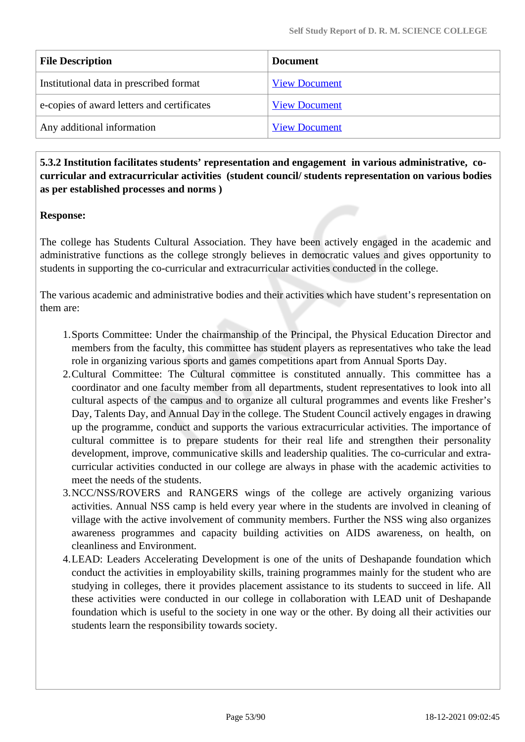| <b>File Description</b>                    | <b>Document</b>      |
|--------------------------------------------|----------------------|
| Institutional data in prescribed format    | <b>View Document</b> |
| e-copies of award letters and certificates | <b>View Document</b> |
| Any additional information                 | <b>View Document</b> |

 **5.3.2 Institution facilitates students' representation and engagement in various administrative, cocurricular and extracurricular activities (student council/ students representation on various bodies as per established processes and norms )**

#### **Response:**

The college has Students Cultural Association. They have been actively engaged in the academic and administrative functions as the college strongly believes in democratic values and gives opportunity to students in supporting the co-curricular and extracurricular activities conducted in the college.

The various academic and administrative bodies and their activities which have student's representation on them are:

- 1.Sports Committee: Under the chairmanship of the Principal, the Physical Education Director and members from the faculty, this committee has student players as representatives who take the lead role in organizing various sports and games competitions apart from Annual Sports Day.
- 2.Cultural Committee: The Cultural committee is constituted annually. This committee has a coordinator and one faculty member from all departments, student representatives to look into all cultural aspects of the campus and to organize all cultural programmes and events like Fresher's Day, Talents Day, and Annual Day in the college. The Student Council actively engages in drawing up the programme, conduct and supports the various extracurricular activities. The importance of cultural committee is to prepare students for their real life and strengthen their personality development, improve, communicative skills and leadership qualities. The co-curricular and extracurricular activities conducted in our college are always in phase with the academic activities to meet the needs of the students.
- 3.NCC/NSS/ROVERS and RANGERS wings of the college are actively organizing various activities. Annual NSS camp is held every year where in the students are involved in cleaning of village with the active involvement of community members. Further the NSS wing also organizes awareness programmes and capacity building activities on AIDS awareness, on health, on cleanliness and Environment.
- 4.LEAD: Leaders Accelerating Development is one of the units of Deshapande foundation which conduct the activities in employability skills, training programmes mainly for the student who are studying in colleges, there it provides placement assistance to its students to succeed in life. All these activities were conducted in our college in collaboration with LEAD unit of Deshapande foundation which is useful to the society in one way or the other. By doing all their activities our students learn the responsibility towards society.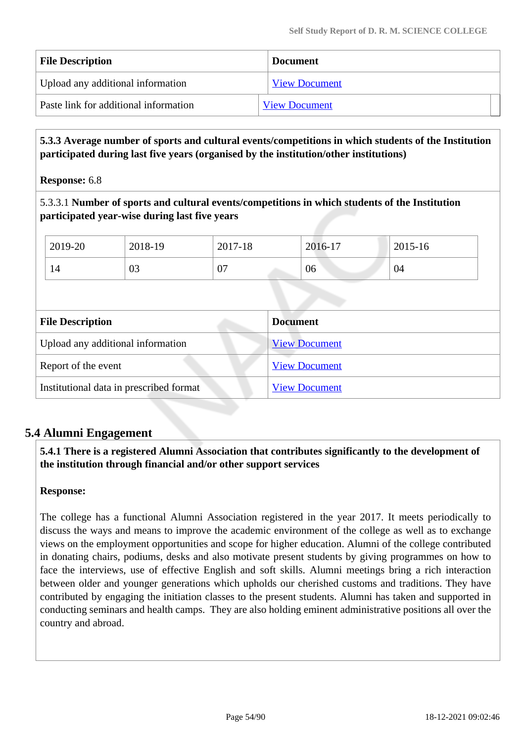| <b>File Description</b>               | <b>Document</b>      |
|---------------------------------------|----------------------|
| Upload any additional information     | <b>View Document</b> |
| Paste link for additional information | <b>View Document</b> |

 **5.3.3 Average number of sports and cultural events/competitions in which students of the Institution participated during last five years (organised by the institution/other institutions)**

**Response:** 6.8

5.3.3.1 **Number of sports and cultural events/competitions in which students of the Institution participated year-wise during last five years**

| 2019-20 | 2018-19 | 2017-18 | 2016-17 | 2015-16 |
|---------|---------|---------|---------|---------|
| 14      | 03      | 07      | 06      | 04      |

| <b>File Description</b>                 | <b>Document</b>      |
|-----------------------------------------|----------------------|
| Upload any additional information       | <b>View Document</b> |
| Report of the event                     | <b>View Document</b> |
| Institutional data in prescribed format | <b>View Document</b> |

## **5.4 Alumni Engagement**

 **5.4.1 There is a registered Alumni Association that contributes significantly to the development of the institution through financial and/or other support services**

## **Response:**

The college has a functional Alumni Association registered in the year 2017. It meets periodically to discuss the ways and means to improve the academic environment of the college as well as to exchange views on the employment opportunities and scope for higher education. Alumni of the college contributed in donating chairs, podiums, desks and also motivate present students by giving programmes on how to face the interviews, use of effective English and soft skills. Alumni meetings bring a rich interaction between older and younger generations which upholds our cherished customs and traditions. They have contributed by engaging the initiation classes to the present students. Alumni has taken and supported in conducting seminars and health camps. They are also holding eminent administrative positions all over the country and abroad.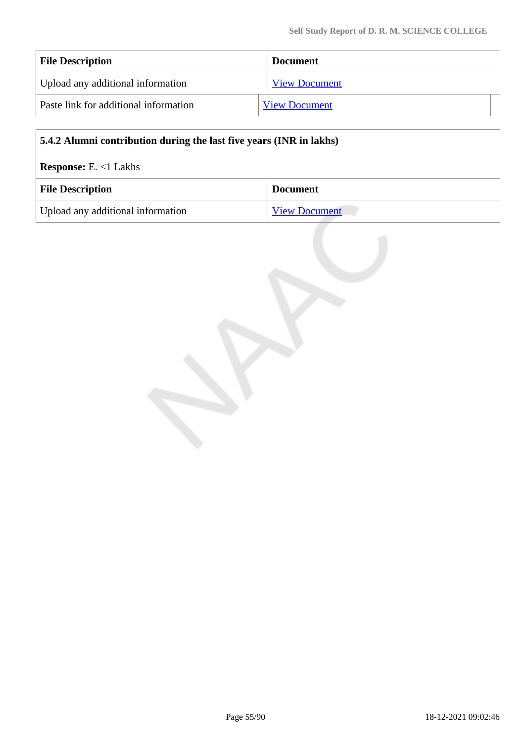| <b>File Description</b>               | <b>Document</b>      |
|---------------------------------------|----------------------|
| Upload any additional information     | <b>View Document</b> |
| Paste link for additional information | <b>View Document</b> |

| 5.4.2 Alumni contribution during the last five years (INR in lakhs) |                      |  |
|---------------------------------------------------------------------|----------------------|--|
| <b>Response:</b> E. $<1$ Lakhs                                      |                      |  |
| <b>File Description</b>                                             | <b>Document</b>      |  |
| Upload any additional information                                   | <b>View Document</b> |  |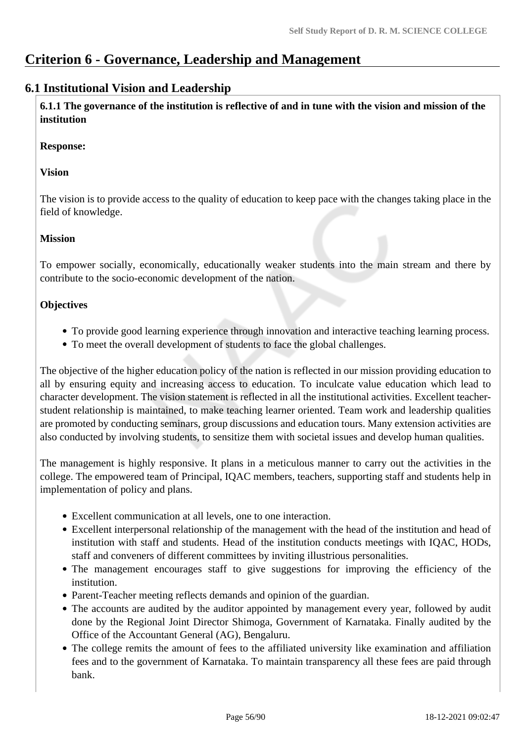# **Criterion 6 - Governance, Leadership and Management**

## **6.1 Institutional Vision and Leadership**

 **6.1.1 The governance of the institution is reflective of and in tune with the vision and mission of the institution**

#### **Response:**

#### **Vision**

The vision is to provide access to the quality of education to keep pace with the changes taking place in the field of knowledge.

#### **Mission**

To empower socially, economically, educationally weaker students into the main stream and there by contribute to the socio-economic development of the nation.

#### **Objectives**

- To provide good learning experience through innovation and interactive teaching learning process.
- To meet the overall development of students to face the global challenges.

The objective of the higher education policy of the nation is reflected in our mission providing education to all by ensuring equity and increasing access to education. To inculcate value education which lead to character development. The vision statement is reflected in all the institutional activities. Excellent teacherstudent relationship is maintained, to make teaching learner oriented. Team work and leadership qualities are promoted by conducting seminars, group discussions and education tours. Many extension activities are also conducted by involving students, to sensitize them with societal issues and develop human qualities.

The management is highly responsive. It plans in a meticulous manner to carry out the activities in the college. The empowered team of Principal, IQAC members, teachers, supporting staff and students help in implementation of policy and plans.

- Excellent communication at all levels, one to one interaction.
- Excellent interpersonal relationship of the management with the head of the institution and head of institution with staff and students. Head of the institution conducts meetings with IQAC, HODs, staff and conveners of different committees by inviting illustrious personalities.
- The management encourages staff to give suggestions for improving the efficiency of the institution.
- Parent-Teacher meeting reflects demands and opinion of the guardian.
- The accounts are audited by the auditor appointed by management every year, followed by audit done by the Regional Joint Director Shimoga, Government of Karnataka. Finally audited by the Office of the Accountant General (AG), Bengaluru.
- The college remits the amount of fees to the affiliated university like examination and affiliation fees and to the government of Karnataka. To maintain transparency all these fees are paid through bank.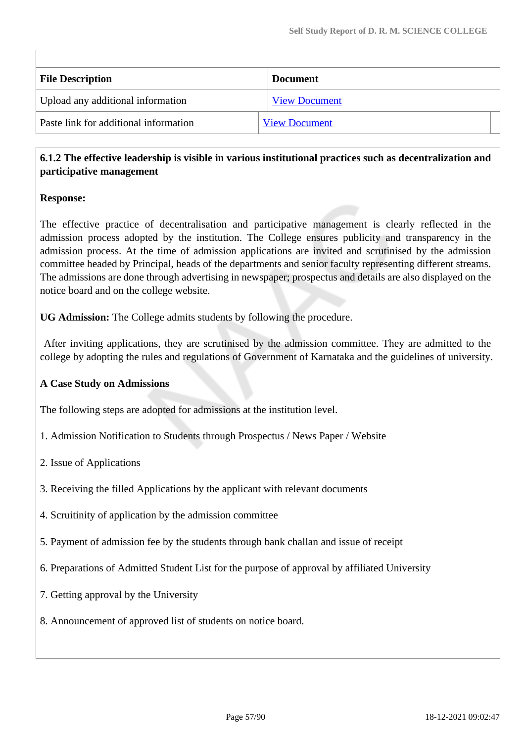| <b>File Description</b>               | <b>Document</b>      |
|---------------------------------------|----------------------|
| Upload any additional information     | <b>View Document</b> |
| Paste link for additional information | <b>View Document</b> |

## **6.1.2 The effective leadership is visible in various institutional practices such as decentralization and participative management**

## **Response:**

The effective practice of decentralisation and participative management is clearly reflected in the admission process adopted by the institution. The College ensures publicity and transparency in the admission process. At the time of admission applications are invited and scrutinised by the admission committee headed by Principal, heads of the departments and senior faculty representing different streams. The admissions are done through advertising in newspaper; prospectus and details are also displayed on the notice board and on the college website.

**UG Admission:** The College admits students by following the procedure.

 After inviting applications, they are scrutinised by the admission committee. They are admitted to the college by adopting the rules and regulations of Government of Karnataka and the guidelines of university.

## **A Case Study on Admissions**

The following steps are adopted for admissions at the institution level.

- 1. Admission Notification to Students through Prospectus / News Paper / Website
- 2. Issue of Applications
- 3. Receiving the filled Applications by the applicant with relevant documents
- 4. Scruitinity of application by the admission committee
- 5. Payment of admission fee by the students through bank challan and issue of receipt
- 6. Preparations of Admitted Student List for the purpose of approval by affiliated University
- 7. Getting approval by the University
- 8. Announcement of approved list of students on notice board.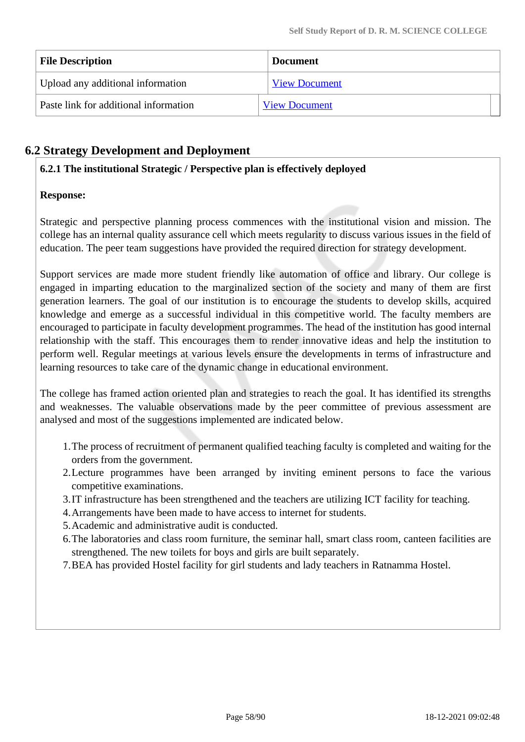| <b>File Description</b>               | <b>Document</b>      |
|---------------------------------------|----------------------|
| Upload any additional information     | <b>View Document</b> |
| Paste link for additional information | <b>View Document</b> |

## **6.2 Strategy Development and Deployment**

#### **6.2.1 The institutional Strategic / Perspective plan is effectively deployed**

#### **Response:**

Strategic and perspective planning process commences with the institutional vision and mission. The college has an internal quality assurance cell which meets regularity to discuss various issues in the field of education. The peer team suggestions have provided the required direction for strategy development.

Support services are made more student friendly like automation of office and library. Our college is engaged in imparting education to the marginalized section of the society and many of them are first generation learners. The goal of our institution is to encourage the students to develop skills, acquired knowledge and emerge as a successful individual in this competitive world. The faculty members are encouraged to participate in faculty development programmes. The head of the institution has good internal relationship with the staff. This encourages them to render innovative ideas and help the institution to perform well. Regular meetings at various levels ensure the developments in terms of infrastructure and learning resources to take care of the dynamic change in educational environment.

The college has framed action oriented plan and strategies to reach the goal. It has identified its strengths and weaknesses. The valuable observations made by the peer committee of previous assessment are analysed and most of the suggestions implemented are indicated below.

- 1.The process of recruitment of permanent qualified teaching faculty is completed and waiting for the orders from the government.
- 2.Lecture programmes have been arranged by inviting eminent persons to face the various competitive examinations.
- 3.IT infrastructure has been strengthened and the teachers are utilizing ICT facility for teaching.
- 4.Arrangements have been made to have access to internet for students.
- 5.Academic and administrative audit is conducted.
- 6.The laboratories and class room furniture, the seminar hall, smart class room, canteen facilities are strengthened. The new toilets for boys and girls are built separately.
- 7.BEA has provided Hostel facility for girl students and lady teachers in Ratnamma Hostel.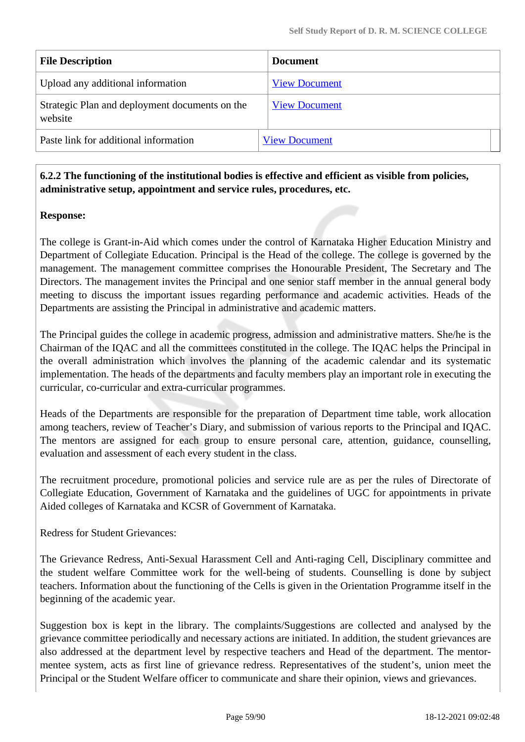| <b>File Description</b>                                   | <b>Document</b>      |
|-----------------------------------------------------------|----------------------|
| Upload any additional information                         | <b>View Document</b> |
| Strategic Plan and deployment documents on the<br>website | <b>View Document</b> |
| Paste link for additional information                     | <b>View Document</b> |

#### **6.2.2 The functioning of the institutional bodies is effective and efficient as visible from policies, administrative setup, appointment and service rules, procedures, etc.**

#### **Response:**

The college is Grant-in-Aid which comes under the control of Karnataka Higher Education Ministry and Department of Collegiate Education. Principal is the Head of the college. The college is governed by the management. The management committee comprises the Honourable President, The Secretary and The Directors. The management invites the Principal and one senior staff member in the annual general body meeting to discuss the important issues regarding performance and academic activities. Heads of the Departments are assisting the Principal in administrative and academic matters.

The Principal guides the college in academic progress, admission and administrative matters. She/he is the Chairman of the IQAC and all the committees constituted in the college. The IQAC helps the Principal in the overall administration which involves the planning of the academic calendar and its systematic implementation. The heads of the departments and faculty members play an important role in executing the curricular, co-curricular and extra-curricular programmes.

Heads of the Departments are responsible for the preparation of Department time table, work allocation among teachers, review of Teacher's Diary, and submission of various reports to the Principal and IQAC. The mentors are assigned for each group to ensure personal care, attention, guidance, counselling, evaluation and assessment of each every student in the class.

The recruitment procedure, promotional policies and service rule are as per the rules of Directorate of Collegiate Education, Government of Karnataka and the guidelines of UGC for appointments in private Aided colleges of Karnataka and KCSR of Government of Karnataka.

Redress for Student Grievances:

The Grievance Redress, Anti-Sexual Harassment Cell and Anti-raging Cell, Disciplinary committee and the student welfare Committee work for the well-being of students. Counselling is done by subject teachers. Information about the functioning of the Cells is given in the Orientation Programme itself in the beginning of the academic year.

Suggestion box is kept in the library. The complaints/Suggestions are collected and analysed by the grievance committee periodically and necessary actions are initiated. In addition, the student grievances are also addressed at the department level by respective teachers and Head of the department. The mentormentee system, acts as first line of grievance redress. Representatives of the student's, union meet the Principal or the Student Welfare officer to communicate and share their opinion, views and grievances.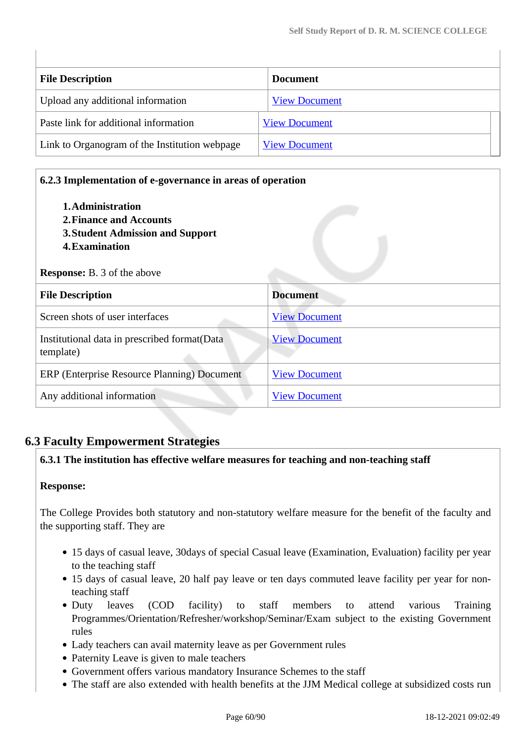| <b>File Description</b>                       | <b>Document</b>      |
|-----------------------------------------------|----------------------|
| Upload any additional information             | <b>View Document</b> |
| Paste link for additional information         | <b>View Document</b> |
| Link to Organogram of the Institution webpage | <b>View Document</b> |

| 6.2.3 Implementation of e-governance in areas of operation                                                                                      |                      |
|-------------------------------------------------------------------------------------------------------------------------------------------------|----------------------|
| 1. Administration<br><b>2. Finance and Accounts</b><br>3. Student Admission and Support<br>4. Examination<br><b>Response:</b> B. 3 of the above |                      |
| <b>File Description</b>                                                                                                                         | <b>Document</b>      |
| Screen shots of user interfaces                                                                                                                 | <b>View Document</b> |
| Institutional data in prescribed format (Data<br>template)                                                                                      | <b>View Document</b> |
| ERP (Enterprise Resource Planning) Document                                                                                                     | <b>View Document</b> |
| Any additional information                                                                                                                      | <b>View Document</b> |

## **6.3 Faculty Empowerment Strategies**

#### **6.3.1 The institution has effective welfare measures for teaching and non-teaching staff**

#### **Response:**

The College Provides both statutory and non-statutory welfare measure for the benefit of the faculty and the supporting staff. They are

- 15 days of casual leave, 30days of special Casual leave (Examination, Evaluation) facility per year to the teaching staff
- 15 days of casual leave, 20 half pay leave or ten days commuted leave facility per year for nonteaching staff
- Duty leaves (COD facility) to staff members to attend various Training Programmes/Orientation/Refresher/workshop/Seminar/Exam subject to the existing Government rules
- Lady teachers can avail maternity leave as per Government rules
- Paternity Leave is given to male teachers
- Government offers various mandatory Insurance Schemes to the staff
- The staff are also extended with health benefits at the JJM Medical college at subsidized costs run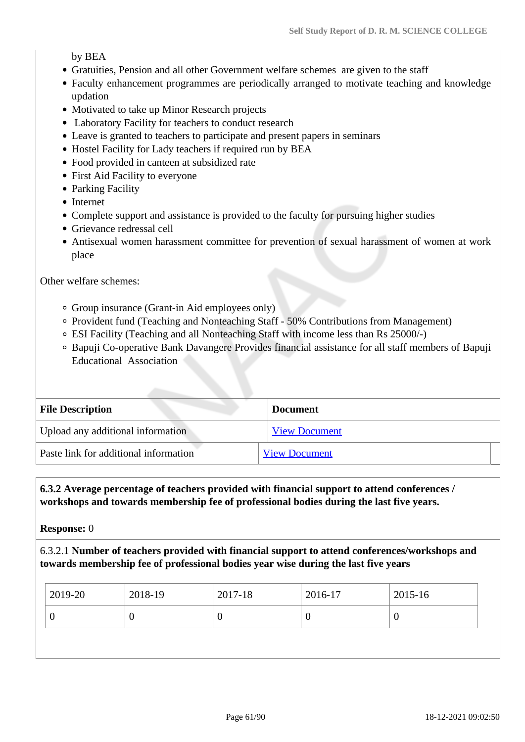by BEA

- Gratuities, Pension and all other Government welfare schemes are given to the staff
- Faculty enhancement programmes are periodically arranged to motivate teaching and knowledge updation
- Motivated to take up Minor Research projects
- Laboratory Facility for teachers to conduct research
- Leave is granted to teachers to participate and present papers in seminars
- Hostel Facility for Lady teachers if required run by BEA
- Food provided in canteen at subsidized rate
- First Aid Facility to everyone
- Parking Facility
- Internet
- Complete support and assistance is provided to the faculty for pursuing higher studies
- Grievance redressal cell
- Antisexual women harassment committee for prevention of sexual harassment of women at work place

Other welfare schemes:

- Group insurance (Grant-in Aid employees only)
- Provident fund (Teaching and Nonteaching Staff 50% Contributions from Management)
- ESI Facility (Teaching and all Nonteaching Staff with income less than Rs 25000/-)
- Bapuji Co-operative Bank Davangere Provides financial assistance for all staff members of Bapuji Educational Association

| <b>File Description</b>               | <b>Document</b>      |
|---------------------------------------|----------------------|
| Upload any additional information     | <b>View Document</b> |
| Paste link for additional information | <b>View Document</b> |

#### **6.3.2 Average percentage of teachers provided with financial support to attend conferences / workshops and towards membership fee of professional bodies during the last five years.**

**Response:** 0

#### 6.3.2.1 **Number of teachers provided with financial support to attend conferences/workshops and towards membership fee of professional bodies year wise during the last five years**

| $12019-20$ | 2018-19 | 2017-18 | 2016-17 | $2015 - 16$ |
|------------|---------|---------|---------|-------------|
| ν          |         | v       |         | υ           |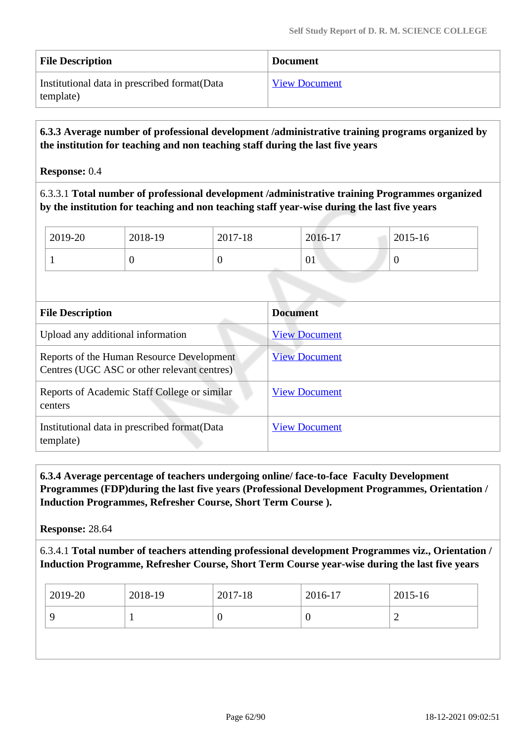| <b>File Description</b>                                    | <b>Document</b>      |
|------------------------------------------------------------|----------------------|
| Institutional data in prescribed format (Data<br>template) | <b>View Document</b> |

#### **6.3.3 Average number of professional development /administrative training programs organized by the institution for teaching and non teaching staff during the last five years**

#### **Response:** 0.4

6.3.3.1 **Total number of professional development /administrative training Programmes organized by the institution for teaching and non teaching staff year-wise during the last five years**

| 2019-20 | 2018-19 | 2017-18 | 2016-17 | 2015-16 |
|---------|---------|---------|---------|---------|
|         |         | ν       | 01      |         |

| <b>File Description</b>                                                                  | <b>Document</b>      |
|------------------------------------------------------------------------------------------|----------------------|
| Upload any additional information                                                        | <b>View Document</b> |
| Reports of the Human Resource Development<br>Centres (UGC ASC or other relevant centres) | <b>View Document</b> |
| Reports of Academic Staff College or similar<br>centers                                  | <b>View Document</b> |
| Institutional data in prescribed format (Data<br>template)                               | <b>View Document</b> |

 **6.3.4 Average percentage of teachers undergoing online/ face-to-face Faculty Development Programmes (FDP)during the last five years (Professional Development Programmes, Orientation / Induction Programmes, Refresher Course, Short Term Course ).**

**Response:** 28.64

6.3.4.1 **Total number of teachers attending professional development Programmes viz., Orientation / Induction Programme, Refresher Course, Short Term Course year-wise during the last five years**

| 2019-20 | 2018-19 | 2017-18 | 2016-17 | $2015 - 16$ |
|---------|---------|---------|---------|-------------|
|         |         | U       |         | ∽           |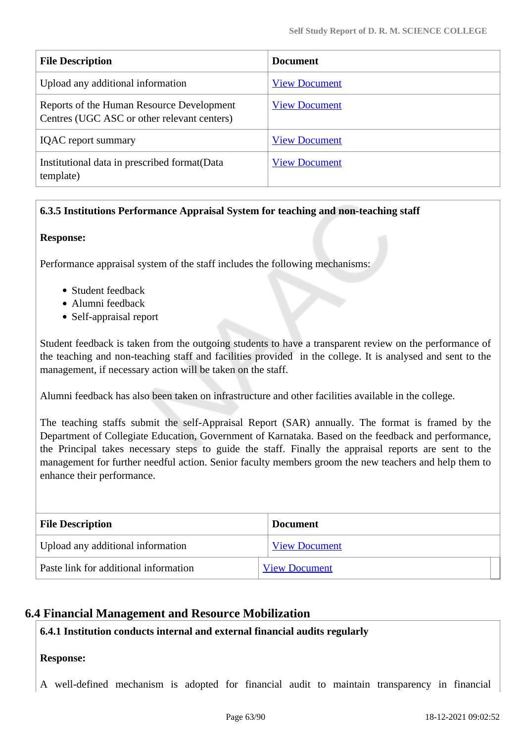| <b>File Description</b>                                                                  | <b>Document</b>      |
|------------------------------------------------------------------------------------------|----------------------|
| Upload any additional information                                                        | <b>View Document</b> |
| Reports of the Human Resource Development<br>Centres (UGC ASC or other relevant centers) | <b>View Document</b> |
| <b>IQAC</b> report summary                                                               | <b>View Document</b> |
| Institutional data in prescribed format (Data<br>template)                               | <b>View Document</b> |

## **6.3.5 Institutions Performance Appraisal System for teaching and non-teaching staff**

#### **Response:**

Performance appraisal system of the staff includes the following mechanisms:

- Student feedback
- Alumni feedback
- Self-appraisal report

Student feedback is taken from the outgoing students to have a transparent review on the performance of the teaching and non-teaching staff and facilities provided in the college. It is analysed and sent to the management, if necessary action will be taken on the staff.

Alumni feedback has also been taken on infrastructure and other facilities available in the college.

The teaching staffs submit the self-Appraisal Report (SAR) annually. The format is framed by the Department of Collegiate Education, Government of Karnataka. Based on the feedback and performance, the Principal takes necessary steps to guide the staff. Finally the appraisal reports are sent to the management for further needful action. Senior faculty members groom the new teachers and help them to enhance their performance.

| <b>File Description</b>               | <b>Document</b>      |
|---------------------------------------|----------------------|
| Upload any additional information     | <b>View Document</b> |
| Paste link for additional information | <b>View Document</b> |

## **6.4 Financial Management and Resource Mobilization**

#### **6.4.1 Institution conducts internal and external financial audits regularly**

#### **Response:**

A well-defined mechanism is adopted for financial audit to maintain transparency in financial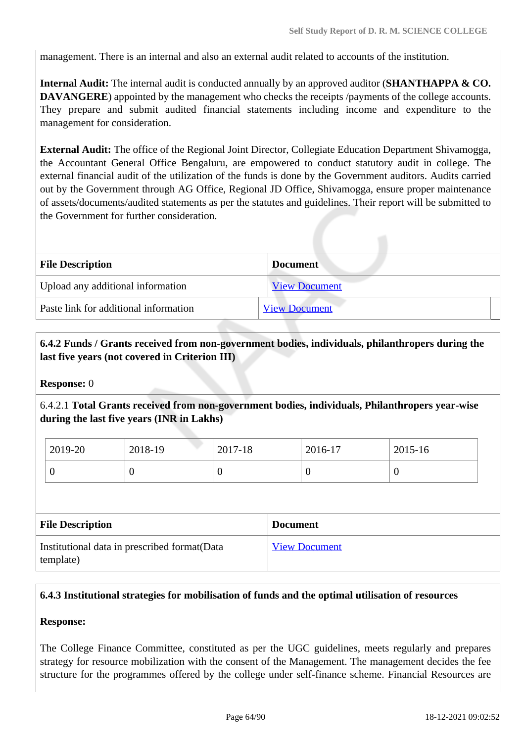management. There is an internal and also an external audit related to accounts of the institution.

**Internal Audit:** The internal audit is conducted annually by an approved auditor (**SHANTHAPPA & CO. DAVANGERE**) appointed by the management who checks the receipts /payments of the college accounts. They prepare and submit audited financial statements including income and expenditure to the management for consideration.

**External Audit:** The office of the Regional Joint Director, Collegiate Education Department Shivamogga, the Accountant General Office Bengaluru, are empowered to conduct statutory audit in college. The external financial audit of the utilization of the funds is done by the Government auditors. Audits carried out by the Government through AG Office, Regional JD Office, Shivamogga, ensure proper maintenance of assets/documents/audited statements as per the statutes and guidelines. Their report will be submitted to the Government for further consideration.

| <b>File Description</b>               | <b>Document</b>      |
|---------------------------------------|----------------------|
| Upload any additional information     | <b>View Document</b> |
| Paste link for additional information | <b>View Document</b> |

## **6.4.2 Funds / Grants received from non-government bodies, individuals, philanthropers during the last five years (not covered in Criterion III)**

#### **Response:** 0

6.4.2.1 **Total Grants received from non-government bodies, individuals, Philanthropers year-wise during the last five years (INR in Lakhs)**

| 2019-20 | 2018-19 | 2017-18 | 2016-17 | 2015-16 |
|---------|---------|---------|---------|---------|
|         | ◡       |         | v       | U       |

| <b>File Description</b>                                    | <b>Document</b>      |
|------------------------------------------------------------|----------------------|
| Institutional data in prescribed format (Data<br>template) | <b>View Document</b> |

#### **6.4.3 Institutional strategies for mobilisation of funds and the optimal utilisation of resources**

#### **Response:**

The College Finance Committee, constituted as per the UGC guidelines, meets regularly and prepares strategy for resource mobilization with the consent of the Management. The management decides the fee structure for the programmes offered by the college under self-finance scheme. Financial Resources are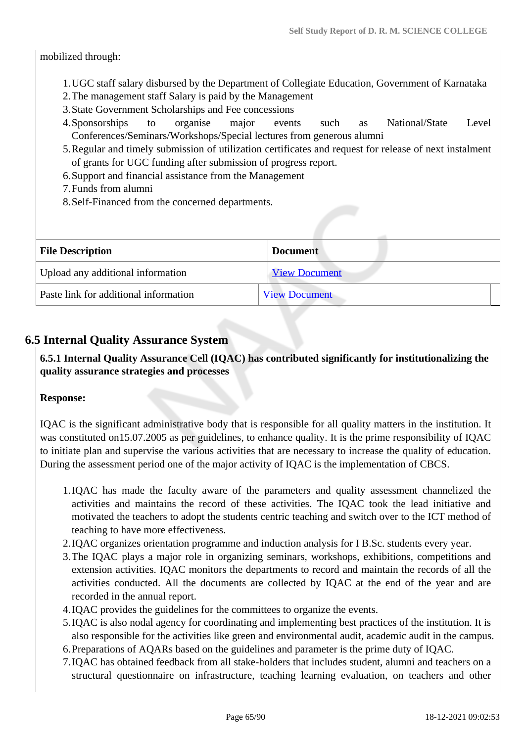#### mobilized through:

- 1.UGC staff salary disbursed by the Department of Collegiate Education, Government of Karnataka
- 2.The management staff Salary is paid by the Management
- 3.State Government Scholarships and Fee concessions
- 4.Sponsorships to organise major events such as National/State Level Conferences/Seminars/Workshops/Special lectures from generous alumni
- 5.Regular and timely submission of utilization certificates and request for release of next instalment of grants for UGC funding after submission of progress report.
- 6.Support and financial assistance from the Management
- 7.Funds from alumni
- 8.Self-Financed from the concerned departments.

| <b>File Description</b>               | <b>Document</b>      |
|---------------------------------------|----------------------|
| Upload any additional information     | <b>View Document</b> |
| Paste link for additional information | <b>View Document</b> |

## **6.5 Internal Quality Assurance System**

 **6.5.1 Internal Quality Assurance Cell (IQAC) has contributed significantly for institutionalizing the quality assurance strategies and processes**

#### **Response:**

IQAC is the significant administrative body that is responsible for all quality matters in the institution. It was constituted on15.07.2005 as per guidelines, to enhance quality. It is the prime responsibility of IQAC to initiate plan and supervise the various activities that are necessary to increase the quality of education. During the assessment period one of the major activity of IQAC is the implementation of CBCS.

- 1.IQAC has made the faculty aware of the parameters and quality assessment channelized the activities and maintains the record of these activities. The IQAC took the lead initiative and motivated the teachers to adopt the students centric teaching and switch over to the ICT method of teaching to have more effectiveness.
- 2.IQAC organizes orientation programme and induction analysis for I B.Sc. students every year.
- 3.The IQAC plays a major role in organizing seminars, workshops, exhibitions, competitions and extension activities. IQAC monitors the departments to record and maintain the records of all the activities conducted. All the documents are collected by IQAC at the end of the year and are recorded in the annual report.
- 4.IQAC provides the guidelines for the committees to organize the events.
- 5.IQAC is also nodal agency for coordinating and implementing best practices of the institution. It is also responsible for the activities like green and environmental audit, academic audit in the campus.
- 6.Preparations of AQARs based on the guidelines and parameter is the prime duty of IQAC.
- 7.IQAC has obtained feedback from all stake-holders that includes student, alumni and teachers on a structural questionnaire on infrastructure, teaching learning evaluation, on teachers and other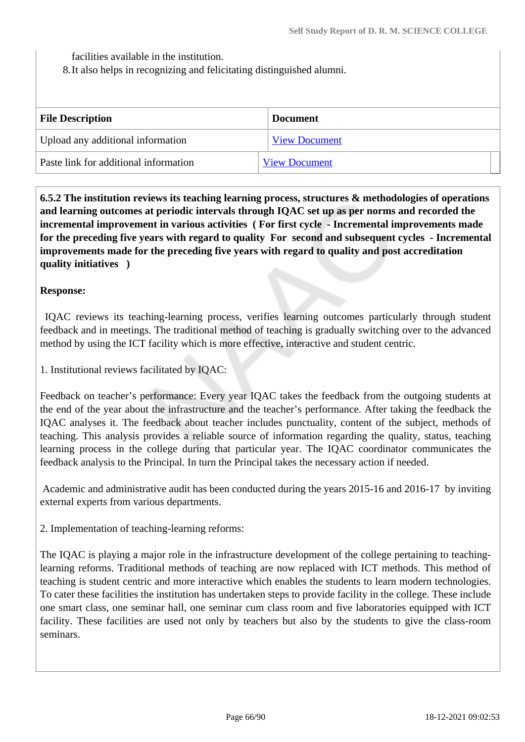facilities available in the institution.

8.It also helps in recognizing and felicitating distinguished alumni.

| <b>File Description</b>               | <b>Document</b>      |
|---------------------------------------|----------------------|
| Upload any additional information     | <b>View Document</b> |
| Paste link for additional information | <b>View Document</b> |

 **6.5.2 The institution reviews its teaching learning process, structures & methodologies of operations and learning outcomes at periodic intervals through IQAC set up as per norms and recorded the incremental improvement in various activities ( For first cycle - Incremental improvements made for the preceding five years with regard to quality For second and subsequent cycles - Incremental improvements made for the preceding five years with regard to quality and post accreditation quality initiatives )** 

#### **Response:**

 IQAC reviews its teaching-learning process, verifies learning outcomes particularly through student feedback and in meetings. The traditional method of teaching is gradually switching over to the advanced method by using the ICT facility which is more effective, interactive and student centric.

1. Institutional reviews facilitated by IQAC:

Feedback on teacher's performance: Every year IQAC takes the feedback from the outgoing students at the end of the year about the infrastructure and the teacher's performance. After taking the feedback the IQAC analyses it. The feedback about teacher includes punctuality, content of the subject, methods of teaching. This analysis provides a reliable source of information regarding the quality, status, teaching learning process in the college during that particular year. The IQAC coordinator communicates the feedback analysis to the Principal. In turn the Principal takes the necessary action if needed.

 Academic and administrative audit has been conducted during the years 2015-16 and 2016-17 by inviting external experts from various departments.

2. Implementation of teaching-learning reforms:

The IQAC is playing a major role in the infrastructure development of the college pertaining to teachinglearning reforms. Traditional methods of teaching are now replaced with ICT methods. This method of teaching is student centric and more interactive which enables the students to learn modern technologies. To cater these facilities the institution has undertaken steps to provide facility in the college. These include one smart class, one seminar hall, one seminar cum class room and five laboratories equipped with ICT facility. These facilities are used not only by teachers but also by the students to give the class-room seminars.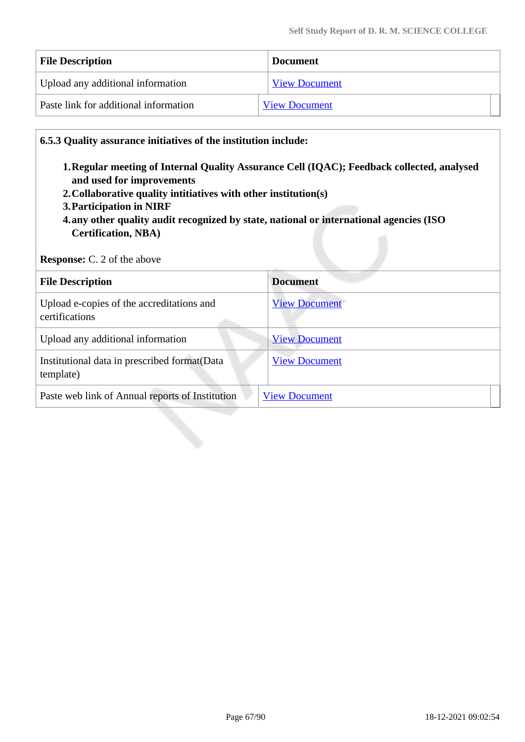| <b>File Description</b>               | <b>Document</b>      |
|---------------------------------------|----------------------|
| Upload any additional information     | <b>View Document</b> |
| Paste link for additional information | <b>View Document</b> |

#### **6.5.3 Quality assurance initiatives of the institution include:**

- **1.Regular meeting of Internal Quality Assurance Cell (IQAC); Feedback collected, analysed and used for improvements**
- **2.Collaborative quality intitiatives with other institution(s)**
- **3.Participation in NIRF**
- **4.any other quality audit recognized by state, national or international agencies (ISO Certification, NBA)**

**Response:** C. 2 of the above

| <b>File Description</b>                                     | <b>Document</b>      |
|-------------------------------------------------------------|----------------------|
| Upload e-copies of the accreditations and<br>certifications | <b>View Document</b> |
| Upload any additional information                           | <b>View Document</b> |
| Institutional data in prescribed format (Data<br>template)  | <b>View Document</b> |
| Paste web link of Annual reports of Institution             | <b>View Document</b> |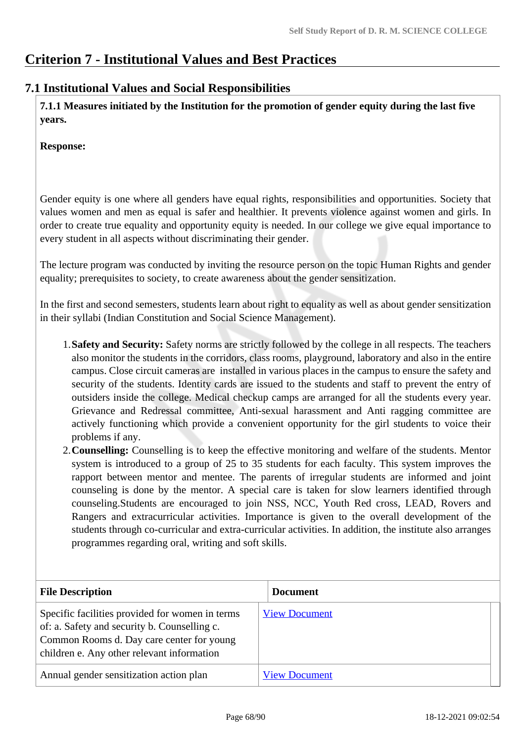# **Criterion 7 - Institutional Values and Best Practices**

## **7.1 Institutional Values and Social Responsibilities**

 **7.1.1 Measures initiated by the Institution for the promotion of gender equity during the last five years.**

**Response:** 

Gender equity is one where all genders have equal rights, responsibilities and opportunities. Society that values women and men as equal is safer and healthier. It prevents violence against women and girls. In order to create true equality and opportunity equity is needed. In our college we give equal importance to every student in all aspects without discriminating their gender.

The lecture program was conducted by inviting the resource person on the topic Human Rights and gender equality; prerequisites to society, to create awareness about the gender sensitization.

In the first and second semesters, students learn about right to equality as well as about gender sensitization in their syllabi (Indian Constitution and Social Science Management).

- 1.**Safety and Security:** Safety norms are strictly followed by the college in all respects. The teachers also monitor the students in the corridors, class rooms, playground, laboratory and also in the entire campus. Close circuit cameras are installed in various places in the campus to ensure the safety and security of the students. Identity cards are issued to the students and staff to prevent the entry of outsiders inside the college. Medical checkup camps are arranged for all the students every year. Grievance and Redressal committee, Anti-sexual harassment and Anti ragging committee are actively functioning which provide a convenient opportunity for the girl students to voice their problems if any.
- 2.**Counselling:** Counselling is to keep the effective monitoring and welfare of the students. Mentor system is introduced to a group of 25 to 35 students for each faculty. This system improves the rapport between mentor and mentee. The parents of irregular students are informed and joint counseling is done by the mentor. A special care is taken for slow learners identified through counseling.Students are encouraged to join NSS, NCC, Youth Red cross, LEAD, Rovers and Rangers and extracurricular activities. Importance is given to the overall development of the students through co-curricular and extra-curricular activities. In addition, the institute also arranges programmes regarding oral, writing and soft skills.

| <b>File Description</b>                                                                                                                                                                    | <b>Document</b>      |
|--------------------------------------------------------------------------------------------------------------------------------------------------------------------------------------------|----------------------|
| Specific facilities provided for women in terms<br>of: a. Safety and security b. Counselling c.<br>Common Rooms d. Day care center for young<br>children e. Any other relevant information | <b>View Document</b> |
| Annual gender sensitization action plan                                                                                                                                                    | <b>View Document</b> |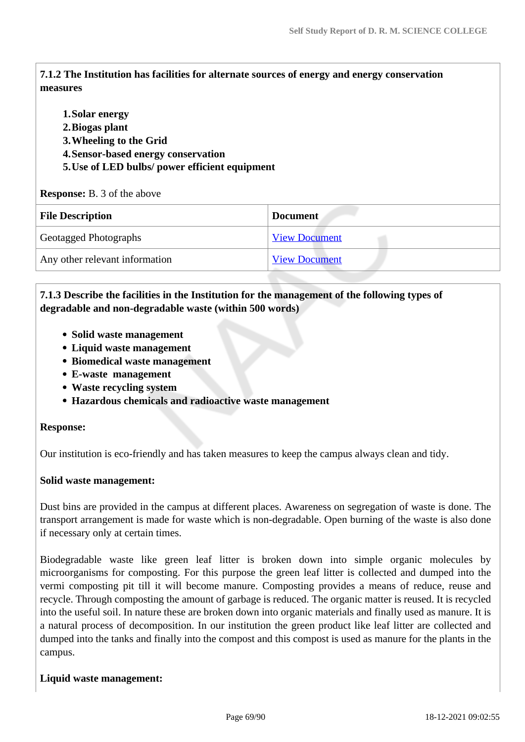**7.1.2 The Institution has facilities for alternate sources of energy and energy conservation measures** 

- **1.Solar energy**
- **2.Biogas plant**
- **3.Wheeling to the Grid**
- **4.Sensor-based energy conservation**
- **5.Use of LED bulbs/ power efficient equipment**

**Response:** B. 3 of the above

| <b>File Description</b>        | <b>Document</b>      |
|--------------------------------|----------------------|
| Geotagged Photographs          | <b>View Document</b> |
| Any other relevant information | <b>View Document</b> |

### **7.1.3 Describe the facilities in the Institution for the management of the following types of degradable and non-degradable waste (within 500 words)**

- **Solid waste management**
- **Liquid waste management**
- **Biomedical waste management**
- **E-waste management**
- **Waste recycling system**
- **Hazardous chemicals and radioactive waste management**

#### **Response:**

Our institution is eco-friendly and has taken measures to keep the campus always clean and tidy.

#### **Solid waste management:**

Dust bins are provided in the campus at different places. Awareness on segregation of waste is done. The transport arrangement is made for waste which is non-degradable. Open burning of the waste is also done if necessary only at certain times.

Biodegradable waste like green leaf litter is broken down into simple organic molecules by microorganisms for composting. For this purpose the green leaf litter is collected and dumped into the vermi composting pit till it will become manure. Composting provides a means of reduce, reuse and recycle. Through composting the amount of garbage is reduced. The organic matter is reused. It is recycled into the useful soil. In nature these are broken down into organic materials and finally used as manure. It is a natural process of decomposition. In our institution the green product like leaf litter are collected and dumped into the tanks and finally into the compost and this compost is used as manure for the plants in the campus.

#### **Liquid waste management:**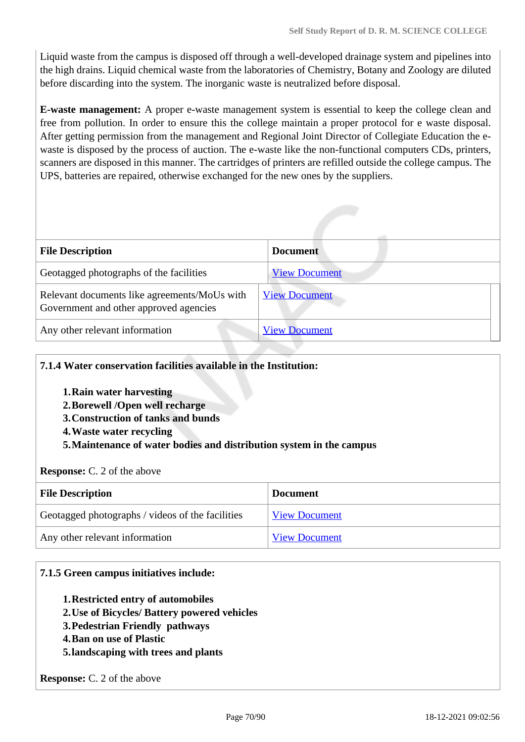Liquid waste from the campus is disposed off through a well-developed drainage system and pipelines into the high drains. Liquid chemical waste from the laboratories of Chemistry, Botany and Zoology are diluted before discarding into the system. The inorganic waste is neutralized before disposal.

**E-waste management:** A proper e-waste management system is essential to keep the college clean and free from pollution. In order to ensure this the college maintain a proper protocol for e waste disposal. After getting permission from the management and Regional Joint Director of Collegiate Education the ewaste is disposed by the process of auction. The e-waste like the non-functional computers CDs, printers, scanners are disposed in this manner. The cartridges of printers are refilled outside the college campus. The UPS, batteries are repaired, otherwise exchanged for the new ones by the suppliers.

| <b>File Description</b>                                                                | <b>Document</b>      |
|----------------------------------------------------------------------------------------|----------------------|
| Geotagged photographs of the facilities                                                | <b>View Document</b> |
| Relevant documents like agreements/MoUs with<br>Government and other approved agencies | <b>View Document</b> |
| Any other relevant information                                                         | <b>View Document</b> |

#### **7.1.4 Water conservation facilities available in the Institution:**

- **1.Rain water harvesting**
- **2.Borewell /Open well recharge**
- **3.Construction of tanks and bunds**
- **4.Waste water recycling**
- **5.Maintenance of water bodies and distribution system in the campus**

#### **Response:** C. 2 of the above

| <b>File Description</b>                          | <b>Document</b>      |
|--------------------------------------------------|----------------------|
| Geotagged photographs / videos of the facilities | <b>View Document</b> |
| Any other relevant information                   | <b>View Document</b> |

#### **7.1.5 Green campus initiatives include:**

- **1.Restricted entry of automobiles**
- **2.Use of Bicycles/ Battery powered vehicles**
- **3.Pedestrian Friendly pathways**
- **4.Ban on use of Plastic**
- **5.landscaping with trees and plants**

**Response:** C. 2 of the above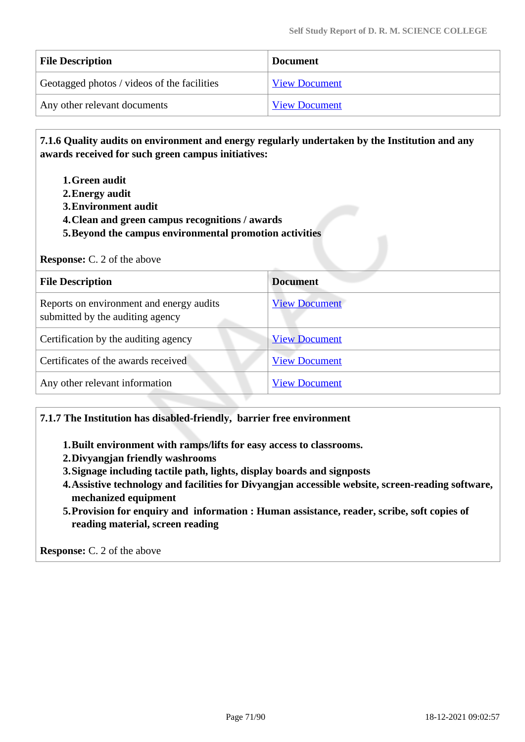| <b>File Description</b>                     | <b>Document</b>      |
|---------------------------------------------|----------------------|
| Geotagged photos / videos of the facilities | <b>View Document</b> |
| Any other relevant documents                | <b>View Document</b> |

 **7.1.6 Quality audits on environment and energy regularly undertaken by the Institution and any awards received for such green campus initiatives:**

- **1.Green audit**
- **2.Energy audit**
- **3.Environment audit**
- **4.Clean and green campus recognitions / awards**
- **5.Beyond the campus environmental promotion activities**

#### **Response:** C. 2 of the above

| <b>File Description</b>                                                      | <b>Document</b>      |
|------------------------------------------------------------------------------|----------------------|
| Reports on environment and energy audits<br>submitted by the auditing agency | <b>View Document</b> |
| Certification by the auditing agency                                         | <b>View Document</b> |
| Certificates of the awards received                                          | <b>View Document</b> |
| Any other relevant information                                               | <b>View Document</b> |

#### **7.1.7 The Institution has disabled-friendly, barrier free environment**

- **1.Built environment with ramps/lifts for easy access to classrooms.**
- **2.Divyangjan friendly washrooms**
- **3.Signage including tactile path, lights, display boards and signposts**
- **4.Assistive technology and facilities for Divyangjan accessible website, screen-reading software, mechanized equipment**
- **5.Provision for enquiry and information : Human assistance, reader, scribe, soft copies of reading material, screen reading**

**Response:** C. 2 of the above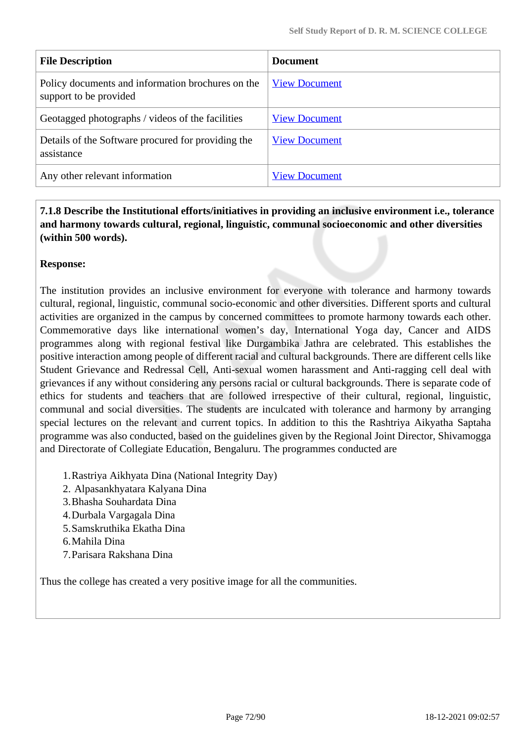| <b>File Description</b>                                                     | <b>Document</b>      |
|-----------------------------------------------------------------------------|----------------------|
| Policy documents and information brochures on the<br>support to be provided | <b>View Document</b> |
| Geotagged photographs / videos of the facilities                            | <b>View Document</b> |
| Details of the Software procured for providing the<br>assistance            | <b>View Document</b> |
| Any other relevant information                                              | <b>View Document</b> |

## **7.1.8 Describe the Institutional efforts/initiatives in providing an inclusive environment i.e., tolerance and harmony towards cultural, regional, linguistic, communal socioeconomic and other diversities (within 500 words).**

#### **Response:**

The institution provides an inclusive environment for everyone with tolerance and harmony towards cultural, regional, linguistic, communal socio-economic and other diversities. Different sports and cultural activities are organized in the campus by concerned committees to promote harmony towards each other. Commemorative days like international women's day, International Yoga day, Cancer and AIDS programmes along with regional festival like Durgambika Jathra are celebrated. This establishes the positive interaction among people of different racial and cultural backgrounds. There are different cells like Student Grievance and Redressal Cell, Anti-sexual women harassment and Anti-ragging cell deal with grievances if any without considering any persons racial or cultural backgrounds. There is separate code of ethics for students and teachers that are followed irrespective of their cultural, regional, linguistic, communal and social diversities. The students are inculcated with tolerance and harmony by arranging special lectures on the relevant and current topics. In addition to this the Rashtriya Aikyatha Saptaha programme was also conducted, based on the guidelines given by the Regional Joint Director, Shivamogga and Directorate of Collegiate Education, Bengaluru. The programmes conducted are

- 1.Rastriya Aikhyata Dina (National Integrity Day)
- 2. Alpasankhyatara Kalyana Dina
- 3.Bhasha Souhardata Dina
- 4.Durbala Vargagala Dina
- 5.Samskruthika Ekatha Dina
- 6.Mahila Dina
- 7.Parisara Rakshana Dina

Thus the college has created a very positive image for all the communities.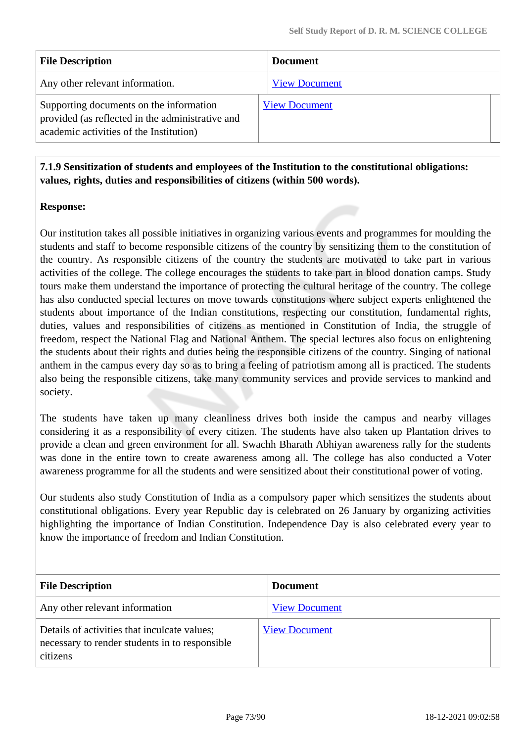| <b>File Description</b>                                                                                                                | <b>Document</b>      |
|----------------------------------------------------------------------------------------------------------------------------------------|----------------------|
| Any other relevant information.                                                                                                        | <b>View Document</b> |
| Supporting documents on the information<br>provided (as reflected in the administrative and<br>academic activities of the Institution) | <b>View Document</b> |

 **7.1.9 Sensitization of students and employees of the Institution to the constitutional obligations: values, rights, duties and responsibilities of citizens (within 500 words).**

#### **Response:**

Our institution takes all possible initiatives in organizing various events and programmes for moulding the students and staff to become responsible citizens of the country by sensitizing them to the constitution of the country. As responsible citizens of the country the students are motivated to take part in various activities of the college. The college encourages the students to take part in blood donation camps. Study tours make them understand the importance of protecting the cultural heritage of the country. The college has also conducted special lectures on move towards constitutions where subject experts enlightened the students about importance of the Indian constitutions, respecting our constitution, fundamental rights, duties, values and responsibilities of citizens as mentioned in Constitution of India, the struggle of freedom, respect the National Flag and National Anthem. The special lectures also focus on enlightening the students about their rights and duties being the responsible citizens of the country. Singing of national anthem in the campus every day so as to bring a feeling of patriotism among all is practiced. The students also being the responsible citizens, take many community services and provide services to mankind and society.

The students have taken up many cleanliness drives both inside the campus and nearby villages considering it as a responsibility of every citizen. The students have also taken up Plantation drives to provide a clean and green environment for all. Swachh Bharath Abhiyan awareness rally for the students was done in the entire town to create awareness among all. The college has also conducted a Voter awareness programme for all the students and were sensitized about their constitutional power of voting.

Our students also study Constitution of India as a compulsory paper which sensitizes the students about constitutional obligations. Every year Republic day is celebrated on 26 January by organizing activities highlighting the importance of Indian Constitution. Independence Day is also celebrated every year to know the importance of freedom and Indian Constitution.

| <b>File Description</b>                                                                                    | <b>Document</b>      |
|------------------------------------------------------------------------------------------------------------|----------------------|
| Any other relevant information                                                                             | <b>View Document</b> |
| Details of activities that inculcate values;<br>necessary to render students in to responsible<br>citizens | <b>View Document</b> |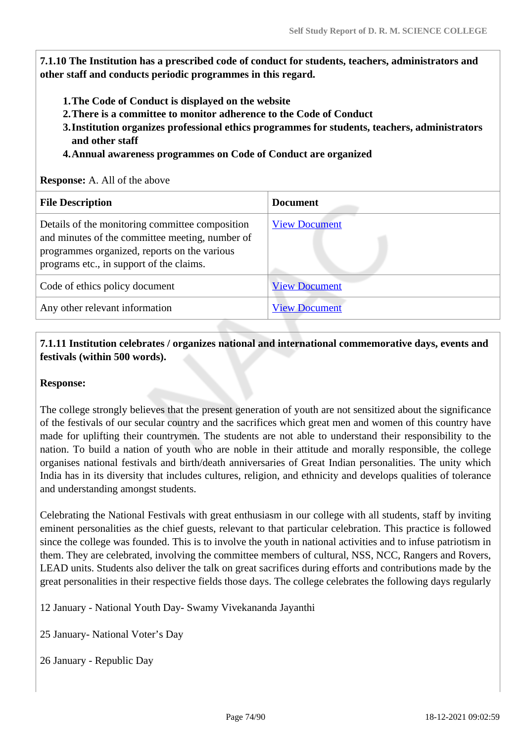**7.1.10 The Institution has a prescribed code of conduct for students, teachers, administrators and other staff and conducts periodic programmes in this regard.** 

- **1.The Code of Conduct is displayed on the website**
- **2.There is a committee to monitor adherence to the Code of Conduct**
- **3.Institution organizes professional ethics programmes for students, teachers, administrators and other staff**
- **4.Annual awareness programmes on Code of Conduct are organized**

#### **Response:** A. All of the above

| <b>File Description</b>                                                                                                                                                                        | <b>Document</b>      |
|------------------------------------------------------------------------------------------------------------------------------------------------------------------------------------------------|----------------------|
| Details of the monitoring committee composition<br>and minutes of the committee meeting, number of<br>programmes organized, reports on the various<br>programs etc., in support of the claims. | <b>View Document</b> |
| Code of ethics policy document                                                                                                                                                                 | <b>View Document</b> |
| Any other relevant information                                                                                                                                                                 | <b>View Document</b> |

### **7.1.11 Institution celebrates / organizes national and international commemorative days, events and festivals (within 500 words).**

#### **Response:**

The college strongly believes that the present generation of youth are not sensitized about the significance of the festivals of our secular country and the sacrifices which great men and women of this country have made for uplifting their countrymen. The students are not able to understand their responsibility to the nation. To build a nation of youth who are noble in their attitude and morally responsible, the college organises national festivals and birth/death anniversaries of Great Indian personalities. The unity which India has in its diversity that includes cultures, religion, and ethnicity and develops qualities of tolerance and understanding amongst students.

Celebrating the National Festivals with great enthusiasm in our college with all students, staff by inviting eminent personalities as the chief guests, relevant to that particular celebration. This practice is followed since the college was founded. This is to involve the youth in national activities and to infuse patriotism in them. They are celebrated, involving the committee members of cultural, NSS, NCC, Rangers and Rovers, LEAD units. Students also deliver the talk on great sacrifices during efforts and contributions made by the great personalities in their respective fields those days. The college celebrates the following days regularly

12 January - National Youth Day- Swamy Vivekananda Jayanthi

25 January- National Voter's Day

26 January - Republic Day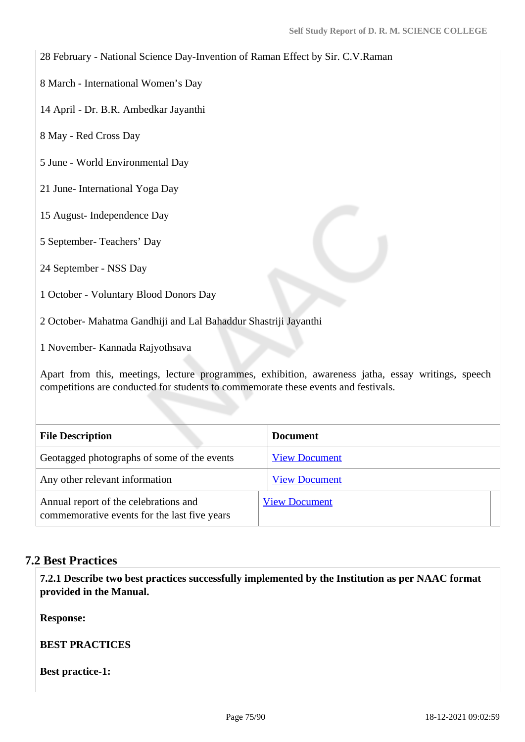28 February - National Science Day-Invention of Raman Effect by Sir. C.V.Raman

8 March - International Women's Day

14 April - Dr. B.R. Ambedkar Jayanthi

8 May - Red Cross Day

5 June - World Environmental Day

21 June- International Yoga Day

15 August- Independence Day

5 September- Teachers' Day

24 September - NSS Day

1 October - Voluntary Blood Donors Day

2 October- Mahatma Gandhiji and Lal Bahaddur Shastriji Jayanthi

1 November- Kannada Rajyothsava

Apart from this, meetings, lecture programmes, exhibition, awareness jatha, essay writings, speech competitions are conducted for students to commemorate these events and festivals.

| <b>File Description</b>                                                               | <b>Document</b>      |
|---------------------------------------------------------------------------------------|----------------------|
| Geotagged photographs of some of the events                                           | <b>View Document</b> |
| Any other relevant information                                                        | <b>View Document</b> |
| Annual report of the celebrations and<br>commemorative events for the last five years | <b>View Document</b> |

#### **7.2 Best Practices**

 **7.2.1 Describe two best practices successfully implemented by the Institution as per NAAC format provided in the Manual.**

**Response:** 

**BEST PRACTICES**

**Best practice-1:**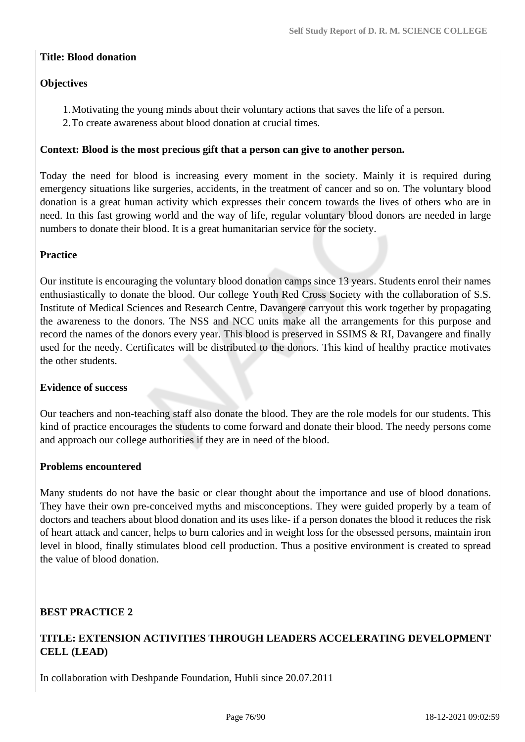### **Title: Blood donation**

### **Objectives**

- 1.Motivating the young minds about their voluntary actions that saves the life of a person.
- 2.To create awareness about blood donation at crucial times.

#### **Context: Blood is the most precious gift that a person can give to another person.**

Today the need for blood is increasing every moment in the society. Mainly it is required during emergency situations like surgeries, accidents, in the treatment of cancer and so on. The voluntary blood donation is a great human activity which expresses their concern towards the lives of others who are in need. In this fast growing world and the way of life, regular voluntary blood donors are needed in large numbers to donate their blood. It is a great humanitarian service for the society.

#### **Practice**

Our institute is encouraging the voluntary blood donation camps since 13 years. Students enrol their names enthusiastically to donate the blood. Our college Youth Red Cross Society with the collaboration of S.S. Institute of Medical Sciences and Research Centre, Davangere carryout this work together by propagating the awareness to the donors. The NSS and NCC units make all the arrangements for this purpose and record the names of the donors every year. This blood is preserved in SSIMS & RI, Davangere and finally used for the needy. Certificates will be distributed to the donors. This kind of healthy practice motivates the other students.

#### **Evidence of success**

Our teachers and non-teaching staff also donate the blood. They are the role models for our students. This kind of practice encourages the students to come forward and donate their blood. The needy persons come and approach our college authorities if they are in need of the blood.

#### **Problems encountered**

Many students do not have the basic or clear thought about the importance and use of blood donations. They have their own pre-conceived myths and misconceptions. They were guided properly by a team of doctors and teachers about blood donation and its uses like- if a person donates the blood it reduces the risk of heart attack and cancer, helps to burn calories and in weight loss for the obsessed persons, maintain iron level in blood, finally stimulates blood cell production. Thus a positive environment is created to spread the value of blood donation.

#### **BEST PRACTICE 2**

## **TITLE: EXTENSION ACTIVITIES THROUGH LEADERS ACCELERATING DEVELOPMENT CELL (LEAD)**

In collaboration with Deshpande Foundation, Hubli since 20.07.2011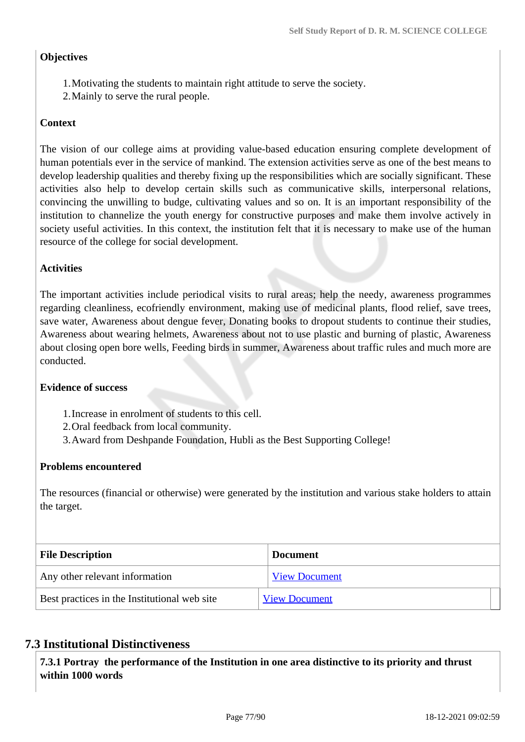## **Objectives**

- 1.Motivating the students to maintain right attitude to serve the society.
- 2.Mainly to serve the rural people.

## **Context**

The vision of our college aims at providing value-based education ensuring complete development of human potentials ever in the service of mankind. The extension activities serve as one of the best means to develop leadership qualities and thereby fixing up the responsibilities which are socially significant. These activities also help to develop certain skills such as communicative skills, interpersonal relations, convincing the unwilling to budge, cultivating values and so on. It is an important responsibility of the institution to channelize the youth energy for constructive purposes and make them involve actively in society useful activities. In this context, the institution felt that it is necessary to make use of the human resource of the college for social development.

## **Activities**

The important activities include periodical visits to rural areas; help the needy, awareness programmes regarding cleanliness, ecofriendly environment, making use of medicinal plants, flood relief, save trees, save water, Awareness about dengue fever, Donating books to dropout students to continue their studies, Awareness about wearing helmets, Awareness about not to use plastic and burning of plastic, Awareness about closing open bore wells, Feeding birds in summer, Awareness about traffic rules and much more are conducted.

## **Evidence of success**

- 1.Increase in enrolment of students to this cell.
- 2.Oral feedback from local community.
- 3.Award from Deshpande Foundation, Hubli as the Best Supporting College!

## **Problems encountered**

The resources (financial or otherwise) were generated by the institution and various stake holders to attain the target.

| <b>File Description</b>                      | <b>Document</b>      |
|----------------------------------------------|----------------------|
| Any other relevant information               | <b>View Document</b> |
| Best practices in the Institutional web site | <b>View Document</b> |

## **7.3 Institutional Distinctiveness**

 **7.3.1 Portray the performance of the Institution in one area distinctive to its priority and thrust within 1000 words**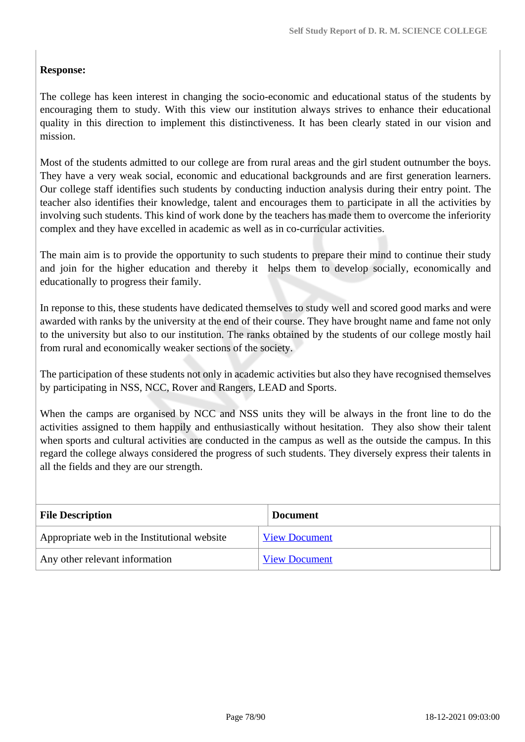## **Response:**

The college has keen interest in changing the socio-economic and educational status of the students by encouraging them to study. With this view our institution always strives to enhance their educational quality in this direction to implement this distinctiveness. It has been clearly stated in our vision and mission.

Most of the students admitted to our college are from rural areas and the girl student outnumber the boys. They have a very weak social, economic and educational backgrounds and are first generation learners. Our college staff identifies such students by conducting induction analysis during their entry point. The teacher also identifies their knowledge, talent and encourages them to participate in all the activities by involving such students. This kind of work done by the teachers has made them to overcome the inferiority complex and they have excelled in academic as well as in co-curricular activities.

The main aim is to provide the opportunity to such students to prepare their mind to continue their study and join for the higher education and thereby it helps them to develop socially, economically and educationally to progress their family.

In reponse to this, these students have dedicated themselves to study well and scored good marks and were awarded with ranks by the university at the end of their course. They have brought name and fame not only to the university but also to our institution. The ranks obtained by the students of our college mostly hail from rural and economically weaker sections of the society.

The participation of these students not only in academic activities but also they have recognised themselves by participating in NSS, NCC, Rover and Rangers, LEAD and Sports.

When the camps are organised by NCC and NSS units they will be always in the front line to do the activities assigned to them happily and enthusiastically without hesitation. They also show their talent when sports and cultural activities are conducted in the campus as well as the outside the campus. In this regard the college always considered the progress of such students. They diversely express their talents in all the fields and they are our strength.

| <b>File Description</b>                      | <b>Document</b>      |
|----------------------------------------------|----------------------|
| Appropriate web in the Institutional website | <b>View Document</b> |
| Any other relevant information               | <b>View Document</b> |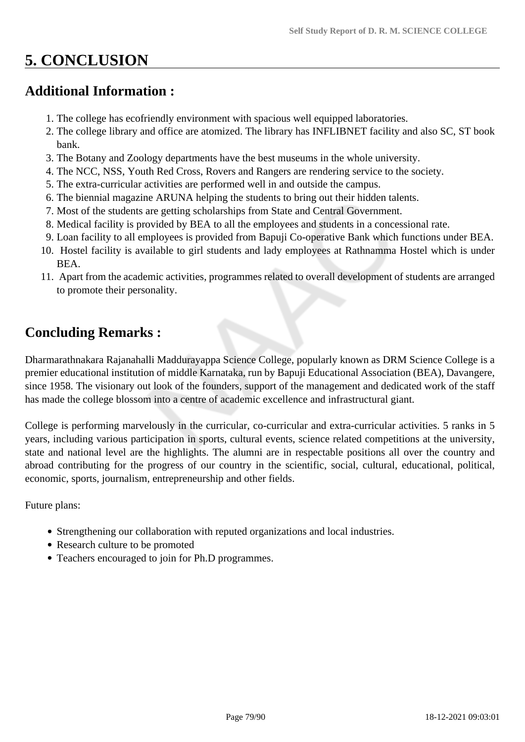# **5. CONCLUSION**

## **Additional Information :**

- 1. The college has ecofriendly environment with spacious well equipped laboratories.
- 2. The college library and office are atomized. The library has INFLIBNET facility and also SC, ST book bank.
- 3. The Botany and Zoology departments have the best museums in the whole university.
- 4. The NCC, NSS, Youth Red Cross, Rovers and Rangers are rendering service to the society.
- 5. The extra-curricular activities are performed well in and outside the campus.
- 6. The biennial magazine ARUNA helping the students to bring out their hidden talents.
- 7. Most of the students are getting scholarships from State and Central Government.
- 8. Medical facility is provided by BEA to all the employees and students in a concessional rate.
- 9. Loan facility to all employees is provided from Bapuji Co-operative Bank which functions under BEA.
- 10. Hostel facility is available to girl students and lady employees at Rathnamma Hostel which is under BEA.
- 11. Apart from the academic activities, programmes related to overall development of students are arranged to promote their personality.

## **Concluding Remarks :**

Dharmarathnakara Rajanahalli Maddurayappa Science College, popularly known as DRM Science College is a premier educational institution of middle Karnataka, run by Bapuji Educational Association (BEA), Davangere, since 1958. The visionary out look of the founders, support of the management and dedicated work of the staff has made the college blossom into a centre of academic excellence and infrastructural giant.

College is performing marvelously in the curricular, co-curricular and extra-curricular activities. 5 ranks in 5 years, including various participation in sports, cultural events, science related competitions at the university, state and national level are the highlights. The alumni are in respectable positions all over the country and abroad contributing for the progress of our country in the scientific, social, cultural, educational, political, economic, sports, journalism, entrepreneurship and other fields.

Future plans:

- Strengthening our collaboration with reputed organizations and local industries.
- Research culture to be promoted
- Teachers encouraged to join for Ph.D programmes.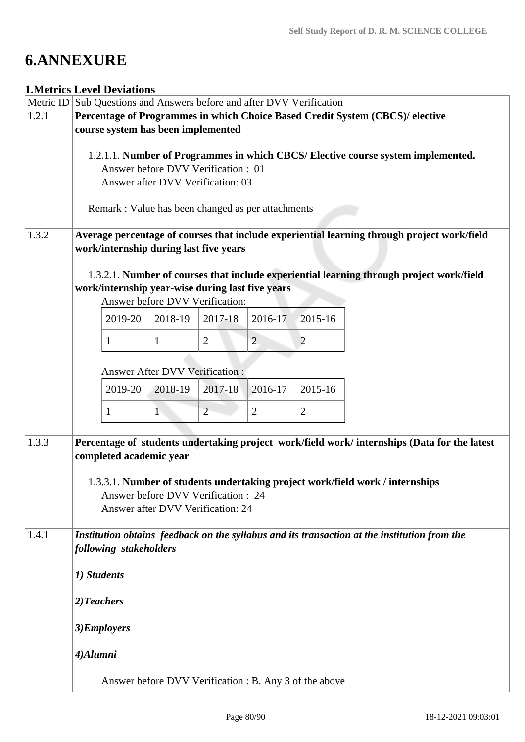# **6.ANNEXURE**

## **1.Metrics Level Deviations**

|       | Metric ID Sub Questions and Answers before and after DVV Verification         |                                                        |              |                |                |                |                                                                                              |
|-------|-------------------------------------------------------------------------------|--------------------------------------------------------|--------------|----------------|----------------|----------------|----------------------------------------------------------------------------------------------|
| 1.2.1 | Percentage of Programmes in which Choice Based Credit System (CBCS)/ elective |                                                        |              |                |                |                |                                                                                              |
|       | course system has been implemented                                            |                                                        |              |                |                |                |                                                                                              |
|       |                                                                               |                                                        |              |                |                |                |                                                                                              |
|       |                                                                               |                                                        |              |                |                |                | 1.2.1.1. Number of Programmes in which CBCS/ Elective course system implemented.             |
|       |                                                                               | Answer before DVV Verification: 01                     |              |                |                |                |                                                                                              |
|       |                                                                               | Answer after DVV Verification: 03                      |              |                |                |                |                                                                                              |
|       |                                                                               | Remark : Value has been changed as per attachments     |              |                |                |                |                                                                                              |
|       |                                                                               |                                                        |              |                |                |                |                                                                                              |
| 1.3.2 |                                                                               |                                                        |              |                |                |                | Average percentage of courses that include experiential learning through project work/field  |
|       |                                                                               | work/internship during last five years                 |              |                |                |                |                                                                                              |
|       |                                                                               |                                                        |              |                |                |                |                                                                                              |
|       |                                                                               |                                                        |              |                |                |                | 1.3.2.1. Number of courses that include experiential learning through project work/field     |
|       |                                                                               | work/internship year-wise during last five years       |              |                |                |                |                                                                                              |
|       |                                                                               | Answer before DVV Verification:                        |              |                |                |                |                                                                                              |
|       |                                                                               | 2019-20                                                | 2018-19      | 2017-18        | 2016-17        | 2015-16        |                                                                                              |
|       |                                                                               | 1                                                      | $\mathbf{1}$ | $\overline{2}$ | $\overline{2}$ | $\overline{2}$ |                                                                                              |
|       |                                                                               |                                                        |              |                |                |                |                                                                                              |
|       |                                                                               | <b>Answer After DVV Verification:</b>                  |              |                |                |                |                                                                                              |
|       |                                                                               | 2019-20                                                | 2018-19      | 2017-18        | 2016-17        | 2015-16        |                                                                                              |
|       |                                                                               | 1                                                      | 1            | $\overline{2}$ | $\overline{2}$ | $\overline{2}$ |                                                                                              |
|       |                                                                               |                                                        |              |                |                |                |                                                                                              |
| 1.3.3 |                                                                               |                                                        |              |                |                |                | Percentage of students undertaking project work/field work/ internships (Data for the latest |
|       |                                                                               | completed academic year                                |              |                |                |                |                                                                                              |
|       |                                                                               |                                                        |              |                |                |                |                                                                                              |
|       |                                                                               |                                                        |              |                |                |                | 1.3.3.1. Number of students undertaking project work/field work / internships                |
|       |                                                                               | Answer before DVV Verification : 24                    |              |                |                |                |                                                                                              |
|       |                                                                               | Answer after DVV Verification: 24                      |              |                |                |                |                                                                                              |
|       |                                                                               |                                                        |              |                |                |                |                                                                                              |
| 1.4.1 |                                                                               | following stakeholders                                 |              |                |                |                | Institution obtains feedback on the syllabus and its transaction at the institution from the |
|       |                                                                               |                                                        |              |                |                |                |                                                                                              |
|       | 1) Students                                                                   |                                                        |              |                |                |                |                                                                                              |
|       | 2) Teachers                                                                   |                                                        |              |                |                |                |                                                                                              |
|       |                                                                               |                                                        |              |                |                |                |                                                                                              |
|       |                                                                               | 3)Employers                                            |              |                |                |                |                                                                                              |
|       | 4)Alumni                                                                      |                                                        |              |                |                |                |                                                                                              |
|       |                                                                               | Answer before DVV Verification : B. Any 3 of the above |              |                |                |                |                                                                                              |
|       |                                                                               |                                                        |              |                |                |                |                                                                                              |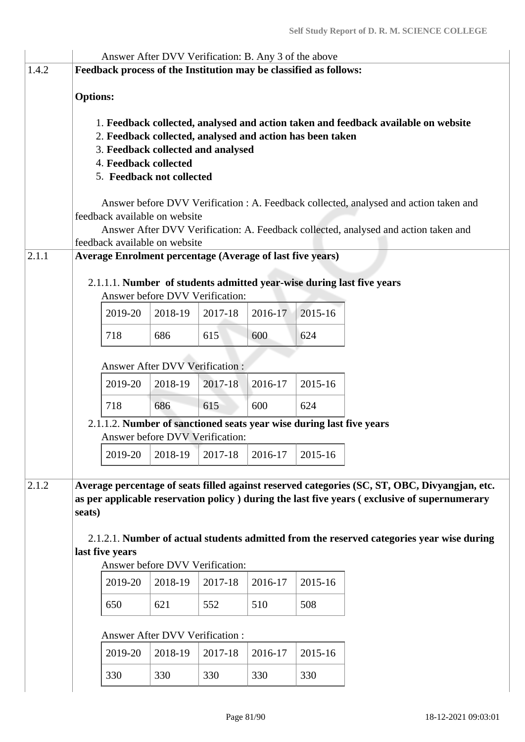|       |                                 |                                                                                                                          |                                       | Answer After DVV Verification: B. Any 3 of the above |         |         |                                                                                               |  |  |  |  |
|-------|---------------------------------|--------------------------------------------------------------------------------------------------------------------------|---------------------------------------|------------------------------------------------------|---------|---------|-----------------------------------------------------------------------------------------------|--|--|--|--|
| 1.4.2 |                                 | Feedback process of the Institution may be classified as follows:                                                        |                                       |                                                      |         |         |                                                                                               |  |  |  |  |
|       | <b>Options:</b>                 |                                                                                                                          |                                       |                                                      |         |         |                                                                                               |  |  |  |  |
|       |                                 | 1. Feedback collected, analysed and action taken and feedback available on website                                       |                                       |                                                      |         |         |                                                                                               |  |  |  |  |
|       |                                 |                                                                                                                          |                                       |                                                      |         |         |                                                                                               |  |  |  |  |
|       |                                 | 2. Feedback collected, analysed and action has been taken<br>3. Feedback collected and analysed<br>4. Feedback collected |                                       |                                                      |         |         |                                                                                               |  |  |  |  |
|       |                                 |                                                                                                                          |                                       |                                                      |         |         |                                                                                               |  |  |  |  |
|       |                                 | 5. Feedback not collected                                                                                                |                                       |                                                      |         |         |                                                                                               |  |  |  |  |
|       |                                 |                                                                                                                          |                                       |                                                      |         |         | Answer before DVV Verification : A. Feedback collected, analysed and action taken and         |  |  |  |  |
|       |                                 | feedback available on website                                                                                            |                                       |                                                      |         |         |                                                                                               |  |  |  |  |
|       |                                 |                                                                                                                          |                                       |                                                      |         |         | Answer After DVV Verification: A. Feedback collected, analysed and action taken and           |  |  |  |  |
| 2.1.1 |                                 | feedback available on website<br><b>Average Enrolment percentage (Average of last five years)</b>                        |                                       |                                                      |         |         |                                                                                               |  |  |  |  |
|       |                                 |                                                                                                                          |                                       |                                                      |         |         |                                                                                               |  |  |  |  |
|       |                                 |                                                                                                                          |                                       |                                                      |         |         | 2.1.1.1. Number of students admitted year-wise during last five years                         |  |  |  |  |
|       |                                 |                                                                                                                          |                                       | Answer before DVV Verification:                      |         |         |                                                                                               |  |  |  |  |
|       |                                 | 2019-20                                                                                                                  | 2018-19                               | 2017-18                                              | 2016-17 | 2015-16 |                                                                                               |  |  |  |  |
|       |                                 | 718                                                                                                                      | 686                                   | 615                                                  | 600     | 624     |                                                                                               |  |  |  |  |
|       |                                 |                                                                                                                          | <b>Answer After DVV Verification:</b> |                                                      |         |         |                                                                                               |  |  |  |  |
|       |                                 | 2019-20                                                                                                                  | 2018-19                               | 2017-18                                              | 2016-17 | 2015-16 |                                                                                               |  |  |  |  |
|       |                                 | 718                                                                                                                      | 686                                   | 615                                                  | 600     | 624     |                                                                                               |  |  |  |  |
|       |                                 | 2.1.1.2. Number of sanctioned seats year wise during last five years                                                     |                                       |                                                      |         |         |                                                                                               |  |  |  |  |
|       |                                 |                                                                                                                          |                                       | Answer before DVV Verification:                      |         |         |                                                                                               |  |  |  |  |
|       |                                 | 2019-20                                                                                                                  | 2018-19                               | 2017-18                                              | 2016-17 | 2015-16 |                                                                                               |  |  |  |  |
| 2.1.2 |                                 |                                                                                                                          |                                       |                                                      |         |         | Average percentage of seats filled against reserved categories (SC, ST, OBC, Divyangjan, etc. |  |  |  |  |
|       |                                 |                                                                                                                          |                                       |                                                      |         |         | as per applicable reservation policy ) during the last five years (exclusive of supernumerary |  |  |  |  |
|       | seats)                          |                                                                                                                          |                                       |                                                      |         |         |                                                                                               |  |  |  |  |
|       |                                 |                                                                                                                          |                                       |                                                      |         |         | 2.1.2.1. Number of actual students admitted from the reserved categories year wise during     |  |  |  |  |
|       |                                 | last five years                                                                                                          |                                       |                                                      |         |         |                                                                                               |  |  |  |  |
|       | Answer before DVV Verification: |                                                                                                                          |                                       |                                                      |         |         |                                                                                               |  |  |  |  |
|       |                                 | 2019-20                                                                                                                  | 2018-19                               | 2017-18                                              | 2016-17 | 2015-16 |                                                                                               |  |  |  |  |
|       |                                 | 650                                                                                                                      | 621                                   | 552                                                  | 510     | 508     |                                                                                               |  |  |  |  |
|       |                                 |                                                                                                                          | Answer After DVV Verification:        |                                                      |         |         |                                                                                               |  |  |  |  |
|       |                                 | 2019-20                                                                                                                  | 2018-19                               | 2017-18                                              | 2016-17 | 2015-16 |                                                                                               |  |  |  |  |
|       |                                 | 330                                                                                                                      | 330                                   | 330                                                  | 330     | 330     |                                                                                               |  |  |  |  |
|       |                                 |                                                                                                                          |                                       |                                                      |         |         |                                                                                               |  |  |  |  |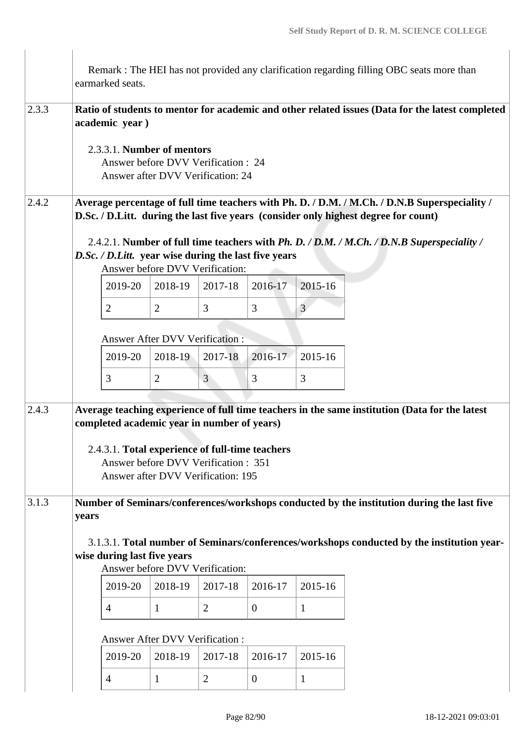|       | earmarked seats.                                                                                                          |                                                                           |                |                |                | Remark : The HEI has not provided any clarification regarding filling OBC seats more than                                                                                            |  |  |
|-------|---------------------------------------------------------------------------------------------------------------------------|---------------------------------------------------------------------------|----------------|----------------|----------------|--------------------------------------------------------------------------------------------------------------------------------------------------------------------------------------|--|--|
| 2.3.3 | Ratio of students to mentor for academic and other related issues (Data for the latest completed<br>academic year)        |                                                                           |                |                |                |                                                                                                                                                                                      |  |  |
|       | 2.3.3.1. Number of mentors                                                                                                | Answer before DVV Verification : 24<br>Answer after DVV Verification: 24  |                |                |                |                                                                                                                                                                                      |  |  |
| 2.4.2 |                                                                                                                           |                                                                           |                |                |                | Average percentage of full time teachers with Ph. D. / D.M. / M.Ch. / D.N.B Superspeciality /<br>D.Sc. / D.Litt. during the last five years (consider only highest degree for count) |  |  |
|       | D.Sc. / D.Litt. year wise during the last five years                                                                      | Answer before DVV Verification:                                           |                |                |                | 2.4.2.1. Number of full time teachers with <i>Ph. D. / D.M. / M.Ch. / D.N.B Superspeciality</i> /                                                                                    |  |  |
|       | 2019-20                                                                                                                   | 2018-19                                                                   | 2017-18        | 2016-17        | 2015-16        |                                                                                                                                                                                      |  |  |
|       | $\overline{2}$                                                                                                            | 2                                                                         | 3              | 3              | $\mathfrak{Z}$ |                                                                                                                                                                                      |  |  |
|       |                                                                                                                           | <b>Answer After DVV Verification:</b>                                     |                |                |                |                                                                                                                                                                                      |  |  |
|       | 2019-20                                                                                                                   | 2018-19                                                                   | 2017-18        | 2016-17        | 2015-16        |                                                                                                                                                                                      |  |  |
|       | 3                                                                                                                         | 2                                                                         | $\mathfrak{Z}$ | 3              | $\overline{3}$ |                                                                                                                                                                                      |  |  |
| 2.4.3 | completed academic year in number of years)<br>2.4.3.1. Total experience of full-time teachers                            | Answer before DVV Verification: 351<br>Answer after DVV Verification: 195 |                |                |                | Average teaching experience of full time teachers in the same institution (Data for the latest                                                                                       |  |  |
| 3.1.3 | years                                                                                                                     |                                                                           |                |                |                | Number of Seminars/conferences/workshops conducted by the institution during the last five                                                                                           |  |  |
|       | 3.1.3.1. Total number of Seminars/conferences/workshops conducted by the institution year-<br>wise during last five years |                                                                           |                |                |                |                                                                                                                                                                                      |  |  |
|       | Answer before DVV Verification:                                                                                           |                                                                           |                |                |                |                                                                                                                                                                                      |  |  |
|       | 2019-20                                                                                                                   | 2018-19                                                                   | 2017-18        | 2016-17        | 2015-16        |                                                                                                                                                                                      |  |  |
|       | $\overline{4}$                                                                                                            | $\mathbf{1}$                                                              | $\overline{2}$ | $\mathbf{0}$   | $\mathbf{1}$   |                                                                                                                                                                                      |  |  |
|       |                                                                                                                           | <b>Answer After DVV Verification:</b>                                     |                |                |                |                                                                                                                                                                                      |  |  |
|       | 2019-20                                                                                                                   | 2018-19                                                                   | 2017-18        | 2016-17        | 2015-16        |                                                                                                                                                                                      |  |  |
|       | $\overline{4}$                                                                                                            | $\mathbf{1}$                                                              | $\overline{2}$ | $\overline{0}$ | 1              |                                                                                                                                                                                      |  |  |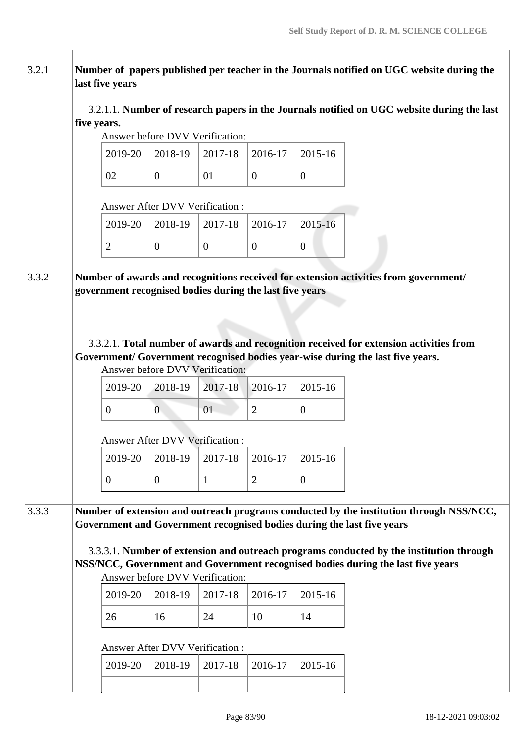| 3.2.1 | Number of papers published per teacher in the Journals notified on UGC website during the<br>last five years                                                      |                                           |                                       |                |                |  |  |  |  |  |
|-------|-------------------------------------------------------------------------------------------------------------------------------------------------------------------|-------------------------------------------|---------------------------------------|----------------|----------------|--|--|--|--|--|
|       |                                                                                                                                                                   |                                           |                                       |                |                |  |  |  |  |  |
|       | 3.2.1.1. Number of research papers in the Journals notified on UGC website during the last<br>five years.                                                         |                                           |                                       |                |                |  |  |  |  |  |
|       |                                                                                                                                                                   |                                           | Answer before DVV Verification:       |                |                |  |  |  |  |  |
|       | 2019-20                                                                                                                                                           | 2018-19                                   | 2017-18                               | 2016-17        | 2015-16        |  |  |  |  |  |
|       | 02                                                                                                                                                                | $\mathbf{0}$                              | 01                                    | $\mathbf{0}$   | $\overline{0}$ |  |  |  |  |  |
|       |                                                                                                                                                                   |                                           | <b>Answer After DVV Verification:</b> |                |                |  |  |  |  |  |
|       | 2019-20                                                                                                                                                           | 2018-19                                   | 2017-18                               | 2016-17        | 2015-16        |  |  |  |  |  |
|       | 2                                                                                                                                                                 | $\theta$                                  | $\overline{0}$                        | $\overline{0}$ | $\overline{0}$ |  |  |  |  |  |
| 3.3.2 | Number of awards and recognitions received for extension activities from government/                                                                              |                                           |                                       |                |                |  |  |  |  |  |
|       | government recognised bodies during the last five years                                                                                                           |                                           |                                       |                |                |  |  |  |  |  |
|       | 3.3.2.1. Total number of awards and recognition received for extension activities from                                                                            |                                           |                                       |                |                |  |  |  |  |  |
|       | Government/ Government recognised bodies year-wise during the last five years.                                                                                    |                                           | Answer before DVV Verification:       |                |                |  |  |  |  |  |
|       | 2019-20                                                                                                                                                           | 2018-19                                   | 2017-18                               | 2016-17        | 2015-16        |  |  |  |  |  |
|       | $\mathbf{0}$                                                                                                                                                      | $\overline{0}$                            | 01                                    | $\overline{2}$ | $\mathbf{0}$   |  |  |  |  |  |
|       |                                                                                                                                                                   | Answer After DVV Verification :           |                                       |                |                |  |  |  |  |  |
|       | 2019-20                                                                                                                                                           | 2018-19                                   | 2017-18                               | 2016-17        | 2015-16        |  |  |  |  |  |
|       | $\overline{0}$                                                                                                                                                    | $\overline{0}$                            | $\mathbf{1}$                          | $\overline{2}$ | $\overline{0}$ |  |  |  |  |  |
|       |                                                                                                                                                                   |                                           |                                       |                |                |  |  |  |  |  |
|       | Number of extension and outreach programs conducted by the institution through NSS/NCC,<br>Government and Government recognised bodies during the last five years |                                           |                                       |                |                |  |  |  |  |  |
|       | 3.3.3.1. Number of extension and outreach programs conducted by the institution through                                                                           |                                           |                                       |                |                |  |  |  |  |  |
| 3.3.3 | NSS/NCC, Government and Government recognised bodies during the last five years                                                                                   |                                           |                                       |                |                |  |  |  |  |  |
|       |                                                                                                                                                                   |                                           | Answer before DVV Verification:       |                |                |  |  |  |  |  |
|       | 2019-20                                                                                                                                                           | 2018-19                                   | 2017-18                               | 2016-17        | 2015-16        |  |  |  |  |  |
|       | 26                                                                                                                                                                | 16                                        | 24                                    | 10             | 14             |  |  |  |  |  |
|       | 2019-20                                                                                                                                                           | Answer After DVV Verification:<br>2018-19 | 2017-18                               | 2016-17        | 2015-16        |  |  |  |  |  |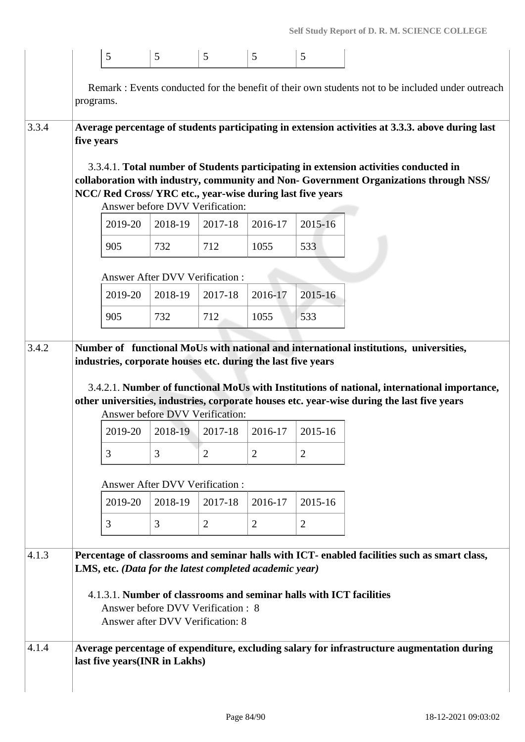|       |                                                                                                                | 5                                                                                                                              | 5                                                       | 5                                                                       | 5                              | 5                         |                                                                                                                                                                                                                                                                                    |  |  |  |
|-------|----------------------------------------------------------------------------------------------------------------|--------------------------------------------------------------------------------------------------------------------------------|---------------------------------------------------------|-------------------------------------------------------------------------|--------------------------------|---------------------------|------------------------------------------------------------------------------------------------------------------------------------------------------------------------------------------------------------------------------------------------------------------------------------|--|--|--|
|       | Remark : Events conducted for the benefit of their own students not to be included under outreach<br>programs. |                                                                                                                                |                                                         |                                                                         |                                |                           |                                                                                                                                                                                                                                                                                    |  |  |  |
| 3.3.4 | five years                                                                                                     | NCC/ Red Cross/ YRC etc., year-wise during last five years<br>2019-20<br>905                                                   | 2018-19<br>732                                          | Answer before DVV Verification:<br>2017-18<br>712                       | 2016-17<br>1055                | 2015-16<br>533            | Average percentage of students participating in extension activities at 3.3.3. above during last<br>3.3.4.1. Total number of Students participating in extension activities conducted in<br>collaboration with industry, community and Non- Government Organizations through NSS/  |  |  |  |
|       |                                                                                                                | 2019-20<br>905                                                                                                                 | <b>Answer After DVV Verification:</b><br>2018-19<br>732 | 2017-18<br>712                                                          | 2016-17<br>1055                | 2015-16<br>533            |                                                                                                                                                                                                                                                                                    |  |  |  |
| 3.4.2 |                                                                                                                | industries, corporate houses etc. during the last five years                                                                   |                                                         | <b>Answer before DVV Verification:</b>                                  |                                |                           | Number of functional MoUs with national and international institutions, universities,<br>3.4.2.1. Number of functional MoUs with Institutions of national, international importance,<br>other universities, industries, corporate houses etc. year-wise during the last five years |  |  |  |
|       |                                                                                                                | 2019-20                                                                                                                        | 2018-19<br>3                                            | 2017-18                                                                 | 2016-17                        | 2015-16<br>$\overline{2}$ |                                                                                                                                                                                                                                                                                    |  |  |  |
|       |                                                                                                                | 3<br>2019-20<br>3                                                                                                              | 2018-19<br>3                                            | $\overline{2}$<br><b>Answer After DVV Verification:</b><br>2017-18<br>2 | 2<br>2016-17<br>$\overline{2}$ | 2015-16<br>$\overline{2}$ |                                                                                                                                                                                                                                                                                    |  |  |  |
| 4.1.3 |                                                                                                                | LMS, etc. (Data for the latest completed academic year)<br>4.1.3.1. Number of classrooms and seminar halls with ICT facilities |                                                         | Answer before DVV Verification : 8<br>Answer after DVV Verification: 8  |                                |                           | Percentage of classrooms and seminar halls with ICT- enabled facilities such as smart class,                                                                                                                                                                                       |  |  |  |
| 4.1.4 |                                                                                                                | last five years(INR in Lakhs)                                                                                                  |                                                         |                                                                         |                                |                           | Average percentage of expenditure, excluding salary for infrastructure augmentation during                                                                                                                                                                                         |  |  |  |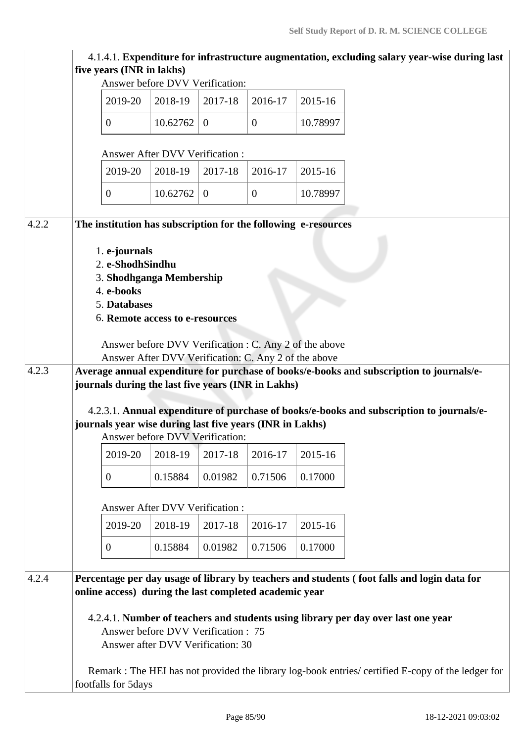|       | five years (INR in lakhs)                                                                                      |                                                                                                                                                                               |                |                  |          | 4.1.4.1. Expenditure for infrastructure augmentation, excluding salary year-wise during last                                                                                     |  |  |  |  |
|-------|----------------------------------------------------------------------------------------------------------------|-------------------------------------------------------------------------------------------------------------------------------------------------------------------------------|----------------|------------------|----------|----------------------------------------------------------------------------------------------------------------------------------------------------------------------------------|--|--|--|--|
|       |                                                                                                                | Answer before DVV Verification:                                                                                                                                               |                |                  |          |                                                                                                                                                                                  |  |  |  |  |
|       | 2019-20                                                                                                        | 2018-19                                                                                                                                                                       | 2017-18        | 2016-17          | 2015-16  |                                                                                                                                                                                  |  |  |  |  |
|       | $\overline{0}$                                                                                                 | 10.62762                                                                                                                                                                      | $\mathbf{0}$   | $\boldsymbol{0}$ | 10.78997 |                                                                                                                                                                                  |  |  |  |  |
|       |                                                                                                                | Answer After DVV Verification:                                                                                                                                                |                |                  |          |                                                                                                                                                                                  |  |  |  |  |
|       | 2019-20                                                                                                        | 2018-19                                                                                                                                                                       | 2017-18        | 2016-17          | 2015-16  |                                                                                                                                                                                  |  |  |  |  |
|       | $\overline{0}$                                                                                                 | 10.62762                                                                                                                                                                      | $\overline{0}$ | $\boldsymbol{0}$ | 10.78997 |                                                                                                                                                                                  |  |  |  |  |
| 4.2.2 | The institution has subscription for the following e-resources                                                 |                                                                                                                                                                               |                |                  |          |                                                                                                                                                                                  |  |  |  |  |
| 4.2.3 | 1. e-journals<br>2. e-ShodhSindhu<br>4. e-books<br>5. Databases                                                | 3. Shodhganga Membership<br>6. Remote access to e-resources<br>Answer before DVV Verification : C. Any 2 of the above<br>Answer After DVV Verification: C. Any 2 of the above |                |                  |          | Average annual expenditure for purchase of books/e-books and subscription to journals/e-                                                                                         |  |  |  |  |
|       | journals during the last five years (INR in Lakhs)<br>journals year wise during last five years (INR in Lakhs) | Answer before DVV Verification:                                                                                                                                               |                |                  |          | 4.2.3.1. Annual expenditure of purchase of books/e-books and subscription to journals/e-                                                                                         |  |  |  |  |
|       | 2019-20                                                                                                        | 2018-19                                                                                                                                                                       | 2017-18        | 2016-17          | 2015-16  |                                                                                                                                                                                  |  |  |  |  |
|       | $\overline{0}$                                                                                                 | 0.15884                                                                                                                                                                       | 0.01982        | 0.71506          | 0.17000  |                                                                                                                                                                                  |  |  |  |  |
|       |                                                                                                                | Answer After DVV Verification:                                                                                                                                                |                |                  |          |                                                                                                                                                                                  |  |  |  |  |
|       | 2019-20                                                                                                        | 2018-19                                                                                                                                                                       | 2017-18        | 2016-17          | 2015-16  |                                                                                                                                                                                  |  |  |  |  |
|       | $\overline{0}$                                                                                                 | 0.15884                                                                                                                                                                       | 0.01982        | 0.71506          | 0.17000  |                                                                                                                                                                                  |  |  |  |  |
| 4.2.4 | online access) during the last completed academic year                                                         | Answer before DVV Verification: 75<br>Answer after DVV Verification: 30                                                                                                       |                |                  |          | Percentage per day usage of library by teachers and students (foot falls and login data for<br>4.2.4.1. Number of teachers and students using library per day over last one year |  |  |  |  |
|       | footfalls for 5days                                                                                            |                                                                                                                                                                               |                |                  |          | Remark : The HEI has not provided the library log-book entries/ certified E-copy of the ledger for                                                                               |  |  |  |  |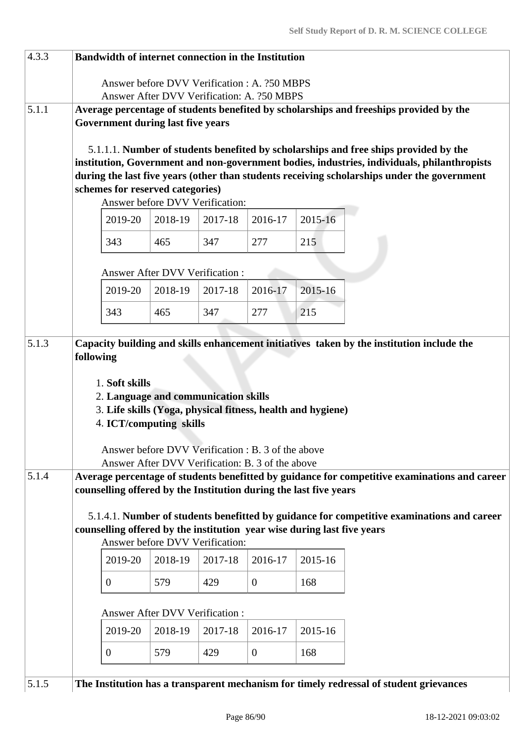| 4.3.3 | Bandwidth of internet connection in the Institution                                                                                                                                                      |                                                    |         |                  |         |                                                                                               |  |  |  |  |
|-------|----------------------------------------------------------------------------------------------------------------------------------------------------------------------------------------------------------|----------------------------------------------------|---------|------------------|---------|-----------------------------------------------------------------------------------------------|--|--|--|--|
|       | Answer before DVV Verification: A. 250 MBPS                                                                                                                                                              |                                                    |         |                  |         |                                                                                               |  |  |  |  |
|       | Answer After DVV Verification: A. 250 MBPS                                                                                                                                                               |                                                    |         |                  |         |                                                                                               |  |  |  |  |
| 5.1.1 | Average percentage of students benefited by scholarships and freeships provided by the                                                                                                                   |                                                    |         |                  |         |                                                                                               |  |  |  |  |
|       | Government during last five years                                                                                                                                                                        |                                                    |         |                  |         |                                                                                               |  |  |  |  |
|       | 5.1.1.1. Number of students benefited by scholarships and free ships provided by the                                                                                                                     |                                                    |         |                  |         |                                                                                               |  |  |  |  |
|       |                                                                                                                                                                                                          |                                                    |         |                  |         | institution, Government and non-government bodies, industries, individuals, philanthropists   |  |  |  |  |
|       |                                                                                                                                                                                                          |                                                    |         |                  |         | during the last five years (other than students receiving scholarships under the government   |  |  |  |  |
|       | schemes for reserved categories)                                                                                                                                                                         |                                                    |         |                  |         |                                                                                               |  |  |  |  |
|       |                                                                                                                                                                                                          | Answer before DVV Verification:                    |         |                  |         |                                                                                               |  |  |  |  |
|       | 2019-20                                                                                                                                                                                                  | 2018-19                                            | 2017-18 | 2016-17          | 2015-16 |                                                                                               |  |  |  |  |
|       | 343                                                                                                                                                                                                      | 465                                                | 347     | 277              | 215     |                                                                                               |  |  |  |  |
|       |                                                                                                                                                                                                          | <b>Answer After DVV Verification:</b>              |         |                  |         |                                                                                               |  |  |  |  |
|       | 2019-20                                                                                                                                                                                                  | 2018-19                                            | 2017-18 | 2016-17          | 2015-16 |                                                                                               |  |  |  |  |
|       |                                                                                                                                                                                                          |                                                    |         |                  |         |                                                                                               |  |  |  |  |
|       |                                                                                                                                                                                                          |                                                    |         |                  |         |                                                                                               |  |  |  |  |
|       | Capacity building and skills enhancement initiatives taken by the institution include the<br>following<br>1. Soft skills                                                                                 |                                                    |         |                  |         |                                                                                               |  |  |  |  |
|       | 2. Language and communication skills                                                                                                                                                                     |                                                    |         |                  |         |                                                                                               |  |  |  |  |
|       | 3. Life skills (Yoga, physical fitness, health and hygiene)<br>4. ICT/computing skills                                                                                                                   |                                                    |         |                  |         |                                                                                               |  |  |  |  |
|       |                                                                                                                                                                                                          |                                                    |         |                  |         |                                                                                               |  |  |  |  |
|       |                                                                                                                                                                                                          | Answer before DVV Verification : B. 3 of the above |         |                  |         |                                                                                               |  |  |  |  |
|       |                                                                                                                                                                                                          | Answer After DVV Verification: B. 3 of the above   |         |                  |         |                                                                                               |  |  |  |  |
| 5.1.4 | counselling offered by the Institution during the last five years                                                                                                                                        |                                                    |         |                  |         | Average percentage of students benefitted by guidance for competitive examinations and career |  |  |  |  |
|       |                                                                                                                                                                                                          |                                                    |         |                  |         |                                                                                               |  |  |  |  |
|       | 5.1.4.1. Number of students benefitted by guidance for competitive examinations and career<br>counselling offered by the institution year wise during last five years<br>Answer before DVV Verification: |                                                    |         |                  |         |                                                                                               |  |  |  |  |
|       |                                                                                                                                                                                                          |                                                    |         |                  |         |                                                                                               |  |  |  |  |
|       |                                                                                                                                                                                                          |                                                    |         |                  |         |                                                                                               |  |  |  |  |
|       | 2019-20                                                                                                                                                                                                  | 2018-19                                            | 2017-18 | 2016-17          | 2015-16 |                                                                                               |  |  |  |  |
|       | $\overline{0}$                                                                                                                                                                                           | 579                                                | 429     | $\boldsymbol{0}$ | 168     |                                                                                               |  |  |  |  |
|       | <b>Answer After DVV Verification:</b>                                                                                                                                                                    |                                                    |         |                  |         |                                                                                               |  |  |  |  |
|       |                                                                                                                                                                                                          |                                                    |         |                  |         |                                                                                               |  |  |  |  |
|       | $\theta$                                                                                                                                                                                                 | 579                                                | 429     | $\boldsymbol{0}$ | 168     |                                                                                               |  |  |  |  |
| 5.1.5 |                                                                                                                                                                                                          |                                                    |         |                  |         | The Institution has a transparent mechanism for timely redressal of student grievances        |  |  |  |  |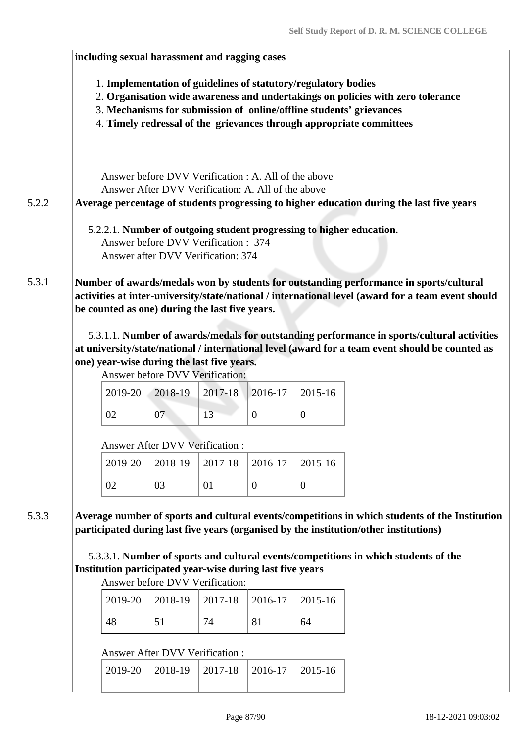|                                                                                                                                                                                                                                                                                                                                                                                                                                                                                                                                                                     |         | including sexual harassment and ragging cases |                  |                                                                                                                            |                                                                                                                                                                                              |  |  |  |  |  |
|---------------------------------------------------------------------------------------------------------------------------------------------------------------------------------------------------------------------------------------------------------------------------------------------------------------------------------------------------------------------------------------------------------------------------------------------------------------------------------------------------------------------------------------------------------------------|---------|-----------------------------------------------|------------------|----------------------------------------------------------------------------------------------------------------------------|----------------------------------------------------------------------------------------------------------------------------------------------------------------------------------------------|--|--|--|--|--|
| 1. Implementation of guidelines of statutory/regulatory bodies<br>2. Organisation wide awareness and undertakings on policies with zero tolerance<br>3. Mechanisms for submission of online/offline students' grievances<br>4. Timely redressal of the grievances through appropriate committees                                                                                                                                                                                                                                                                    |         |                                               |                  |                                                                                                                            |                                                                                                                                                                                              |  |  |  |  |  |
| Answer before DVV Verification : A. All of the above<br>Answer After DVV Verification: A. All of the above                                                                                                                                                                                                                                                                                                                                                                                                                                                          |         |                                               |                  |                                                                                                                            |                                                                                                                                                                                              |  |  |  |  |  |
| Average percentage of students progressing to higher education during the last five years                                                                                                                                                                                                                                                                                                                                                                                                                                                                           |         |                                               |                  |                                                                                                                            |                                                                                                                                                                                              |  |  |  |  |  |
| 5.2.2.1. Number of outgoing student progressing to higher education.<br>Answer before DVV Verification : 374<br>Answer after DVV Verification: 374                                                                                                                                                                                                                                                                                                                                                                                                                  |         |                                               |                  |                                                                                                                            |                                                                                                                                                                                              |  |  |  |  |  |
|                                                                                                                                                                                                                                                                                                                                                                                                                                                                                                                                                                     |         |                                               |                  |                                                                                                                            |                                                                                                                                                                                              |  |  |  |  |  |
| 5.3.1.1. Number of awards/medals for outstanding performance in sports/cultural activities<br>at university/state/national / international level (award for a team event should be counted as<br>one) year-wise during the last five years.                                                                                                                                                                                                                                                                                                                         |         |                                               |                  |                                                                                                                            |                                                                                                                                                                                              |  |  |  |  |  |
| 2019-20                                                                                                                                                                                                                                                                                                                                                                                                                                                                                                                                                             | 2018-19 | 2017-18                                       | 2016-17          | 2015-16                                                                                                                    |                                                                                                                                                                                              |  |  |  |  |  |
| 07<br>02<br>13<br>$\overline{0}$<br>$\mathbf{0}$                                                                                                                                                                                                                                                                                                                                                                                                                                                                                                                    |         |                                               |                  |                                                                                                                            |                                                                                                                                                                                              |  |  |  |  |  |
|                                                                                                                                                                                                                                                                                                                                                                                                                                                                                                                                                                     |         |                                               |                  |                                                                                                                            |                                                                                                                                                                                              |  |  |  |  |  |
| 2019-20                                                                                                                                                                                                                                                                                                                                                                                                                                                                                                                                                             | 2018-19 | 2017-18                                       | 2016-17          | 2015-16                                                                                                                    |                                                                                                                                                                                              |  |  |  |  |  |
| 02                                                                                                                                                                                                                                                                                                                                                                                                                                                                                                                                                                  | 03      | 01                                            | $\boldsymbol{0}$ | $\overline{0}$                                                                                                             |                                                                                                                                                                                              |  |  |  |  |  |
| Average number of sports and cultural events/competitions in which students of the Institution<br>participated during last five years (organised by the institution/other institutions)<br>5.3.3.1. Number of sports and cultural events/competitions in which students of the<br>Institution participated year-wise during last five years<br>Answer before DVV Verification:<br>2019-20<br>2018-19<br>2017-18<br>2016-17<br>2015-16<br>48<br>51<br>74<br>81<br>64<br><b>Answer After DVV Verification:</b><br>2019-20<br>2018-19<br>2015-16<br>2017-18<br>2016-17 |         |                                               |                  |                                                                                                                            |                                                                                                                                                                                              |  |  |  |  |  |
|                                                                                                                                                                                                                                                                                                                                                                                                                                                                                                                                                                     |         |                                               |                  | be counted as one) during the last five years.<br>Answer before DVV Verification:<br><b>Answer After DVV Verification:</b> | Number of awards/medals won by students for outstanding performance in sports/cultural<br>activities at inter-university/state/national / international level (award for a team event should |  |  |  |  |  |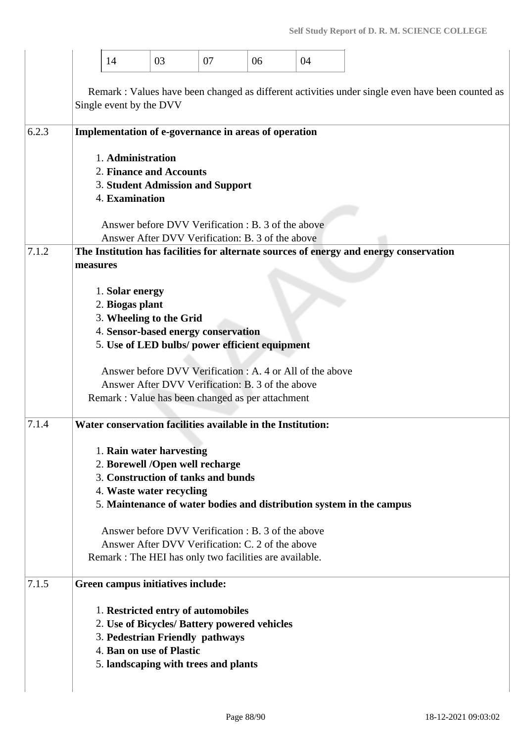|       |                                                                                                                                                                   | 14                                                 | 03                                                                                                                                                                                                                             | 07 | 06                                                                                                                                                                                                                                                                                  | 04 |                                                                      |  |  |  |
|-------|-------------------------------------------------------------------------------------------------------------------------------------------------------------------|----------------------------------------------------|--------------------------------------------------------------------------------------------------------------------------------------------------------------------------------------------------------------------------------|----|-------------------------------------------------------------------------------------------------------------------------------------------------------------------------------------------------------------------------------------------------------------------------------------|----|----------------------------------------------------------------------|--|--|--|
|       | Remark : Values have been changed as different activities under single even have been counted as<br>Single event by the DVV                                       |                                                    |                                                                                                                                                                                                                                |    |                                                                                                                                                                                                                                                                                     |    |                                                                      |  |  |  |
| 6.2.3 | Implementation of e-governance in areas of operation<br>1. Administration<br>2. Finance and Accounts<br><b>3. Student Admission and Support</b><br>4. Examination |                                                    |                                                                                                                                                                                                                                |    |                                                                                                                                                                                                                                                                                     |    |                                                                      |  |  |  |
|       |                                                                                                                                                                   | Answer before DVV Verification : B. 3 of the above |                                                                                                                                                                                                                                |    |                                                                                                                                                                                                                                                                                     |    |                                                                      |  |  |  |
| 7.1.2 | Answer After DVV Verification: B. 3 of the above<br>The Institution has facilities for alternate sources of energy and energy conservation<br>measures            |                                                    |                                                                                                                                                                                                                                |    |                                                                                                                                                                                                                                                                                     |    |                                                                      |  |  |  |
| 7.1.4 |                                                                                                                                                                   | 1. Solar energy<br>2. Biogas plant                 | 3. Wheeling to the Grid<br>4. Sensor-based energy conservation                                                                                                                                                                 |    | 5. Use of LED bulbs/ power efficient equipment<br>Answer before DVV Verification : A. 4 or All of the above<br>Answer After DVV Verification: B. 3 of the above<br>Remark : Value has been changed as per attachment<br>Water conservation facilities available in the Institution: |    |                                                                      |  |  |  |
|       |                                                                                                                                                                   |                                                    | 1. Rain water harvesting<br>2. Borewell /Open well recharge<br>3. Construction of tanks and bunds<br>4. Waste water recycling                                                                                                  |    | Answer before DVV Verification : B. 3 of the above<br>Answer After DVV Verification: C. 2 of the above<br>Remark : The HEI has only two facilities are available.                                                                                                                   |    | 5. Maintenance of water bodies and distribution system in the campus |  |  |  |
| 7.1.5 |                                                                                                                                                                   |                                                    | Green campus initiatives include:<br>1. Restricted entry of automobiles<br>2. Use of Bicycles/ Battery powered vehicles<br>3. Pedestrian Friendly pathways<br>4. Ban on use of Plastic<br>5. landscaping with trees and plants |    |                                                                                                                                                                                                                                                                                     |    |                                                                      |  |  |  |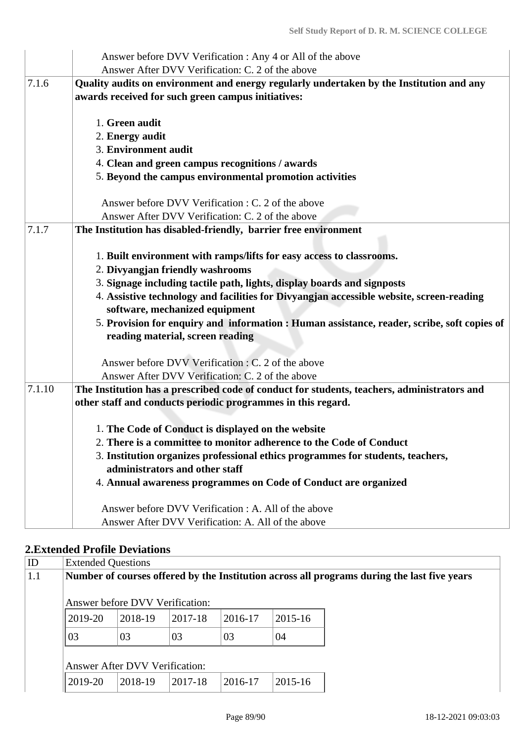|        | Answer before DVV Verification : Any 4 or All of the above<br>Answer After DVV Verification: C. 2 of the above                                 |  |  |  |  |  |  |  |
|--------|------------------------------------------------------------------------------------------------------------------------------------------------|--|--|--|--|--|--|--|
| 7.1.6  | Quality audits on environment and energy regularly undertaken by the Institution and any<br>awards received for such green campus initiatives: |  |  |  |  |  |  |  |
|        | 1. Green audit                                                                                                                                 |  |  |  |  |  |  |  |
|        | 2. Energy audit                                                                                                                                |  |  |  |  |  |  |  |
|        | 3. Environment audit                                                                                                                           |  |  |  |  |  |  |  |
|        | 4. Clean and green campus recognitions / awards                                                                                                |  |  |  |  |  |  |  |
|        | 5. Beyond the campus environmental promotion activities                                                                                        |  |  |  |  |  |  |  |
|        | Answer before DVV Verification : C. 2 of the above                                                                                             |  |  |  |  |  |  |  |
|        | Answer After DVV Verification: C. 2 of the above                                                                                               |  |  |  |  |  |  |  |
| 7.1.7  | The Institution has disabled-friendly, barrier free environment                                                                                |  |  |  |  |  |  |  |
|        |                                                                                                                                                |  |  |  |  |  |  |  |
|        | 1. Built environment with ramps/lifts for easy access to classrooms.                                                                           |  |  |  |  |  |  |  |
|        | 2. Divyangjan friendly washrooms                                                                                                               |  |  |  |  |  |  |  |
|        | 3. Signage including tactile path, lights, display boards and signposts                                                                        |  |  |  |  |  |  |  |
|        | 4. Assistive technology and facilities for Divyangjan accessible website, screen-reading                                                       |  |  |  |  |  |  |  |
|        | software, mechanized equipment                                                                                                                 |  |  |  |  |  |  |  |
|        | 5. Provision for enquiry and information : Human assistance, reader, scribe, soft copies of                                                    |  |  |  |  |  |  |  |
|        | reading material, screen reading                                                                                                               |  |  |  |  |  |  |  |
|        | Answer before DVV Verification : C. 2 of the above                                                                                             |  |  |  |  |  |  |  |
|        | Answer After DVV Verification: C. 2 of the above                                                                                               |  |  |  |  |  |  |  |
| 7.1.10 | The Institution has a prescribed code of conduct for students, teachers, administrators and                                                    |  |  |  |  |  |  |  |
|        | other staff and conducts periodic programmes in this regard.                                                                                   |  |  |  |  |  |  |  |
|        |                                                                                                                                                |  |  |  |  |  |  |  |
|        | 1. The Code of Conduct is displayed on the website                                                                                             |  |  |  |  |  |  |  |
|        | 2. There is a committee to monitor adherence to the Code of Conduct                                                                            |  |  |  |  |  |  |  |
|        | 3. Institution organizes professional ethics programmes for students, teachers,                                                                |  |  |  |  |  |  |  |
|        | administrators and other staff                                                                                                                 |  |  |  |  |  |  |  |
|        | 4. Annual awareness programmes on Code of Conduct are organized                                                                                |  |  |  |  |  |  |  |
|        | Answer before DVV Verification : A. All of the above                                                                                           |  |  |  |  |  |  |  |
|        | Answer After DVV Verification: A. All of the above                                                                                             |  |  |  |  |  |  |  |

## **2.Extended Profile Deviations**

| ID  |                                       | <b>Extended Questions</b>                                                                   |         |         |         |  |  |  |  |  |
|-----|---------------------------------------|---------------------------------------------------------------------------------------------|---------|---------|---------|--|--|--|--|--|
| 1.1 |                                       | Number of courses offered by the Institution across all programs during the last five years |         |         |         |  |  |  |  |  |
|     |                                       |                                                                                             |         |         |         |  |  |  |  |  |
|     |                                       | Answer before DVV Verification:                                                             |         |         |         |  |  |  |  |  |
|     | 2019-20                               | 2018-19                                                                                     | 2017-18 | 2016-17 | 2015-16 |  |  |  |  |  |
|     | 03                                    | 03                                                                                          | 03      | 03      | 04      |  |  |  |  |  |
|     |                                       |                                                                                             |         |         |         |  |  |  |  |  |
|     | <b>Answer After DVV Verification:</b> |                                                                                             |         |         |         |  |  |  |  |  |
|     | 2019-20                               | 2018-19                                                                                     | 2017-18 | 2016-17 | 2015-16 |  |  |  |  |  |